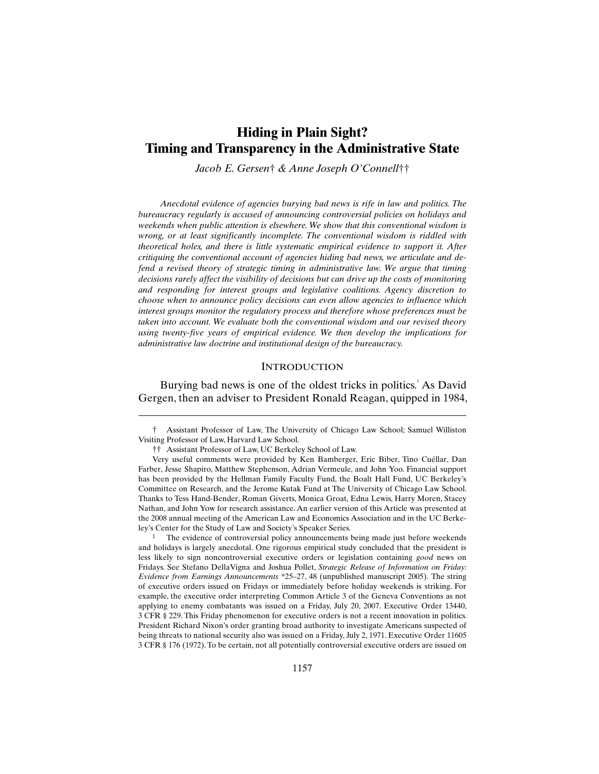# **Hiding in Plain Sight? Timing and Transparency in the Administrative State**

*Jacob E. Gersen*† *& Anne Joseph O'Connell*††

*Anecdotal evidence of agencies burying bad news is rife in law and politics. The bureaucracy regularly is accused of announcing controversial policies on holidays and weekends when public attention is elsewhere. We show that this conventional wisdom is wrong, or at least significantly incomplete. The conventional wisdom is riddled with theoretical holes, and there is little systematic empirical evidence to support it. After critiquing the conventional account of agencies hiding bad news, we articulate and defend a revised theory of strategic timing in administrative law. We argue that timing decisions rarely affect the visibility of decisions but can drive up the costs of monitoring and responding for interest groups and legislative coalitions. Agency discretion to choose when to announce policy decisions can even allow agencies to influence which interest groups monitor the regulatory process and therefore whose preferences must be taken into account. We evaluate both the conventional wisdom and our revised theory using twenty-five years of empirical evidence. We then develop the implications for administrative law doctrine and institutional design of the bureaucracy.*

### **INTRODUCTION**

Burying bad news is one of the oldest tricks in politics.<sup>1</sup> As David Gergen, then an adviser to President Ronald Reagan, quipped in 1984,

† Assistant Professor of Law, The University of Chicago Law School; Samuel Williston Visiting Professor of Law, Harvard Law School.

†† Assistant Professor of Law, UC Berkeley School of Law.

 $\overline{a}$ 

 Very useful comments were provided by Ken Bamberger, Eric Biber, Tino Cuéllar, Dan Farber, Jesse Shapiro, Matthew Stephenson, Adrian Vermeule, and John Yoo. Financial support has been provided by the Hellman Family Faculty Fund, the Boalt Hall Fund, UC Berkeley's Committee on Research, and the Jerome Kutak Fund at The University of Chicago Law School. Thanks to Tess Hand-Bender, Roman Giverts, Monica Groat, Edna Lewis, Harry Moren, Stacey Nathan, and John Yow for research assistance. An earlier version of this Article was presented at the 2008 annual meeting of the American Law and Economics Association and in the UC Berkeley's Center for the Study of Law and Society's Speaker Series.

The evidence of controversial policy announcements being made just before weekends and holidays is largely anecdotal. One rigorous empirical study concluded that the president is less likely to sign noncontroversial executive orders or legislation containing *good* news on Fridays. See Stefano DellaVigna and Joshua Pollet, *Strategic Release of Information on Friday: Evidence from Earnings Announcements* \*25–27, 48 (unpublished manuscript 2005). The string of executive orders issued on Fridays or immediately before holiday weekends is striking. For example, the executive order interpreting Common Article 3 of the Geneva Conventions as not applying to enemy combatants was issued on a Friday, July 20, 2007. Executive Order 13440, 3 CFR § 229. This Friday phenomenon for executive orders is not a recent innovation in politics. President Richard Nixon's order granting broad authority to investigate Americans suspected of being threats to national security also was issued on a Friday, July 2, 1971. Executive Order 11605 3 CFR § 176 (1972). To be certain, not all potentially controversial executive orders are issued on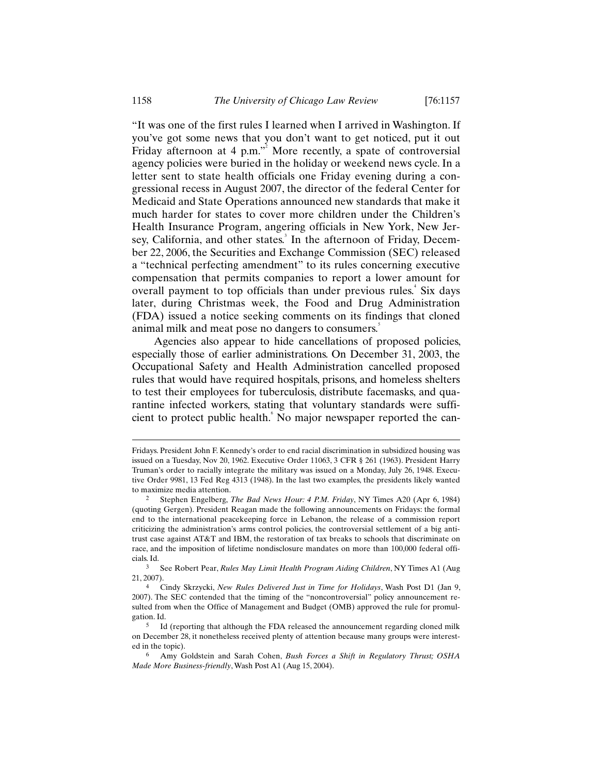"It was one of the first rules I learned when I arrived in Washington. If you've got some news that you don't want to get noticed, put it out Friday afternoon at 4 p.m."<sup>2</sup> More recently, a spate of controversial agency policies were buried in the holiday or weekend news cycle. In a letter sent to state health officials one Friday evening during a congressional recess in August 2007, the director of the federal Center for Medicaid and State Operations announced new standards that make it much harder for states to cover more children under the Children's Health Insurance Program, angering officials in New York, New Jersey, California, and other states.<sup>3</sup> In the afternoon of Friday, December 22, 2006, the Securities and Exchange Commission (SEC) released a "technical perfecting amendment" to its rules concerning executive compensation that permits companies to report a lower amount for overall payment to top officials than under previous rules.<sup>4</sup> Six days later, during Christmas week, the Food and Drug Administration (FDA) issued a notice seeking comments on its findings that cloned animal milk and meat pose no dangers to consumers.<sup>5</sup>

Agencies also appear to hide cancellations of proposed policies, especially those of earlier administrations. On December 31, 2003, the Occupational Safety and Health Administration cancelled proposed rules that would have required hospitals, prisons, and homeless shelters to test their employees for tuberculosis, distribute facemasks, and quarantine infected workers, stating that voluntary standards were sufficient to protect public health. No major newspaper reported the can-

Fridays. President John F. Kennedy's order to end racial discrimination in subsidized housing was issued on a Tuesday, Nov 20, 1962. Executive Order 11063, 3 CFR § 261 (1963). President Harry Truman's order to racially integrate the military was issued on a Monday, July 26, 1948. Executive Order 9981, 13 Fed Reg 4313 (1948). In the last two examples, the presidents likely wanted to maximize media attention.

<sup>2</sup> Stephen Engelberg, *The Bad News Hour: 4 P.M. Friday*, NY Times A20 (Apr 6, 1984) (quoting Gergen). President Reagan made the following announcements on Fridays: the formal end to the international peacekeeping force in Lebanon, the release of a commission report criticizing the administration's arms control policies, the controversial settlement of a big antitrust case against AT&T and IBM, the restoration of tax breaks to schools that discriminate on race, and the imposition of lifetime nondisclosure mandates on more than 100,000 federal officials. Id.

<sup>3</sup> See Robert Pear, *Rules May Limit Health Program Aiding Children*, NY Times A1 (Aug 21, 2007).

<sup>4</sup> Cindy Skrzycki, *New Rules Delivered Just in Time for Holidays*, Wash Post D1 (Jan 9, 2007). The SEC contended that the timing of the "noncontroversial" policy announcement resulted from when the Office of Management and Budget (OMB) approved the rule for promulgation. Id.

<sup>5</sup> Id (reporting that although the FDA released the announcement regarding cloned milk on December 28, it nonetheless received plenty of attention because many groups were interested in the topic).

<sup>6</sup> Amy Goldstein and Sarah Cohen, *Bush Forces a Shift in Regulatory Thrust; OSHA Made More Business-friendly*, Wash Post A1 (Aug 15, 2004).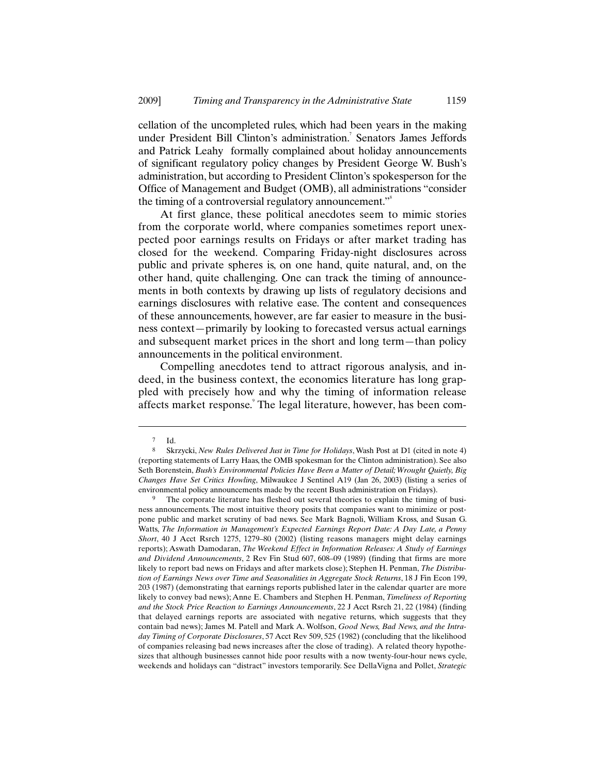cellation of the uncompleted rules, which had been years in the making under President Bill Clinton's administration.<sup>7</sup> Senators James Jeffords and Patrick Leahy formally complained about holiday announcements of significant regulatory policy changes by President George W. Bush's administration, but according to President Clinton's spokesperson for the Office of Management and Budget (OMB), all administrations "consider the timing of a controversial regulatory announcement."<sup>8</sup>

At first glance, these political anecdotes seem to mimic stories from the corporate world, where companies sometimes report unexpected poor earnings results on Fridays or after market trading has closed for the weekend. Comparing Friday-night disclosures across public and private spheres is, on one hand, quite natural, and, on the other hand, quite challenging. One can track the timing of announcements in both contexts by drawing up lists of regulatory decisions and earnings disclosures with relative ease. The content and consequences of these announcements, however, are far easier to measure in the business context—primarily by looking to forecasted versus actual earnings and subsequent market prices in the short and long term—than policy announcements in the political environment.

Compelling anecdotes tend to attract rigorous analysis, and indeed, in the business context, the economics literature has long grappled with precisely how and why the timing of information release affects market response. The legal literature, however, has been com-

 $7$  Id.

<sup>8</sup> Skrzycki, *New Rules Delivered Just in Time for Holidays*, Wash Post at D1 (cited in note 4) (reporting statements of Larry Haas, the OMB spokesman for the Clinton administration). See also Seth Borenstein, *Bush's Environmental Policies Have Been a Matter of Detail; Wrought Quietly, Big Changes Have Set Critics Howling*, Milwaukee J Sentinel A19 (Jan 26, 2003) (listing a series of environmental policy announcements made by the recent Bush administration on Fridays).

The corporate literature has fleshed out several theories to explain the timing of business announcements. The most intuitive theory posits that companies want to minimize or postpone public and market scrutiny of bad news. See Mark Bagnoli, William Kross, and Susan G. Watts, *The Information in Management's Expected Earnings Report Date: A Day Late, a Penny Short*, 40 J Acct Rsrch 1275, 1279–80 (2002) (listing reasons managers might delay earnings reports); Aswath Damodaran, *The Weekend Effect in Information Releases: A Study of Earnings and Dividend Announcements*, 2 Rev Fin Stud 607, 608–09 (1989) (finding that firms are more likely to report bad news on Fridays and after markets close); Stephen H. Penman, *The Distribution of Earnings News over Time and Seasonalities in Aggregate Stock Returns*, 18 J Fin Econ 199, 203 (1987) (demonstrating that earnings reports published later in the calendar quarter are more likely to convey bad news); Anne E. Chambers and Stephen H. Penman, *Timeliness of Reporting and the Stock Price Reaction to Earnings Announcements*, 22 J Acct Rsrch 21, 22 (1984) (finding that delayed earnings reports are associated with negative returns, which suggests that they contain bad news); James M. Patell and Mark A. Wolfson, *Good News, Bad News, and the Intraday Timing of Corporate Disclosures*, 57 Acct Rev 509, 525 (1982) (concluding that the likelihood of companies releasing bad news increases after the close of trading). A related theory hypothesizes that although businesses cannot hide poor results with a now twenty-four-hour news cycle, weekends and holidays can "distract" investors temporarily. See DellaVigna and Pollet, *Strategic*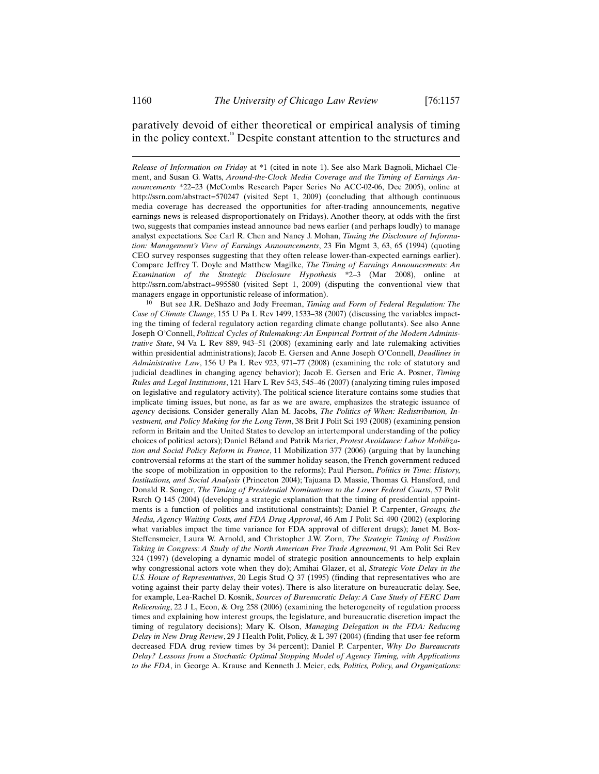-

# paratively devoid of either theoretical or empirical analysis of timing in the policy context.<sup>10</sup> Despite constant attention to the structures and

*Release of Information on Friday* at \*1 (cited in note 1). See also Mark Bagnoli, Michael Clement, and Susan G. Watts, *Around-the-Clock Media Coverage and the Timing of Earnings Announcements* \*22–23 (McCombs Research Paper Series No ACC-02-06, Dec 2005), online at http://ssrn.com/abstract=570247 (visited Sept 1, 2009) (concluding that although continuous media coverage has decreased the opportunities for after-trading announcements, negative earnings news is released disproportionately on Fridays). Another theory, at odds with the first two, suggests that companies instead announce bad news earlier (and perhaps loudly) to manage analyst expectations. See Carl R. Chen and Nancy J. Mohan, *Timing the Disclosure of Information: Management's View of Earnings Announcements*, 23 Fin Mgmt 3, 63, 65 (1994) (quoting CEO survey responses suggesting that they often release lower-than-expected earnings earlier). Compare Jeffrey T. Doyle and Matthew Magilke, *The Timing of Earnings Announcements: An Examination of the Strategic Disclosure Hypothesis* \*2–3 (Mar 2008), online at http://ssrn.com/abstract=995580 (visited Sept 1, 2009) (disputing the conventional view that managers engage in opportunistic release of information).

10 But see J.R. DeShazo and Jody Freeman, *Timing and Form of Federal Regulation: The Case of Climate Change*, 155 U Pa L Rev 1499, 1533–38 (2007) (discussing the variables impacting the timing of federal regulatory action regarding climate change pollutants). See also Anne Joseph O'Connell, *Political Cycles of Rulemaking: An Empirical Portrait of the Modern Administrative State*, 94 Va L Rev 889, 943–51 (2008) (examining early and late rulemaking activities within presidential administrations); Jacob E. Gersen and Anne Joseph O'Connell, *Deadlines in Administrative Law*, 156 U Pa L Rev 923, 971–77 (2008) (examining the role of statutory and judicial deadlines in changing agency behavior); Jacob E. Gersen and Eric A. Posner, *Timing Rules and Legal Institutions*, 121 Harv L Rev 543, 545–46 (2007) (analyzing timing rules imposed on legislative and regulatory activity). The political science literature contains some studies that implicate timing issues, but none, as far as we are aware, emphasizes the strategic issuance of *agency* decisions. Consider generally Alan M. Jacobs, *The Politics of When: Redistribution, Investment, and Policy Making for the Long Term*, 38 Brit J Polit Sci 193 (2008) (examining pension reform in Britain and the United States to develop an intertemporal understanding of the policy choices of political actors); Daniel Béland and Patrik Marier, *Protest Avoidance: Labor Mobilization and Social Policy Reform in France*, 11 Mobilization 377 (2006) (arguing that by launching controversial reforms at the start of the summer holiday season, the French government reduced the scope of mobilization in opposition to the reforms); Paul Pierson, *Politics in Time: History, Institutions, and Social Analysis* (Princeton 2004); Tajuana D. Massie, Thomas G. Hansford, and Donald R. Songer, *The Timing of Presidential Nominations to the Lower Federal Courts*, 57 Polit Rsrch Q 145 (2004) (developing a strategic explanation that the timing of presidential appointments is a function of politics and institutional constraints); Daniel P. Carpenter, *Groups, the Media, Agency Waiting Costs, and FDA Drug Approval*, 46 Am J Polit Sci 490 (2002) (exploring what variables impact the time variance for FDA approval of different drugs); Janet M. Box-Steffensmeier, Laura W. Arnold, and Christopher J.W. Zorn, *The Strategic Timing of Position Taking in Congress: A Study of the North American Free Trade Agreement*, 91 Am Polit Sci Rev 324 (1997) (developing a dynamic model of strategic position announcements to help explain why congressional actors vote when they do); Amihai Glazer, et al, *Strategic Vote Delay in the U.S. House of Representatives*, 20 Legis Stud Q 37 (1995) (finding that representatives who are voting against their party delay their votes). There is also literature on bureaucratic delay. See, for example, Lea-Rachel D. Kosnik, *Sources of Bureaucratic Delay: A Case Study of FERC Dam Relicensing*, 22 J L, Econ, & Org 258 (2006) (examining the heterogeneity of regulation process times and explaining how interest groups, the legislature, and bureaucratic discretion impact the timing of regulatory decisions); Mary K. Olson, *Managing Delegation in the FDA: Reducing Delay in New Drug Review*, 29 J Health Polit, Policy, & L 397 (2004) (finding that user-fee reform decreased FDA drug review times by 34 percent); Daniel P. Carpenter, *Why Do Bureaucrats Delay? Lessons from a Stochastic Optimal Stopping Model of Agency Timing, with Applications to the FDA*, in George A. Krause and Kenneth J. Meier, eds, *Politics, Policy, and Organizations:*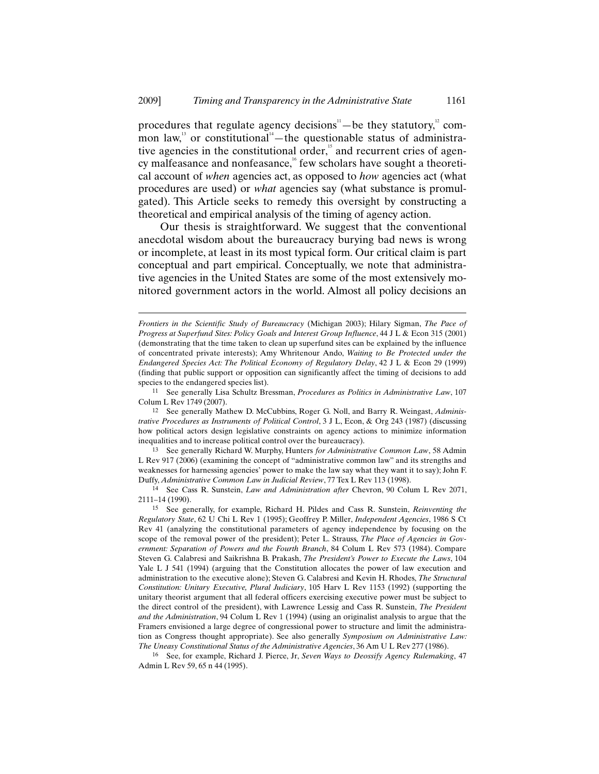procedures that regulate agency decisions<sup> $n$ </sup>—be they statutory,<sup>2</sup> common law,<sup>13</sup> or constitutional<sup>14</sup>—the questionable status of administrative agencies in the constitutional order, $15$  and recurrent cries of agency malfeasance and nonfeasance,<sup>16</sup> few scholars have sought a theoretical account of *when* agencies act, as opposed to *how* agencies act (what procedures are used) or *what* agencies say (what substance is promulgated). This Article seeks to remedy this oversight by constructing a theoretical and empirical analysis of the timing of agency action.

Our thesis is straightforward. We suggest that the conventional anecdotal wisdom about the bureaucracy burying bad news is wrong or incomplete, at least in its most typical form. Our critical claim is part conceptual and part empirical. Conceptually, we note that administrative agencies in the United States are some of the most extensively monitored government actors in the world. Almost all policy decisions an

 $\overline{a}$ 

12 See generally Mathew D. McCubbins, Roger G. Noll, and Barry R. Weingast, *Administrative Procedures as Instruments of Political Control*, 3 J L, Econ, & Org 243 (1987) (discussing how political actors design legislative constraints on agency actions to minimize information inequalities and to increase political control over the bureaucracy).

13 See generally Richard W. Murphy, Hunters *for Administrative Common Law*, 58 Admin L Rev 917 (2006) (examining the concept of "administrative common law" and its strengths and weaknesses for harnessing agencies' power to make the law say what they want it to say); John F. Duffy, *Administrative Common Law in Judicial Review*, 77 Tex L Rev 113 (1998).

16 See, for example, Richard J. Pierce, Jr, *Seven Ways to Deossify Agency Rulemaking*, 47 Admin L Rev 59, 65 n 44 (1995).

*Frontiers in the Scientific Study of Bureaucracy* (Michigan 2003); Hilary Sigman, *The Pace of Progress at Superfund Sites: Policy Goals and Interest Group Influence*, 44 J L & Econ 315 (2001) (demonstrating that the time taken to clean up superfund sites can be explained by the influence of concentrated private interests); Amy Whritenour Ando, *Waiting to Be Protected under the Endangered Species Act: The Political Economy of Regulatory Delay*, 42 J L & Econ 29 (1999) (finding that public support or opposition can significantly affect the timing of decisions to add species to the endangered species list).

<sup>11</sup> See generally Lisa Schultz Bressman, *Procedures as Politics in Administrative Law*, 107 Colum L Rev 1749 (2007).

<sup>14</sup> See Cass R. Sunstein, *Law and Administration after* Chevron, 90 Colum L Rev 2071, 2111–14 (1990).

<sup>15</sup> See generally, for example, Richard H. Pildes and Cass R. Sunstein, *Reinventing the Regulatory State*, 62 U Chi L Rev 1 (1995); Geoffrey P. Miller, *Independent Agencies*, 1986 S Ct Rev 41 (analyzing the constitutional parameters of agency independence by focusing on the scope of the removal power of the president); Peter L. Strauss, *The Place of Agencies in Government: Separation of Powers and the Fourth Branch*, 84 Colum L Rev 573 (1984). Compare Steven G. Calabresi and Saikrishna B. Prakash, *The President's Power to Execute the Laws*, 104 Yale L J 541 (1994) (arguing that the Constitution allocates the power of law execution and administration to the executive alone); Steven G. Calabresi and Kevin H. Rhodes, *The Structural Constitution: Unitary Executive, Plural Judiciary*, 105 Harv L Rev 1153 (1992) (supporting the unitary theorist argument that all federal officers exercising executive power must be subject to the direct control of the president), with Lawrence Lessig and Cass R. Sunstein, *The President and the Administration*, 94 Colum L Rev 1 (1994) (using an originalist analysis to argue that the Framers envisioned a large degree of congressional power to structure and limit the administration as Congress thought appropriate). See also generally *Symposium on Administrative Law: The Uneasy Constitutional Status of the Administrative Agencies*, 36 Am U L Rev 277 (1986).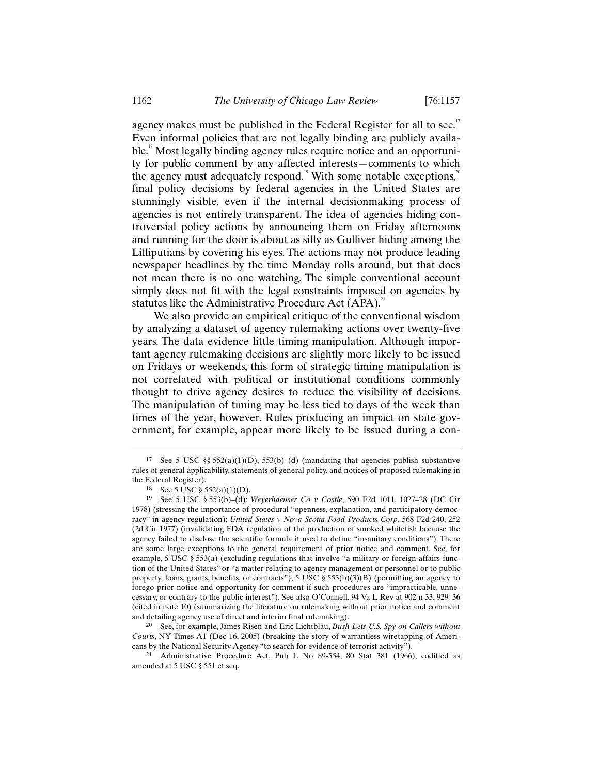agency makes must be published in the Federal Register for all to see.<sup>17</sup> Even informal policies that are not legally binding are publicly available.<sup>18</sup> Most legally binding agency rules require notice and an opportunity for public comment by any affected interests—comments to which the agency must adequately respond.<sup>19</sup> With some notable exceptions,<sup>20</sup> final policy decisions by federal agencies in the United States are stunningly visible, even if the internal decisionmaking process of agencies is not entirely transparent. The idea of agencies hiding controversial policy actions by announcing them on Friday afternoons and running for the door is about as silly as Gulliver hiding among the Lilliputians by covering his eyes. The actions may not produce leading newspaper headlines by the time Monday rolls around, but that does not mean there is no one watching. The simple conventional account simply does not fit with the legal constraints imposed on agencies by statutes like the Administrative Procedure Act (APA).<sup>21</sup>

We also provide an empirical critique of the conventional wisdom by analyzing a dataset of agency rulemaking actions over twenty-five years. The data evidence little timing manipulation. Although important agency rulemaking decisions are slightly more likely to be issued on Fridays or weekends, this form of strategic timing manipulation is not correlated with political or institutional conditions commonly thought to drive agency desires to reduce the visibility of decisions. The manipulation of timing may be less tied to days of the week than times of the year, however. Rules producing an impact on state government, for example, appear more likely to be issued during a con-

 $\overline{a}$ 

20 See, for example, James Risen and Eric Lichtblau, *Bush Lets U.S. Spy on Callers without Courts*, NY Times A1 (Dec 16, 2005) (breaking the story of warrantless wiretapping of Americans by the National Security Agency "to search for evidence of terrorist activity").

21 Administrative Procedure Act, Pub L No 89-554, 80 Stat 381 (1966), codified as amended at 5 USC § 551 et seq.

<sup>17</sup> See 5 USC  $\S$  552(a)(1)(D), 553(b)–(d) (mandating that agencies publish substantive rules of general applicability, statements of general policy, and notices of proposed rulemaking in the Federal Register).

<sup>18</sup> See 5 USC § 552(a)(1)(D).

<sup>19</sup> See 5 USC § 553(b)–(d); *Weyerhaeuser Co v Costle*, 590 F2d 1011, 1027–28 (DC Cir 1978) (stressing the importance of procedural "openness, explanation, and participatory democracy" in agency regulation); *United States v Nova Scotia Food Products Corp*, 568 F2d 240, 252 (2d Cir 1977) (invalidating FDA regulation of the production of smoked whitefish because the agency failed to disclose the scientific formula it used to define "insanitary conditions"). There are some large exceptions to the general requirement of prior notice and comment. See, for example, 5 USC  $\S 553(a)$  (excluding regulations that involve "a military or foreign affairs function of the United States" or "a matter relating to agency management or personnel or to public property, loans, grants, benefits, or contracts"); 5 USC § 553(b)(3)(B) (permitting an agency to forego prior notice and opportunity for comment if such procedures are "impracticable, unnecessary, or contrary to the public interest"). See also O'Connell, 94 Va L Rev at 902 n 33, 929–36 (cited in note 10) (summarizing the literature on rulemaking without prior notice and comment and detailing agency use of direct and interim final rulemaking).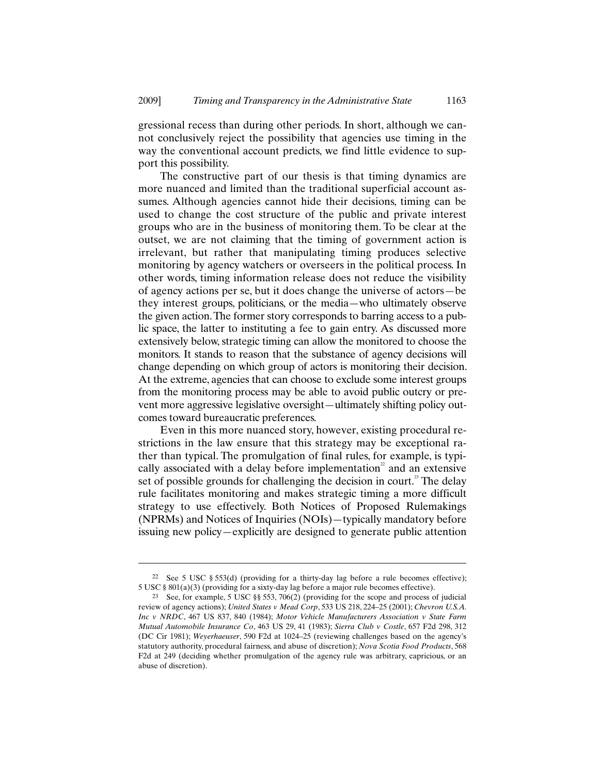gressional recess than during other periods. In short, although we cannot conclusively reject the possibility that agencies use timing in the way the conventional account predicts, we find little evidence to support this possibility.

The constructive part of our thesis is that timing dynamics are more nuanced and limited than the traditional superficial account assumes. Although agencies cannot hide their decisions, timing can be used to change the cost structure of the public and private interest groups who are in the business of monitoring them. To be clear at the outset, we are not claiming that the timing of government action is irrelevant, but rather that manipulating timing produces selective monitoring by agency watchers or overseers in the political process. In other words, timing information release does not reduce the visibility of agency actions per se, but it does change the universe of actors—be they interest groups, politicians, or the media—who ultimately observe the given action. The former story corresponds to barring access to a public space, the latter to instituting a fee to gain entry. As discussed more extensively below, strategic timing can allow the monitored to choose the monitors. It stands to reason that the substance of agency decisions will change depending on which group of actors is monitoring their decision. At the extreme, agencies that can choose to exclude some interest groups from the monitoring process may be able to avoid public outcry or prevent more aggressive legislative oversight—ultimately shifting policy outcomes toward bureaucratic preferences.

Even in this more nuanced story, however, existing procedural restrictions in the law ensure that this strategy may be exceptional rather than typical. The promulgation of final rules, for example, is typically associated with a delay before implementation<sup>22</sup> and an extensive set of possible grounds for challenging the decision in court.<sup>23</sup> The delay rule facilitates monitoring and makes strategic timing a more difficult strategy to use effectively. Both Notices of Proposed Rulemakings (NPRMs) and Notices of Inquiries (NOIs)—typically mandatory before issuing new policy—explicitly are designed to generate public attention

<sup>22</sup> See 5 USC § 553(d) (providing for a thirty-day lag before a rule becomes effective); 5 USC § 801(a)(3) (providing for a sixty-day lag before a major rule becomes effective).

<sup>23</sup> See, for example, 5 USC §§ 553, 706(2) (providing for the scope and process of judicial review of agency actions); *United States v Mead Corp*, 533 US 218, 224–25 (2001); *Chevron U.S.A. Inc v NRDC*, 467 US 837, 840 (1984); *Motor Vehicle Manufacturers Association v State Farm Mutual Automobile Insurance Co*, 463 US 29, 41 (1983); *Sierra Club v Costle*, 657 F2d 298, 312 (DC Cir 1981); *Weyerhaeuser*, 590 F2d at 1024–25 (reviewing challenges based on the agency's statutory authority, procedural fairness, and abuse of discretion); *Nova Scotia Food Products*, 568 F2d at 249 (deciding whether promulgation of the agency rule was arbitrary, capricious, or an abuse of discretion).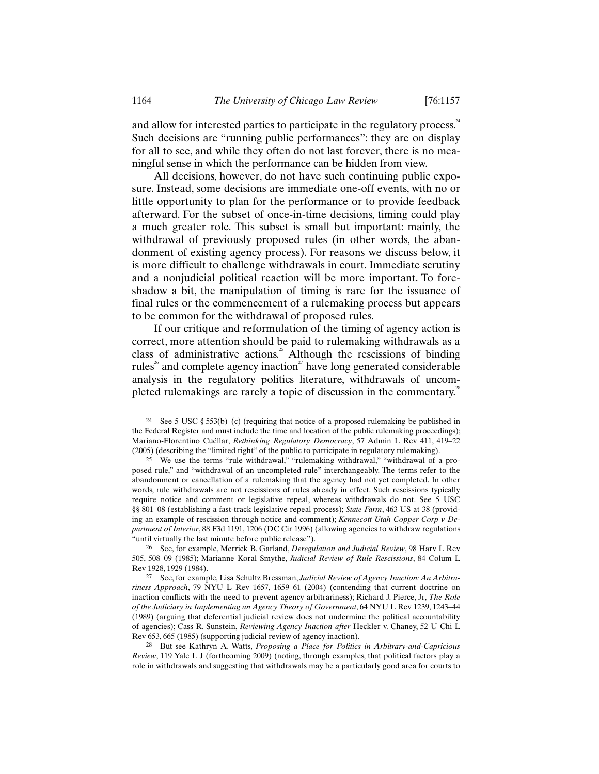and allow for interested parties to participate in the regulatory process. $24$ Such decisions are "running public performances": they are on display for all to see, and while they often do not last forever, there is no meaningful sense in which the performance can be hidden from view.

All decisions, however, do not have such continuing public exposure. Instead, some decisions are immediate one-off events, with no or little opportunity to plan for the performance or to provide feedback afterward. For the subset of once-in-time decisions, timing could play a much greater role. This subset is small but important: mainly, the withdrawal of previously proposed rules (in other words, the abandonment of existing agency process). For reasons we discuss below, it is more difficult to challenge withdrawals in court. Immediate scrutiny and a nonjudicial political reaction will be more important. To foreshadow a bit, the manipulation of timing is rare for the issuance of final rules or the commencement of a rulemaking process but appears to be common for the withdrawal of proposed rules.

If our critique and reformulation of the timing of agency action is correct, more attention should be paid to rulemaking withdrawals as a class of administrative actions.<sup>25</sup> Although the rescissions of binding rules<sup> $\delta$ </sup> and complete agency inaction<sup> $\delta$ </sup> have long generated considerable analysis in the regulatory politics literature, withdrawals of uncompleted rulemakings are rarely a topic of discussion in the commentary.<sup>28</sup>

<sup>&</sup>lt;sup>24</sup> See 5 USC § 553(b)–(c) (requiring that notice of a proposed rulemaking be published in the Federal Register and must include the time and location of the public rulemaking proceedings); Mariano-Florentino Cuéllar, *Rethinking Regulatory Democracy*, 57 Admin L Rev 411, 419–22 (2005) (describing the "limited right" of the public to participate in regulatory rulemaking).

<sup>25</sup> We use the terms "rule withdrawal," "rulemaking withdrawal," "withdrawal of a proposed rule," and "withdrawal of an uncompleted rule" interchangeably. The terms refer to the abandonment or cancellation of a rulemaking that the agency had not yet completed. In other words, rule withdrawals are not rescissions of rules already in effect. Such rescissions typically require notice and comment or legislative repeal, whereas withdrawals do not. See 5 USC §§ 801–08 (establishing a fast-track legislative repeal process); *State Farm*, 463 US at 38 (providing an example of rescission through notice and comment); *Kennecott Utah Copper Corp v Department of Interior*, 88 F3d 1191, 1206 (DC Cir 1996) (allowing agencies to withdraw regulations "until virtually the last minute before public release").

<sup>26</sup> See, for example, Merrick B. Garland, *Deregulation and Judicial Review*, 98 Harv L Rev 505, 508–09 (1985); Marianne Koral Smythe, *Judicial Review of Rule Rescissions*, 84 Colum L Rev 1928, 1929 (1984).

<sup>27</sup> See, for example, Lisa Schultz Bressman, *Judicial Review of Agency Inaction: An Arbitrariness Approach*, 79 NYU L Rev 1657, 1659–61 (2004) (contending that current doctrine on inaction conflicts with the need to prevent agency arbitrariness); Richard J. Pierce, Jr, *The Role of the Judiciary in Implementing an Agency Theory of Government*, 64 NYU L Rev 1239, 1243–44 (1989) (arguing that deferential judicial review does not undermine the political accountability of agencies); Cass R. Sunstein, *Reviewing Agency Inaction after* Heckler v. Chaney, 52 U Chi L Rev 653, 665 (1985) (supporting judicial review of agency inaction).

<sup>28</sup> But see Kathryn A. Watts, *Proposing a Place for Politics in Arbitrary-and-Capricious Review*, 119 Yale L J (forthcoming 2009) (noting, through examples, that political factors play a role in withdrawals and suggesting that withdrawals may be a particularly good area for courts to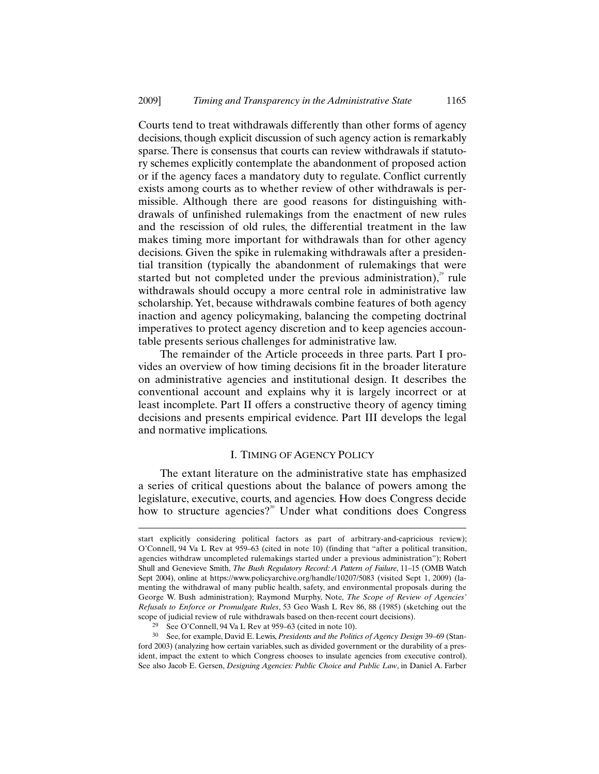Courts tend to treat withdrawals differently than other forms of agency decisions, though explicit discussion of such agency action is remarkably sparse. There is consensus that courts can review withdrawals if statutory schemes explicitly contemplate the abandonment of proposed action or if the agency faces a mandatory duty to regulate. Conflict currently exists among courts as to whether review of other withdrawals is permissible. Although there are good reasons for distinguishing withdrawals of unfinished rulemakings from the enactment of new rules and the rescission of old rules, the differential treatment in the law makes timing more important for withdrawals than for other agency decisions. Given the spike in rulemaking withdrawals after a presidential transition (typically the abandonment of rulemakings that were started but not completed under the previous administration), $\frac{29}{3}$  rule withdrawals should occupy a more central role in administrative law scholarship. Yet, because withdrawals combine features of both agency inaction and agency policymaking, balancing the competing doctrinal imperatives to protect agency discretion and to keep agencies accountable presents serious challenges for administrative law.

The remainder of the Article proceeds in three parts. Part I provides an overview of how timing decisions fit in the broader literature on administrative agencies and institutional design. It describes the conventional account and explains why it is largely incorrect or at least incomplete. Part II offers a constructive theory of agency timing decisions and presents empirical evidence. Part III develops the legal and normative implications.

# I. TIMING OF AGENCY POLICY

The extant literature on the administrative state has emphasized a series of critical questions about the balance of powers among the legislature, executive, courts, and agencies. How does Congress decide how to structure agencies?<sup>30</sup> Under what conditions does Congress

start explicitly considering political factors as part of arbitrary-and-capricious review); O'Connell, 94 Va L Rev at 959–63 (cited in note 10) (finding that "after a political transition, agencies withdraw uncompleted rulemakings started under a previous administration"); Robert Shull and Genevieve Smith, *The Bush Regulatory Record: A Pattern of Failure*, 11–15 (OMB Watch Sept 2004), online at https://www.policyarchive.org/handle/10207/5083 (visited Sept 1, 2009) (lamenting the withdrawal of many public health, safety, and environmental proposals during the George W. Bush administration); Raymond Murphy, Note, *The Scope of Review of Agencies' Refusals to Enforce or Promulgate Rules*, 53 Geo Wash L Rev 86, 88 (1985) (sketching out the scope of judicial review of rule withdrawals based on then-recent court decisions).

<sup>29</sup> See O'Connell, 94 Va L Rev at 959–63 (cited in note 10).

<sup>30</sup> See, for example, David E. Lewis, *Presidents and the Politics of Agency Design* 39–69 (Stanford 2003) (analyzing how certain variables, such as divided government or the durability of a president, impact the extent to which Congress chooses to insulate agencies from executive control). See also Jacob E. Gersen, *Designing Agencies: Public Choice and Public Law*, in Daniel A. Farber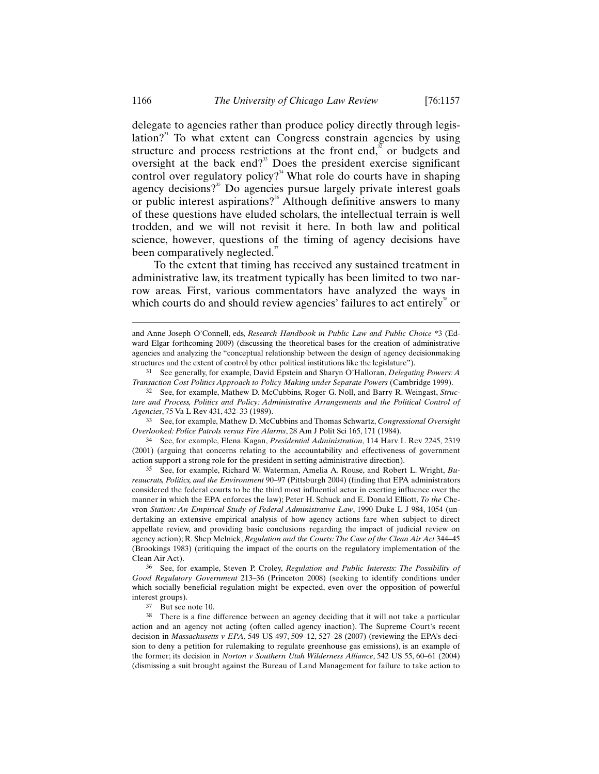delegate to agencies rather than produce policy directly through legislation? $3<sup>1</sup>$  To what extent can Congress constrain agencies by using structure and process restrictions at the front end, $\frac{3}{2}$  or budgets and oversight at the back end?<sup>33</sup> Does the president exercise significant control over regulatory policy?<sup>34</sup> What role do courts have in shaping agency decisions?<sup>35</sup> Do agencies pursue largely private interest goals or public interest aspirations?<sup>36</sup> Although definitive answers to many of these questions have eluded scholars, the intellectual terrain is well trodden, and we will not revisit it here. In both law and political science, however, questions of the timing of agency decisions have been comparatively neglected. $37$ 

To the extent that timing has received any sustained treatment in administrative law, its treatment typically has been limited to two narrow areas. First, various commentators have analyzed the ways in which courts do and should review agencies' failures to act entirely $\mathrm{^{38}}$  or

34 See, for example, Elena Kagan, *Presidential Administration*, 114 Harv L Rev 2245, 2319 (2001) (arguing that concerns relating to the accountability and effectiveness of government action support a strong role for the president in setting administrative direction).

35 See, for example, Richard W. Waterman, Amelia A. Rouse, and Robert L. Wright, *Bureaucrats, Politics, and the Environment* 90–97 (Pittsburgh 2004) (finding that EPA administrators considered the federal courts to be the third most influential actor in exerting influence over the manner in which the EPA enforces the law); Peter H. Schuck and E. Donald Elliott, *To the* Chevron *Station: An Empirical Study of Federal Administrative Law*, 1990 Duke L J 984, 1054 (undertaking an extensive empirical analysis of how agency actions fare when subject to direct appellate review, and providing basic conclusions regarding the impact of judicial review on agency action); R. Shep Melnick, *Regulation and the Courts: The Case of the Clean Air Act* 344–45 (Brookings 1983) (critiquing the impact of the courts on the regulatory implementation of the Clean Air Act).

36 See, for example, Steven P. Croley, *Regulation and Public Interests: The Possibility of Good Regulatory Government* 213–36 (Princeton 2008) (seeking to identify conditions under which socially beneficial regulation might be expected, even over the opposition of powerful interest groups).

37 But see note 10.

<sup>38</sup> There is a fine difference between an agency deciding that it will not take a particular action and an agency not acting (often called agency inaction). The Supreme Court's recent decision in *Massachusetts v EPA*, 549 US 497, 509–12, 527–28 (2007) (reviewing the EPA's decision to deny a petition for rulemaking to regulate greenhouse gas emissions), is an example of the former; its decision in *Norton v Southern Utah Wilderness Alliance*, 542 US 55, 60–61 (2004) (dismissing a suit brought against the Bureau of Land Management for failure to take action to

and Anne Joseph O'Connell, eds, *Research Handbook in Public Law and Public Choice* \*3 (Edward Elgar forthcoming 2009) (discussing the theoretical bases for the creation of administrative agencies and analyzing the "conceptual relationship between the design of agency decisionmaking structures and the extent of control by other political institutions like the legislature").

<sup>31</sup> See generally, for example, David Epstein and Sharyn O'Halloran, *Delegating Powers: A Transaction Cost Politics Approach to Policy Making under Separate Powers* (Cambridge 1999).

<sup>32</sup> See, for example, Mathew D. McCubbins, Roger G. Noll, and Barry R. Weingast, *Structure and Process, Politics and Policy: Administrative Arrangements and the Political Control of Agencies*, 75 Va L Rev 431, 432–33 (1989).

<sup>33</sup> See, for example, Mathew D. McCubbins and Thomas Schwartz, *Congressional Oversight Overlooked: Police Patrols versus Fire Alarms*, 28 Am J Polit Sci 165, 171 (1984).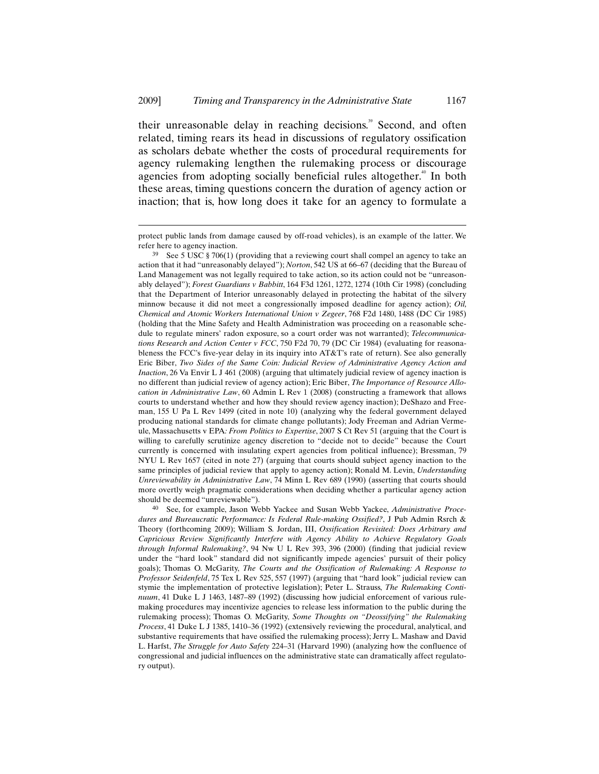$\overline{a}$ 

their unreasonable delay in reaching decisions.<sup>39</sup> Second, and often related, timing rears its head in discussions of regulatory ossification as scholars debate whether the costs of procedural requirements for agency rulemaking lengthen the rulemaking process or discourage agencies from adopting socially beneficial rules altogether.<sup>40</sup> In both these areas, timing questions concern the duration of agency action or inaction; that is, how long does it take for an agency to formulate a

See, for example, Jason Webb Yackee and Susan Webb Yackee, *Administrative Procedures and Bureaucratic Performance: Is Federal Rule-making Ossified?*, J Pub Admin Rsrch & Theory (forthcoming 2009); William S. Jordan, III, *Ossification Revisited: Does Arbitrary and Capricious Review Significantly Interfere with Agency Ability to Achieve Regulatory Goals through Informal Rulemaking?*, 94 Nw U L Rev 393, 396 (2000) (finding that judicial review under the "hard look" standard did not significantly impede agencies' pursuit of their policy goals); Thomas O. McGarity, *The Courts and the Ossification of Rulemaking: A Response to Professor Seidenfeld*, 75 Tex L Rev 525, 557 (1997) (arguing that "hard look" judicial review can stymie the implementation of protective legislation); Peter L. Strauss, *The Rulemaking Continuum*, 41 Duke L J 1463, 1487–89 (1992) (discussing how judicial enforcement of various rulemaking procedures may incentivize agencies to release less information to the public during the rulemaking process); Thomas O. McGarity, *Some Thoughts on "Deossifying" the Rulemaking Process*, 41 Duke L J 1385, 1410–36 (1992) (extensively reviewing the procedural, analytical, and substantive requirements that have ossified the rulemaking process); Jerry L. Mashaw and David L. Harfst, *The Struggle for Auto Safety* 224–31 (Harvard 1990) (analyzing how the confluence of congressional and judicial influences on the administrative state can dramatically affect regulatory output).

protect public lands from damage caused by off-road vehicles), is an example of the latter. We refer here to agency inaction.

 $39$  See 5 USC § 706(1) (providing that a reviewing court shall compel an agency to take an action that it had "unreasonably delayed"); *Norton*, 542 US at 66–67 (deciding that the Bureau of Land Management was not legally required to take action, so its action could not be "unreasonably delayed"); *Forest Guardians v Babbitt*, 164 F3d 1261, 1272, 1274 (10th Cir 1998) (concluding that the Department of Interior unreasonably delayed in protecting the habitat of the silvery minnow because it did not meet a congressionally imposed deadline for agency action); *Oil, Chemical and Atomic Workers International Union v Zegeer*, 768 F2d 1480, 1488 (DC Cir 1985) (holding that the Mine Safety and Health Administration was proceeding on a reasonable schedule to regulate miners' radon exposure, so a court order was not warranted); *Telecommunications Research and Action Center v FCC*, 750 F2d 70, 79 (DC Cir 1984) (evaluating for reasonableness the FCC's five-year delay in its inquiry into AT&T's rate of return). See also generally Eric Biber, *Two Sides of the Same Coin: Judicial Review of Administrative Agency Action and Inaction*, 26 Va Envir L J 461 (2008) (arguing that ultimately judicial review of agency inaction is no different than judicial review of agency action); Eric Biber, *The Importance of Resource Allocation in Administrative Law*, 60 Admin L Rev 1 (2008) (constructing a framework that allows courts to understand whether and how they should review agency inaction); DeShazo and Freeman, 155 U Pa L Rev 1499 (cited in note 10) (analyzing why the federal government delayed producing national standards for climate change pollutants); Jody Freeman and Adrian Vermeule, Massachusetts v EPA*: From Politics to Expertise*, 2007 S Ct Rev 51 (arguing that the Court is willing to carefully scrutinize agency discretion to "decide not to decide" because the Court currently is concerned with insulating expert agencies from political influence); Bressman, 79 NYU L Rev 1657 (cited in note 27) (arguing that courts should subject agency inaction to the same principles of judicial review that apply to agency action); Ronald M. Levin, *Understanding Unreviewability in Administrative Law*, 74 Minn L Rev 689 (1990) (asserting that courts should more overtly weigh pragmatic considerations when deciding whether a particular agency action should be deemed "unreviewable").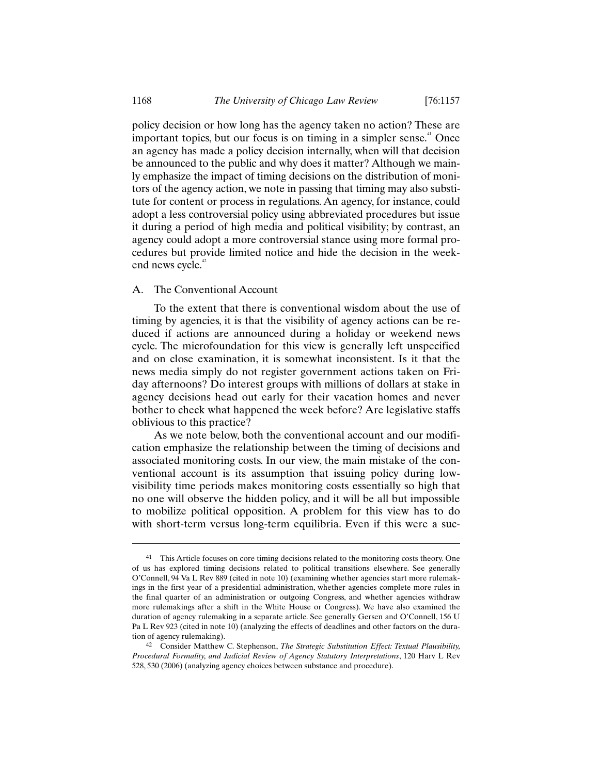policy decision or how long has the agency taken no action? These are  $\frac{1}{2}$  important topics, but our focus is on timing in a simpler sense.<sup>41</sup> Once an agency has made a policy decision internally, when will that decision be announced to the public and why does it matter? Although we mainly emphasize the impact of timing decisions on the distribution of monitors of the agency action, we note in passing that timing may also substitute for content or process in regulations. An agency, for instance, could adopt a less controversial policy using abbreviated procedures but issue it during a period of high media and political visibility; by contrast, an agency could adopt a more controversial stance using more formal procedures but provide limited notice and hide the decision in the weekend news cycle.<sup>42</sup>

# A. The Conventional Account

To the extent that there is conventional wisdom about the use of timing by agencies, it is that the visibility of agency actions can be reduced if actions are announced during a holiday or weekend news cycle. The microfoundation for this view is generally left unspecified and on close examination, it is somewhat inconsistent. Is it that the news media simply do not register government actions taken on Friday afternoons? Do interest groups with millions of dollars at stake in agency decisions head out early for their vacation homes and never bother to check what happened the week before? Are legislative staffs oblivious to this practice?

As we note below, both the conventional account and our modification emphasize the relationship between the timing of decisions and associated monitoring costs. In our view, the main mistake of the conventional account is its assumption that issuing policy during lowvisibility time periods makes monitoring costs essentially so high that no one will observe the hidden policy, and it will be all but impossible to mobilize political opposition. A problem for this view has to do with short-term versus long-term equilibria. Even if this were a suc-

<sup>&</sup>lt;sup>41</sup> This Article focuses on core timing decisions related to the monitoring costs theory. One of us has explored timing decisions related to political transitions elsewhere. See generally O'Connell, 94 Va L Rev 889 (cited in note 10) (examining whether agencies start more rulemakings in the first year of a presidential administration, whether agencies complete more rules in the final quarter of an administration or outgoing Congress, and whether agencies withdraw more rulemakings after a shift in the White House or Congress). We have also examined the duration of agency rulemaking in a separate article. See generally Gersen and O'Connell, 156 U Pa L Rev 923 (cited in note 10) (analyzing the effects of deadlines and other factors on the duration of agency rulemaking).

<sup>42</sup> Consider Matthew C. Stephenson, *The Strategic Substitution Effect: Textual Plausibility, Procedural Formality, and Judicial Review of Agency Statutory Interpretations*, 120 Harv L Rev 528, 530 (2006) (analyzing agency choices between substance and procedure).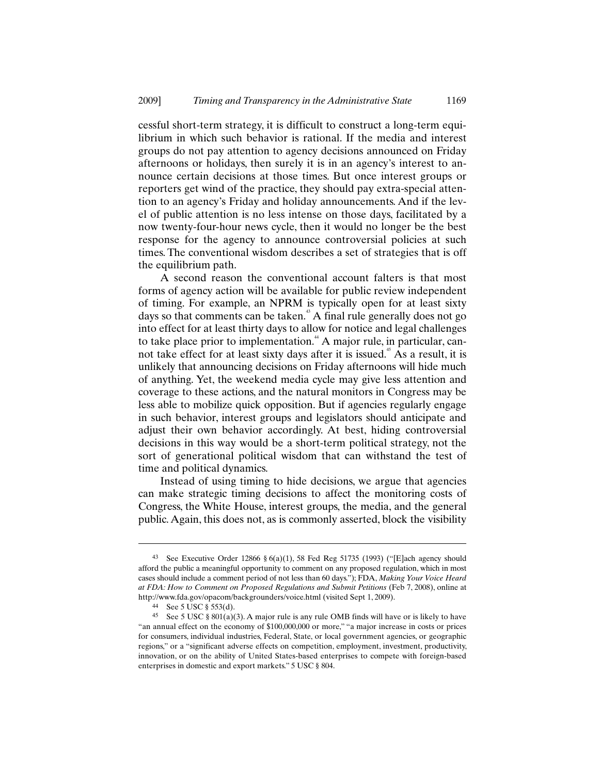cessful short-term strategy, it is difficult to construct a long-term equilibrium in which such behavior is rational. If the media and interest groups do not pay attention to agency decisions announced on Friday afternoons or holidays, then surely it is in an agency's interest to announce certain decisions at those times. But once interest groups or reporters get wind of the practice, they should pay extra-special attention to an agency's Friday and holiday announcements. And if the level of public attention is no less intense on those days, facilitated by a now twenty-four-hour news cycle, then it would no longer be the best response for the agency to announce controversial policies at such times. The conventional wisdom describes a set of strategies that is off the equilibrium path.

A second reason the conventional account falters is that most forms of agency action will be available for public review independent of timing. For example, an NPRM is typically open for at least sixty days so that comments can be taken.<sup>43</sup> A final rule generally does not go into effect for at least thirty days to allow for notice and legal challenges to take place prior to implementation.<sup>44</sup> A major rule, in particular, cannot take effect for at least sixty days after it is issued.<sup>45</sup> As a result, it is unlikely that announcing decisions on Friday afternoons will hide much of anything. Yet, the weekend media cycle may give less attention and coverage to these actions, and the natural monitors in Congress may be less able to mobilize quick opposition. But if agencies regularly engage in such behavior, interest groups and legislators should anticipate and adjust their own behavior accordingly. At best, hiding controversial decisions in this way would be a short-term political strategy, not the sort of generational political wisdom that can withstand the test of time and political dynamics.

Instead of using timing to hide decisions, we argue that agencies can make strategic timing decisions to affect the monitoring costs of Congress, the White House, interest groups, the media, and the general public. Again, this does not, as is commonly asserted, block the visibility

<sup>&</sup>lt;sup>43</sup> See Executive Order 12866 § 6(a)(1), 58 Fed Reg 51735 (1993) ("[E]ach agency should afford the public a meaningful opportunity to comment on any proposed regulation, which in most cases should include a comment period of not less than 60 days."); FDA, *Making Your Voice Heard at FDA: How to Comment on Proposed Regulations and Submit Petitions* (Feb 7, 2008), online at http://www.fda.gov/opacom/backgrounders/voice.html (visited Sept 1, 2009).

<sup>44</sup> See 5 USC § 553(d).

<sup>&</sup>lt;sup>45</sup> See 5 USC § 801(a)(3). A major rule is any rule OMB finds will have or is likely to have "an annual effect on the economy of \$100,000,000 or more," "a major increase in costs or prices for consumers, individual industries, Federal, State, or local government agencies, or geographic regions," or a "significant adverse effects on competition, employment, investment, productivity, innovation, or on the ability of United States-based enterprises to compete with foreign-based enterprises in domestic and export markets." 5 USC § 804.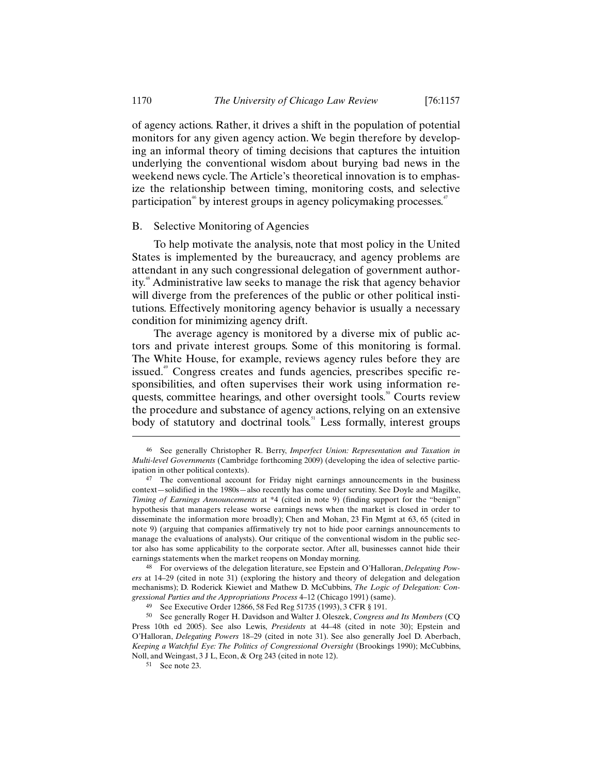of agency actions. Rather, it drives a shift in the population of potential monitors for any given agency action. We begin therefore by developing an informal theory of timing decisions that captures the intuition underlying the conventional wisdom about burying bad news in the weekend news cycle. The Article's theoretical innovation is to emphasize the relationship between timing, monitoring costs, and selective participation<sup>46</sup> by interest groups in agency policymaking processes.<sup>47</sup>

## B. Selective Monitoring of Agencies

To help motivate the analysis, note that most policy in the United States is implemented by the bureaucracy, and agency problems are attendant in any such congressional delegation of government authority.<sup>48</sup> Administrative law seeks to manage the risk that agency behavior will diverge from the preferences of the public or other political institutions. Effectively monitoring agency behavior is usually a necessary condition for minimizing agency drift.

The average agency is monitored by a diverse mix of public actors and private interest groups. Some of this monitoring is formal. The White House, for example, reviews agency rules before they are issued.<sup>49</sup> Congress creates and funds agencies, prescribes specific responsibilities, and often supervises their work using information requests, committee hearings, and other oversight tools. $\degree$  Courts review the procedure and substance of agency actions, relying on an extensive body of statutory and doctrinal tools.<sup>51</sup> Less formally, interest groups

48 For overviews of the delegation literature, see Epstein and O'Halloran, *Delegating Powers* at 14–29 (cited in note 31) (exploring the history and theory of delegation and delegation mechanisms); D. Roderick Kiewiet and Mathew D. McCubbins, *The Logic of Delegation: Congressional Parties and the Appropriations Process* 4–12 (Chicago 1991) (same).

<sup>46</sup> See generally Christopher R. Berry, *Imperfect Union: Representation and Taxation in Multi-level Governments* (Cambridge forthcoming 2009) (developing the idea of selective participation in other political contexts).

<sup>47</sup> The conventional account for Friday night earnings announcements in the business context—solidified in the 1980s—also recently has come under scrutiny. See Doyle and Magilke, *Timing of Earnings Announcements* at \*4 (cited in note 9) (finding support for the "benign" hypothesis that managers release worse earnings news when the market is closed in order to disseminate the information more broadly); Chen and Mohan, 23 Fin Mgmt at 63, 65 (cited in note 9) (arguing that companies affirmatively try not to hide poor earnings announcements to manage the evaluations of analysts). Our critique of the conventional wisdom in the public sector also has some applicability to the corporate sector. After all, businesses cannot hide their earnings statements when the market reopens on Monday morning.

<sup>49</sup> See Executive Order 12866, 58 Fed Reg 51735 (1993), 3 CFR § 191.

<sup>50</sup> See generally Roger H. Davidson and Walter J. Oleszek, *Congress and Its Members* (CQ Press 10th ed 2005). See also Lewis, *Presidents* at 44–48 (cited in note 30); Epstein and O'Halloran, *Delegating Powers* 18–29 (cited in note 31). See also generally Joel D. Aberbach, *Keeping a Watchful Eye: The Politics of Congressional Oversight* (Brookings 1990); McCubbins, Noll, and Weingast, 3 J L, Econ, & Org 243 (cited in note 12).

<sup>51</sup> See note 23.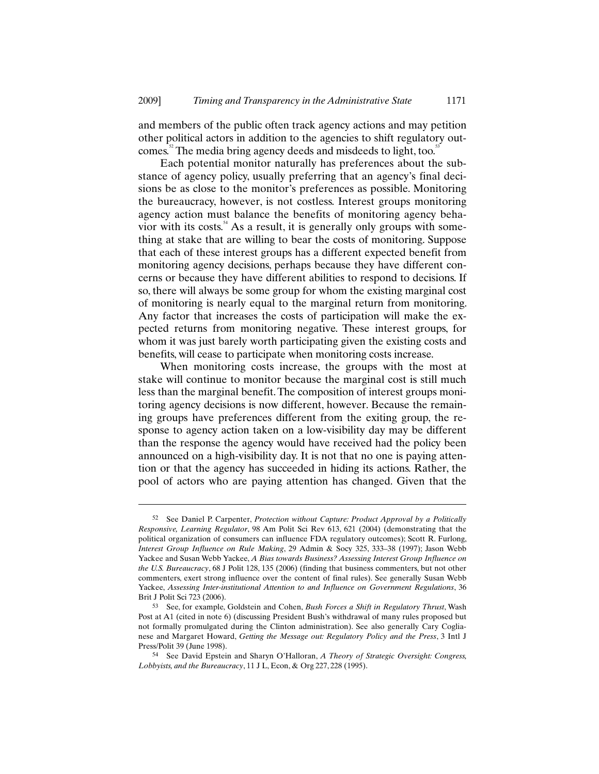and members of the public often track agency actions and may petition other political actors in addition to the agencies to shift regulatory outcomes.<sup>52</sup> The media bring agency deeds and misdeeds to light, too.<sup>53</sup>

Each potential monitor naturally has preferences about the substance of agency policy, usually preferring that an agency's final decisions be as close to the monitor's preferences as possible. Monitoring the bureaucracy, however, is not costless. Interest groups monitoring agency action must balance the benefits of monitoring agency behavior with its costs. $4$  As a result, it is generally only groups with something at stake that are willing to bear the costs of monitoring. Suppose that each of these interest groups has a different expected benefit from monitoring agency decisions, perhaps because they have different concerns or because they have different abilities to respond to decisions. If so, there will always be some group for whom the existing marginal cost of monitoring is nearly equal to the marginal return from monitoring. Any factor that increases the costs of participation will make the expected returns from monitoring negative. These interest groups, for whom it was just barely worth participating given the existing costs and benefits, will cease to participate when monitoring costs increase.

When monitoring costs increase, the groups with the most at stake will continue to monitor because the marginal cost is still much less than the marginal benefit. The composition of interest groups monitoring agency decisions is now different, however. Because the remaining groups have preferences different from the exiting group, the response to agency action taken on a low-visibility day may be different than the response the agency would have received had the policy been announced on a high-visibility day. It is not that no one is paying attention or that the agency has succeeded in hiding its actions. Rather, the pool of actors who are paying attention has changed. Given that the

<sup>52</sup> See Daniel P. Carpenter, *Protection without Capture: Product Approval by a Politically Responsive, Learning Regulator*, 98 Am Polit Sci Rev 613, 621 (2004) (demonstrating that the political organization of consumers can influence FDA regulatory outcomes); Scott R. Furlong, *Interest Group Influence on Rule Making*, 29 Admin & Socy 325, 333–38 (1997); Jason Webb Yackee and Susan Webb Yackee, *A Bias towards Business? Assessing Interest Group Influence on the U.S. Bureaucracy*, 68 J Polit 128, 135 (2006) (finding that business commenters, but not other commenters, exert strong influence over the content of final rules). See generally Susan Webb Yackee, *Assessing Inter-institutional Attention to and Influence on Government Regulations*, 36 Brit J Polit Sci 723 (2006).

<sup>53</sup> See, for example, Goldstein and Cohen, *Bush Forces a Shift in Regulatory Thrust*, Wash Post at A1 (cited in note 6) (discussing President Bush's withdrawal of many rules proposed but not formally promulgated during the Clinton administration). See also generally Cary Coglianese and Margaret Howard, *Getting the Message out: Regulatory Policy and the Press*, 3 Intl J Press/Polit 39 (June 1998).

<sup>54</sup> See David Epstein and Sharyn O'Halloran, *A Theory of Strategic Oversight: Congress, Lobbyists, and the Bureaucracy*, 11 J L, Econ, & Org 227, 228 (1995).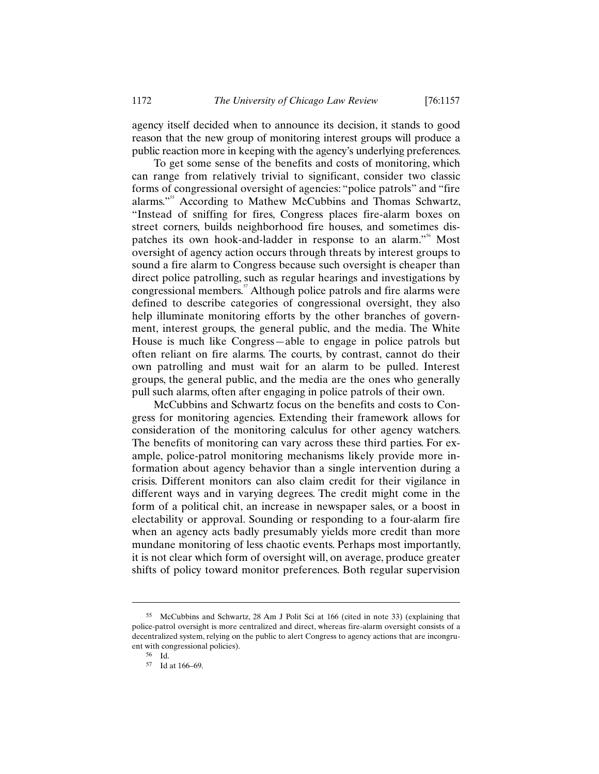agency itself decided when to announce its decision, it stands to good reason that the new group of monitoring interest groups will produce a public reaction more in keeping with the agency's underlying preferences.

To get some sense of the benefits and costs of monitoring, which can range from relatively trivial to significant, consider two classic forms of congressional oversight of agencies: "police patrols" and "fire alarms."<sup>55</sup> According to Mathew McCubbins and Thomas Schwartz, "Instead of sniffing for fires, Congress places fire-alarm boxes on street corners, builds neighborhood fire houses, and sometimes dispatches its own hook-and-ladder in response to an alarm."<sup>56</sup> Most oversight of agency action occurs through threats by interest groups to sound a fire alarm to Congress because such oversight is cheaper than direct police patrolling, such as regular hearings and investigations by congressional members.<sup>57</sup> Although police patrols and fire alarms were defined to describe categories of congressional oversight, they also help illuminate monitoring efforts by the other branches of government, interest groups, the general public, and the media. The White House is much like Congress—able to engage in police patrols but often reliant on fire alarms. The courts, by contrast, cannot do their own patrolling and must wait for an alarm to be pulled. Interest groups, the general public, and the media are the ones who generally pull such alarms, often after engaging in police patrols of their own.

McCubbins and Schwartz focus on the benefits and costs to Congress for monitoring agencies. Extending their framework allows for consideration of the monitoring calculus for other agency watchers. The benefits of monitoring can vary across these third parties. For example, police-patrol monitoring mechanisms likely provide more information about agency behavior than a single intervention during a crisis. Different monitors can also claim credit for their vigilance in different ways and in varying degrees. The credit might come in the form of a political chit, an increase in newspaper sales, or a boost in electability or approval. Sounding or responding to a four-alarm fire when an agency acts badly presumably yields more credit than more mundane monitoring of less chaotic events. Perhaps most importantly, it is not clear which form of oversight will, on average, produce greater shifts of policy toward monitor preferences. Both regular supervision

<sup>55</sup> McCubbins and Schwartz, 28 Am J Polit Sci at 166 (cited in note 33) (explaining that police-patrol oversight is more centralized and direct, whereas fire-alarm oversight consists of a decentralized system, relying on the public to alert Congress to agency actions that are incongruent with congressional policies).

<sup>56</sup> Id.

<sup>57</sup> Id at 166–69.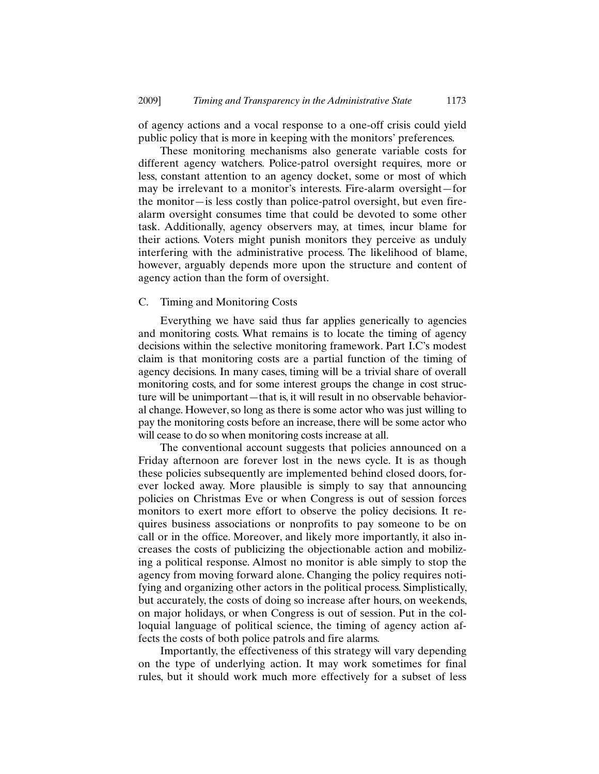of agency actions and a vocal response to a one-off crisis could yield public policy that is more in keeping with the monitors' preferences.

These monitoring mechanisms also generate variable costs for different agency watchers. Police-patrol oversight requires, more or less, constant attention to an agency docket, some or most of which may be irrelevant to a monitor's interests. Fire-alarm oversight—for the monitor—is less costly than police-patrol oversight, but even firealarm oversight consumes time that could be devoted to some other task. Additionally, agency observers may, at times, incur blame for their actions. Voters might punish monitors they perceive as unduly interfering with the administrative process. The likelihood of blame, however, arguably depends more upon the structure and content of agency action than the form of oversight.

# C. Timing and Monitoring Costs

Everything we have said thus far applies generically to agencies and monitoring costs. What remains is to locate the timing of agency decisions within the selective monitoring framework. Part I.C's modest claim is that monitoring costs are a partial function of the timing of agency decisions. In many cases, timing will be a trivial share of overall monitoring costs, and for some interest groups the change in cost structure will be unimportant—that is, it will result in no observable behavioral change. However, so long as there is some actor who was just willing to pay the monitoring costs before an increase, there will be some actor who will cease to do so when monitoring costs increase at all.

The conventional account suggests that policies announced on a Friday afternoon are forever lost in the news cycle. It is as though these policies subsequently are implemented behind closed doors, forever locked away. More plausible is simply to say that announcing policies on Christmas Eve or when Congress is out of session forces monitors to exert more effort to observe the policy decisions. It requires business associations or nonprofits to pay someone to be on call or in the office. Moreover, and likely more importantly, it also increases the costs of publicizing the objectionable action and mobilizing a political response. Almost no monitor is able simply to stop the agency from moving forward alone. Changing the policy requires notifying and organizing other actors in the political process. Simplistically, but accurately, the costs of doing so increase after hours, on weekends, on major holidays, or when Congress is out of session. Put in the colloquial language of political science, the timing of agency action affects the costs of both police patrols and fire alarms.

Importantly, the effectiveness of this strategy will vary depending on the type of underlying action. It may work sometimes for final rules, but it should work much more effectively for a subset of less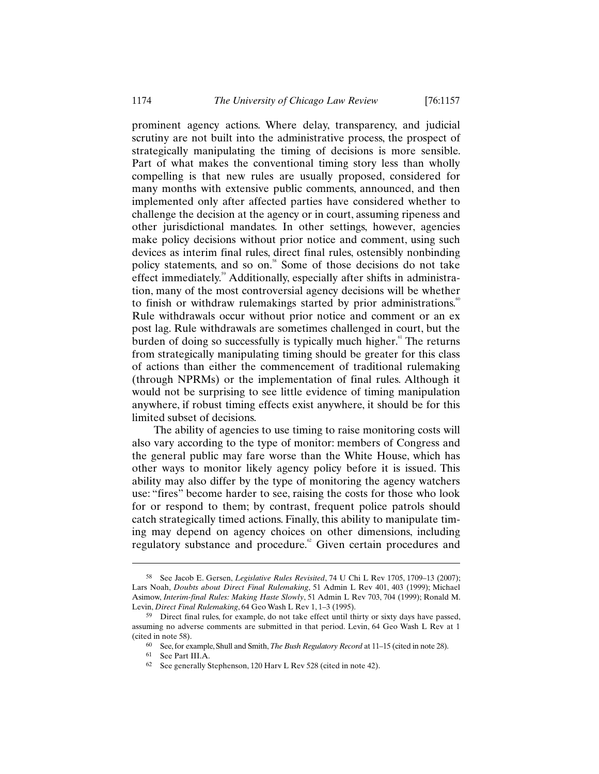prominent agency actions. Where delay, transparency, and judicial scrutiny are not built into the administrative process, the prospect of strategically manipulating the timing of decisions is more sensible. Part of what makes the conventional timing story less than wholly compelling is that new rules are usually proposed, considered for many months with extensive public comments, announced, and then implemented only after affected parties have considered whether to challenge the decision at the agency or in court, assuming ripeness and other jurisdictional mandates. In other settings, however, agencies make policy decisions without prior notice and comment, using such devices as interim final rules, direct final rules, ostensibly nonbinding policy statements, and so on.<sup>58</sup> Some of those decisions do not take effect immediately.<sup>59</sup> Additionally, especially after shifts in administration, many of the most controversial agency decisions will be whether to finish or withdraw rulemakings started by prior administrations.<sup>60</sup> Rule withdrawals occur without prior notice and comment or an ex post lag. Rule withdrawals are sometimes challenged in court, but the burden of doing so successfully is typically much higher.<sup>61</sup> The returns from strategically manipulating timing should be greater for this class of actions than either the commencement of traditional rulemaking (through NPRMs) or the implementation of final rules. Although it would not be surprising to see little evidence of timing manipulation anywhere, if robust timing effects exist anywhere, it should be for this limited subset of decisions.

The ability of agencies to use timing to raise monitoring costs will also vary according to the type of monitor: members of Congress and the general public may fare worse than the White House, which has other ways to monitor likely agency policy before it is issued. This ability may also differ by the type of monitoring the agency watchers use: "fires" become harder to see, raising the costs for those who look for or respond to them; by contrast, frequent police patrols should catch strategically timed actions. Finally, this ability to manipulate timing may depend on agency choices on other dimensions, including regulatory substance and procedure.<sup>62</sup> Given certain procedures and

<sup>58</sup> See Jacob E. Gersen, *Legislative Rules Revisited*, 74 U Chi L Rev 1705, 1709–13 (2007); Lars Noah, *Doubts about Direct Final Rulemaking*, 51 Admin L Rev 401, 403 (1999); Michael Asimow, *Interim-final Rules: Making Haste Slowly*, 51 Admin L Rev 703, 704 (1999); Ronald M. Levin, *Direct Final Rulemaking*, 64 Geo Wash L Rev 1, 1–3 (1995).

<sup>&</sup>lt;sup>59</sup> Direct final rules, for example, do not take effect until thirty or sixty days have passed, assuming no adverse comments are submitted in that period. Levin, 64 Geo Wash L Rev at 1 (cited in note 58).

<sup>60</sup> See, for example, Shull and Smith, *The Bush Regulatory Record* at 11–15 (cited in note 28).

<sup>61</sup> See Part III.A.

<sup>62</sup> See generally Stephenson, 120 Harv L Rev 528 (cited in note 42).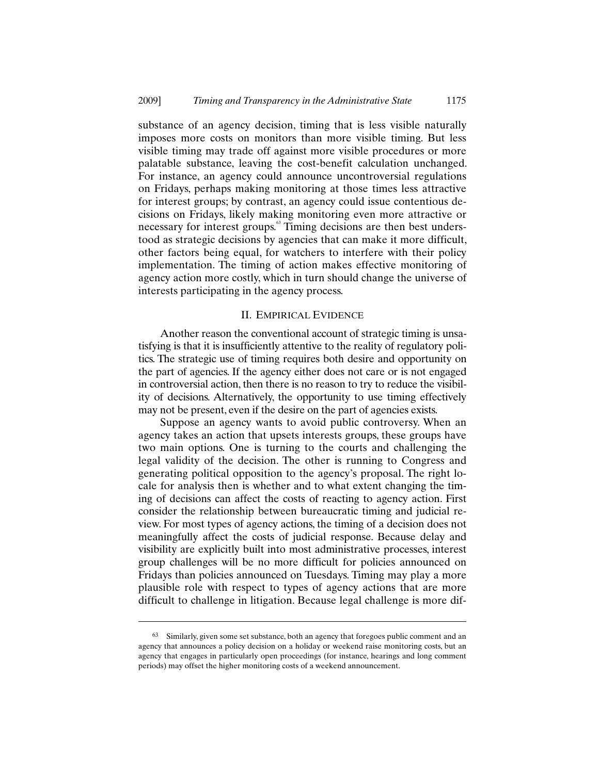substance of an agency decision, timing that is less visible naturally imposes more costs on monitors than more visible timing. But less visible timing may trade off against more visible procedures or more palatable substance, leaving the cost-benefit calculation unchanged. For instance, an agency could announce uncontroversial regulations on Fridays, perhaps making monitoring at those times less attractive for interest groups; by contrast, an agency could issue contentious decisions on Fridays, likely making monitoring even more attractive or necessary for interest groups.<sup>63</sup> Timing decisions are then best understood as strategic decisions by agencies that can make it more difficult, other factors being equal, for watchers to interfere with their policy implementation. The timing of action makes effective monitoring of agency action more costly, which in turn should change the universe of interests participating in the agency process.

### II. EMPIRICAL EVIDENCE

Another reason the conventional account of strategic timing is unsatisfying is that it is insufficiently attentive to the reality of regulatory politics. The strategic use of timing requires both desire and opportunity on the part of agencies. If the agency either does not care or is not engaged in controversial action, then there is no reason to try to reduce the visibility of decisions. Alternatively, the opportunity to use timing effectively may not be present, even if the desire on the part of agencies exists.

Suppose an agency wants to avoid public controversy. When an agency takes an action that upsets interests groups, these groups have two main options. One is turning to the courts and challenging the legal validity of the decision. The other is running to Congress and generating political opposition to the agency's proposal. The right locale for analysis then is whether and to what extent changing the timing of decisions can affect the costs of reacting to agency action. First consider the relationship between bureaucratic timing and judicial review. For most types of agency actions, the timing of a decision does not meaningfully affect the costs of judicial response. Because delay and visibility are explicitly built into most administrative processes, interest group challenges will be no more difficult for policies announced on Fridays than policies announced on Tuesdays. Timing may play a more plausible role with respect to types of agency actions that are more difficult to challenge in litigation. Because legal challenge is more dif-

<sup>63</sup> Similarly, given some set substance, both an agency that foregoes public comment and an agency that announces a policy decision on a holiday or weekend raise monitoring costs, but an agency that engages in particularly open proceedings (for instance, hearings and long comment periods) may offset the higher monitoring costs of a weekend announcement.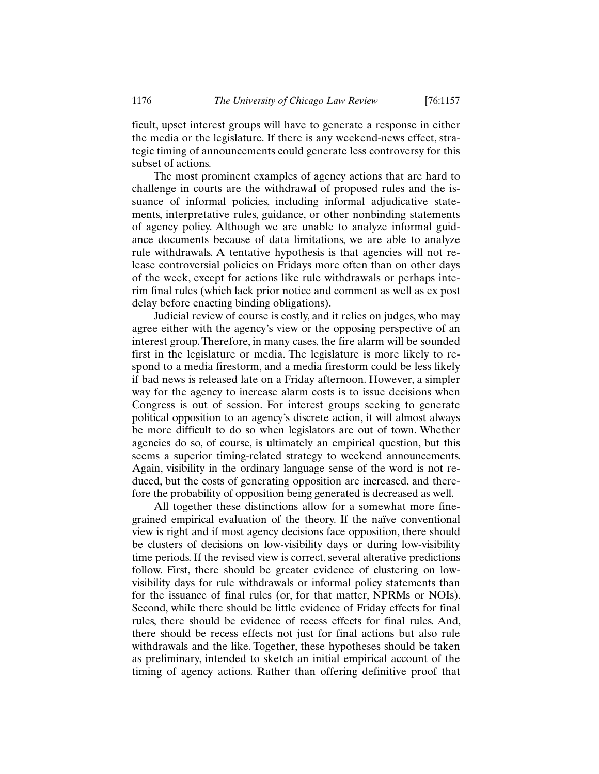ficult, upset interest groups will have to generate a response in either the media or the legislature. If there is any weekend-news effect, strategic timing of announcements could generate less controversy for this subset of actions.

The most prominent examples of agency actions that are hard to challenge in courts are the withdrawal of proposed rules and the issuance of informal policies, including informal adjudicative statements, interpretative rules, guidance, or other nonbinding statements of agency policy. Although we are unable to analyze informal guidance documents because of data limitations, we are able to analyze rule withdrawals. A tentative hypothesis is that agencies will not release controversial policies on Fridays more often than on other days of the week, except for actions like rule withdrawals or perhaps interim final rules (which lack prior notice and comment as well as ex post delay before enacting binding obligations).

Judicial review of course is costly, and it relies on judges, who may agree either with the agency's view or the opposing perspective of an interest group. Therefore, in many cases, the fire alarm will be sounded first in the legislature or media. The legislature is more likely to respond to a media firestorm, and a media firestorm could be less likely if bad news is released late on a Friday afternoon. However, a simpler way for the agency to increase alarm costs is to issue decisions when Congress is out of session. For interest groups seeking to generate political opposition to an agency's discrete action, it will almost always be more difficult to do so when legislators are out of town. Whether agencies do so, of course, is ultimately an empirical question, but this seems a superior timing-related strategy to weekend announcements. Again, visibility in the ordinary language sense of the word is not reduced, but the costs of generating opposition are increased, and therefore the probability of opposition being generated is decreased as well.

All together these distinctions allow for a somewhat more finegrained empirical evaluation of the theory. If the naïve conventional view is right and if most agency decisions face opposition, there should be clusters of decisions on low-visibility days or during low-visibility time periods. If the revised view is correct, several alterative predictions follow. First, there should be greater evidence of clustering on lowvisibility days for rule withdrawals or informal policy statements than for the issuance of final rules (or, for that matter, NPRMs or NOIs). Second, while there should be little evidence of Friday effects for final rules, there should be evidence of recess effects for final rules. And, there should be recess effects not just for final actions but also rule withdrawals and the like. Together, these hypotheses should be taken as preliminary, intended to sketch an initial empirical account of the timing of agency actions. Rather than offering definitive proof that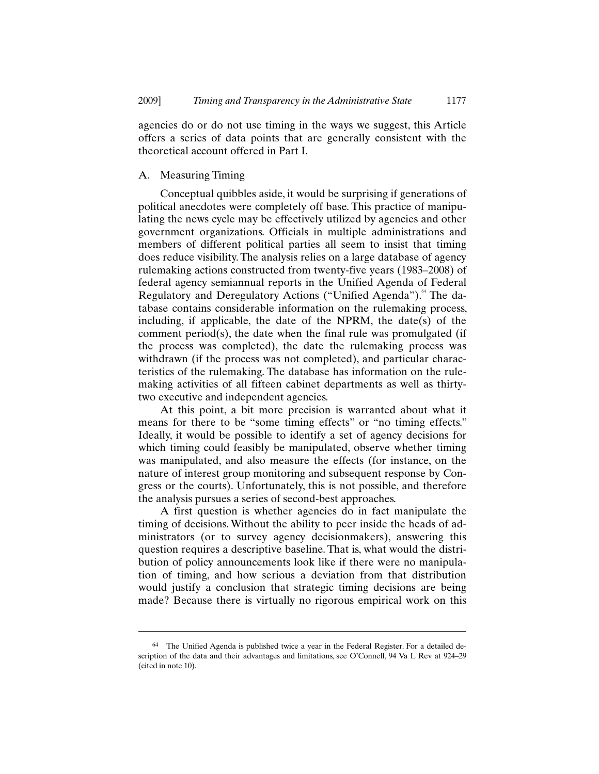agencies do or do not use timing in the ways we suggest, this Article offers a series of data points that are generally consistent with the theoretical account offered in Part I.

### A. Measuring Timing

-

Conceptual quibbles aside, it would be surprising if generations of political anecdotes were completely off base. This practice of manipulating the news cycle may be effectively utilized by agencies and other government organizations. Officials in multiple administrations and members of different political parties all seem to insist that timing does reduce visibility. The analysis relies on a large database of agency rulemaking actions constructed from twenty-five years (1983–2008) of federal agency semiannual reports in the Unified Agenda of Federal Regulatory and Deregulatory Actions ("Unified Agenda").<sup>64</sup> The database contains considerable information on the rulemaking process, including, if applicable, the date of the NPRM, the date(s) of the comment period(s), the date when the final rule was promulgated (if the process was completed), the date the rulemaking process was withdrawn (if the process was not completed), and particular characteristics of the rulemaking. The database has information on the rulemaking activities of all fifteen cabinet departments as well as thirtytwo executive and independent agencies.

At this point, a bit more precision is warranted about what it means for there to be "some timing effects" or "no timing effects." Ideally, it would be possible to identify a set of agency decisions for which timing could feasibly be manipulated, observe whether timing was manipulated, and also measure the effects (for instance, on the nature of interest group monitoring and subsequent response by Congress or the courts). Unfortunately, this is not possible, and therefore the analysis pursues a series of second-best approaches.

A first question is whether agencies do in fact manipulate the timing of decisions. Without the ability to peer inside the heads of administrators (or to survey agency decisionmakers), answering this question requires a descriptive baseline. That is, what would the distribution of policy announcements look like if there were no manipulation of timing, and how serious a deviation from that distribution would justify a conclusion that strategic timing decisions are being made? Because there is virtually no rigorous empirical work on this

<sup>64</sup> The Unified Agenda is published twice a year in the Federal Register. For a detailed description of the data and their advantages and limitations, see O'Connell, 94 Va L Rev at 924–29 (cited in note 10).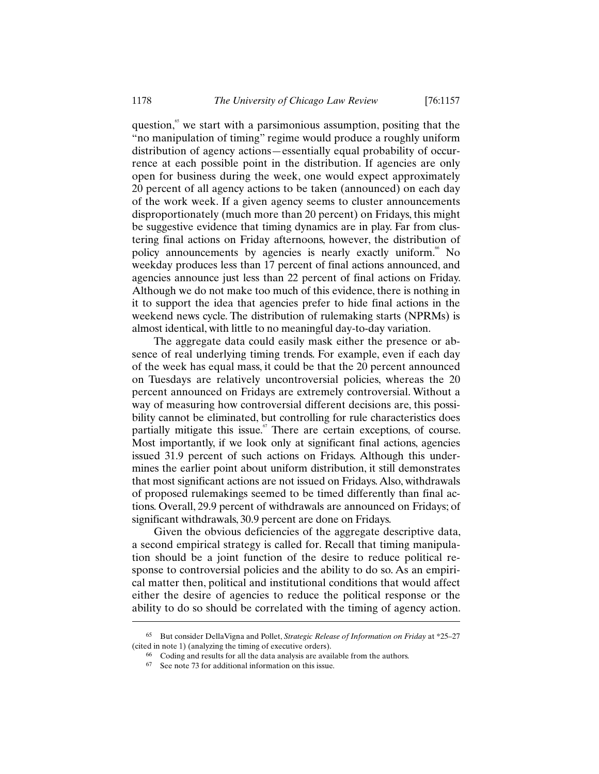question, $\frac{6}{5}$  we start with a parsimonious assumption, positing that the "no manipulation of timing" regime would produce a roughly uniform distribution of agency actions—essentially equal probability of occurrence at each possible point in the distribution. If agencies are only open for business during the week, one would expect approximately 20 percent of all agency actions to be taken (announced) on each day of the work week. If a given agency seems to cluster announcements disproportionately (much more than 20 percent) on Fridays, this might be suggestive evidence that timing dynamics are in play. Far from clustering final actions on Friday afternoons, however, the distribution of policy announcements by agencies is nearly exactly uniform.<sup>66</sup> No weekday produces less than 17 percent of final actions announced, and agencies announce just less than 22 percent of final actions on Friday. Although we do not make too much of this evidence, there is nothing in it to support the idea that agencies prefer to hide final actions in the weekend news cycle. The distribution of rulemaking starts (NPRMs) is almost identical, with little to no meaningful day-to-day variation.

The aggregate data could easily mask either the presence or absence of real underlying timing trends. For example, even if each day of the week has equal mass, it could be that the 20 percent announced on Tuesdays are relatively uncontroversial policies, whereas the 20 percent announced on Fridays are extremely controversial. Without a way of measuring how controversial different decisions are, this possibility cannot be eliminated, but controlling for rule characteristics does partially mitigate this issue. $\degree$  There are certain exceptions, of course. Most importantly, if we look only at significant final actions, agencies issued 31.9 percent of such actions on Fridays. Although this undermines the earlier point about uniform distribution, it still demonstrates that most significant actions are not issued on Fridays. Also, withdrawals of proposed rulemakings seemed to be timed differently than final actions. Overall, 29.9 percent of withdrawals are announced on Fridays; of significant withdrawals, 30.9 percent are done on Fridays.

Given the obvious deficiencies of the aggregate descriptive data, a second empirical strategy is called for. Recall that timing manipulation should be a joint function of the desire to reduce political response to controversial policies and the ability to do so. As an empirical matter then, political and institutional conditions that would affect either the desire of agencies to reduce the political response or the ability to do so should be correlated with the timing of agency action.

<sup>65</sup> But consider DellaVigna and Pollet, *Strategic Release of Information on Friday* at \*25–27 (cited in note 1) (analyzing the timing of executive orders).

<sup>66</sup> Coding and results for all the data analysis are available from the authors.

<sup>67</sup> See note 73 for additional information on this issue.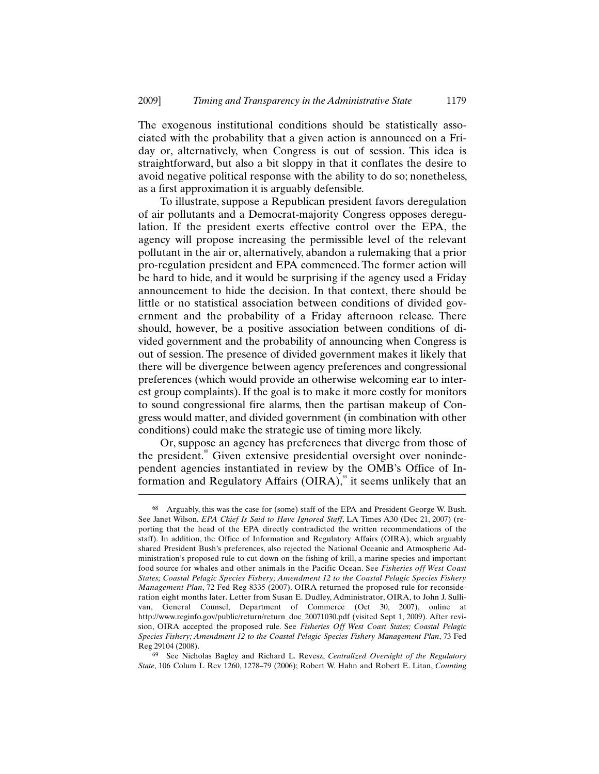The exogenous institutional conditions should be statistically associated with the probability that a given action is announced on a Friday or, alternatively, when Congress is out of session. This idea is straightforward, but also a bit sloppy in that it conflates the desire to avoid negative political response with the ability to do so; nonetheless, as a first approximation it is arguably defensible.

To illustrate, suppose a Republican president favors deregulation of air pollutants and a Democrat-majority Congress opposes deregulation. If the president exerts effective control over the EPA, the agency will propose increasing the permissible level of the relevant pollutant in the air or, alternatively, abandon a rulemaking that a prior pro-regulation president and EPA commenced. The former action will be hard to hide, and it would be surprising if the agency used a Friday announcement to hide the decision. In that context, there should be little or no statistical association between conditions of divided government and the probability of a Friday afternoon release. There should, however, be a positive association between conditions of divided government and the probability of announcing when Congress is out of session. The presence of divided government makes it likely that there will be divergence between agency preferences and congressional preferences (which would provide an otherwise welcoming ear to interest group complaints). If the goal is to make it more costly for monitors to sound congressional fire alarms, then the partisan makeup of Congress would matter, and divided government (in combination with other conditions) could make the strategic use of timing more likely.

Or, suppose an agency has preferences that diverge from those of the president.<sup>88</sup> Given extensive presidential oversight over nonindependent agencies instantiated in review by the OMB's Office of Information and Regulatory Affairs  $(OIRA)$ ,<sup> $\circ$ </sup> it seems unlikely that an

 $\overline{a}$ 

69 See Nicholas Bagley and Richard L. Revesz, *Centralized Oversight of the Regulatory State*, 106 Colum L Rev 1260, 1278–79 (2006); Robert W. Hahn and Robert E. Litan, *Counting* 

Arguably, this was the case for (some) staff of the EPA and President George W. Bush. See Janet Wilson, *EPA Chief Is Said to Have Ignored Staff*, LA Times A30 (Dec 21, 2007) (reporting that the head of the EPA directly contradicted the written recommendations of the staff). In addition, the Office of Information and Regulatory Affairs (OIRA), which arguably shared President Bush's preferences, also rejected the National Oceanic and Atmospheric Administration's proposed rule to cut down on the fishing of krill, a marine species and important food source for whales and other animals in the Pacific Ocean. See *Fisheries off West Coast States; Coastal Pelagic Species Fishery; Amendment 12 to the Coastal Pelagic Species Fishery Management Plan*, 72 Fed Reg 8335 (2007). OIRA returned the proposed rule for reconsideration eight months later. Letter from Susan E. Dudley, Administrator, OIRA, to John J. Sullivan, General Counsel, Department of Commerce (Oct 30, 2007), online at http://www.reginfo.gov/public/return/return\_doc\_20071030.pdf (visited Sept 1, 2009). After revision, OIRA accepted the proposed rule. See *Fisheries Off West Coast States; Coastal Pelagic Species Fishery; Amendment 12 to the Coastal Pelagic Species Fishery Management Plan*, 73 Fed Reg 29104 (2008).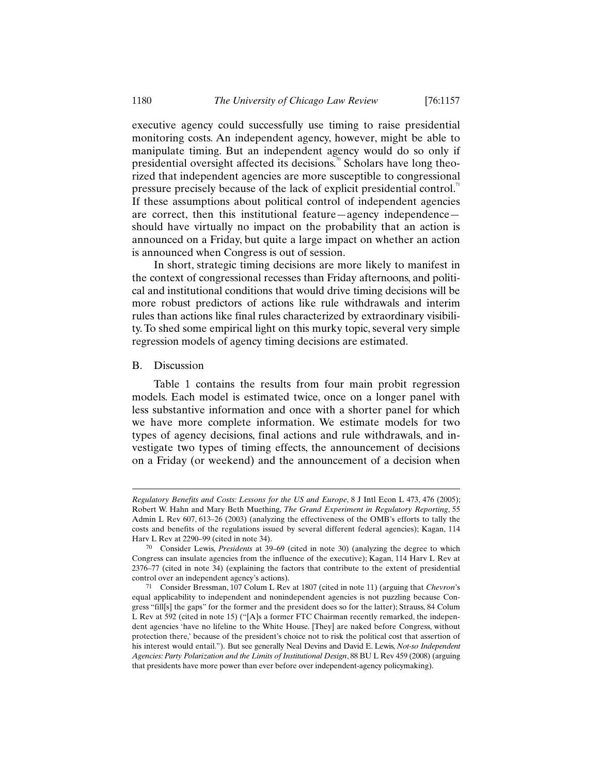executive agency could successfully use timing to raise presidential monitoring costs. An independent agency, however, might be able to manipulate timing. But an independent agency would do so only if presidential oversight affected its decisions.<sup>70</sup> Scholars have long theorized that independent agencies are more susceptible to congressional pressure precisely because of the lack of explicit presidential control.<sup>7</sup> If these assumptions about political control of independent agencies are correct, then this institutional feature—agency independence should have virtually no impact on the probability that an action is announced on a Friday, but quite a large impact on whether an action is announced when Congress is out of session.

In short, strategic timing decisions are more likely to manifest in the context of congressional recesses than Friday afternoons, and political and institutional conditions that would drive timing decisions will be more robust predictors of actions like rule withdrawals and interim rules than actions like final rules characterized by extraordinary visibility. To shed some empirical light on this murky topic, several very simple regression models of agency timing decisions are estimated.

## B. Discussion

 $\overline{a}$ 

Table 1 contains the results from four main probit regression models. Each model is estimated twice, once on a longer panel with less substantive information and once with a shorter panel for which we have more complete information. We estimate models for two types of agency decisions, final actions and rule withdrawals, and investigate two types of timing effects, the announcement of decisions on a Friday (or weekend) and the announcement of a decision when

*Regulatory Benefits and Costs: Lessons for the US and Europe*, 8 J Intl Econ L 473, 476 (2005); Robert W. Hahn and Mary Beth Muething, *The Grand Experiment in Regulatory Reporting*, 55 Admin L Rev 607, 613–26 (2003) (analyzing the effectiveness of the OMB's efforts to tally the costs and benefits of the regulations issued by several different federal agencies); Kagan, 114 Harv L Rev at 2290–99 (cited in note 34).

<sup>70</sup> Consider Lewis, *Presidents* at 39–69 (cited in note 30) (analyzing the degree to which Congress can insulate agencies from the influence of the executive); Kagan, 114 Harv L Rev at 2376–77 (cited in note 34) (explaining the factors that contribute to the extent of presidential control over an independent agency's actions).

<sup>71</sup> Consider Bressman, 107 Colum L Rev at 1807 (cited in note 11) (arguing that *Chevron*'s equal applicability to independent and nonindependent agencies is not puzzling because Congress "fill[s] the gaps" for the former and the president does so for the latter); Strauss, 84 Colum L Rev at 592 (cited in note 15) ("[A]s a former FTC Chairman recently remarked, the independent agencies 'have no lifeline to the White House. [They] are naked before Congress, without protection there,' because of the president's choice not to risk the political cost that assertion of his interest would entail."). But see generally Neal Devins and David E. Lewis, *Not-so Independent Agencies: Party Polarization and the Limits of Institutional Design*, 88 BU L Rev 459 (2008) (arguing that presidents have more power than ever before over independent-agency policymaking).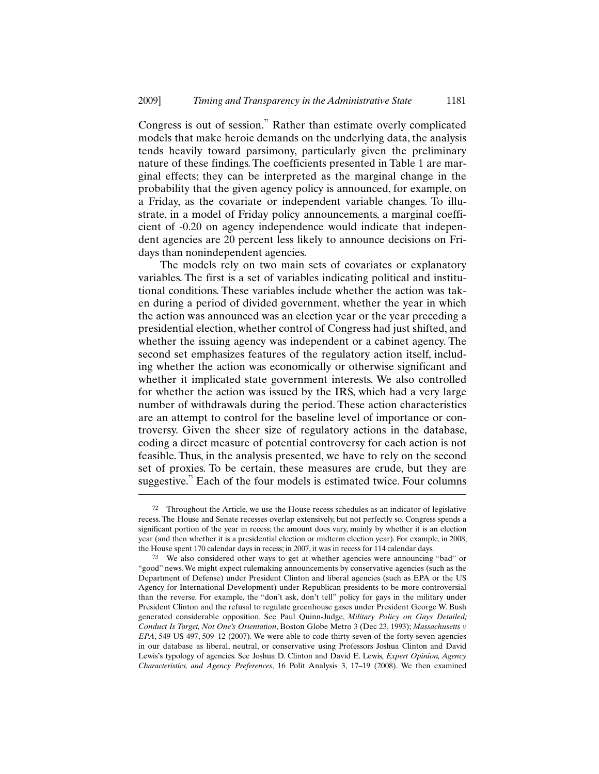Congress is out of session.<sup> $\alpha$ </sup> Rather than estimate overly complicated models that make heroic demands on the underlying data, the analysis tends heavily toward parsimony, particularly given the preliminary nature of these findings. The coefficients presented in Table 1 are marginal effects; they can be interpreted as the marginal change in the probability that the given agency policy is announced, for example, on a Friday, as the covariate or independent variable changes. To illustrate, in a model of Friday policy announcements, a marginal coefficient of -0.20 on agency independence would indicate that independent agencies are 20 percent less likely to announce decisions on Fridays than nonindependent agencies.

The models rely on two main sets of covariates or explanatory variables. The first is a set of variables indicating political and institutional conditions. These variables include whether the action was taken during a period of divided government, whether the year in which the action was announced was an election year or the year preceding a presidential election, whether control of Congress had just shifted, and whether the issuing agency was independent or a cabinet agency. The second set emphasizes features of the regulatory action itself, including whether the action was economically or otherwise significant and whether it implicated state government interests. We also controlled for whether the action was issued by the IRS, which had a very large number of withdrawals during the period. These action characteristics are an attempt to control for the baseline level of importance or controversy. Given the sheer size of regulatory actions in the database, coding a direct measure of potential controversy for each action is not feasible. Thus, in the analysis presented, we have to rely on the second set of proxies. To be certain, these measures are crude, but they are suggestive. $\overline{3}$  Each of the four models is estimated twice. Four columns

<sup>72</sup> Throughout the Article, we use the House recess schedules as an indicator of legislative recess. The House and Senate recesses overlap extensively, but not perfectly so. Congress spends a significant portion of the year in recess; the amount does vary, mainly by whether it is an election year (and then whether it is a presidential election or midterm election year). For example, in 2008, the House spent 170 calendar days in recess; in 2007, it was in recess for 114 calendar days.

<sup>73</sup> We also considered other ways to get at whether agencies were announcing "bad" or "good" news. We might expect rulemaking announcements by conservative agencies (such as the Department of Defense) under President Clinton and liberal agencies (such as EPA or the US Agency for International Development) under Republican presidents to be more controversial than the reverse. For example, the "don't ask, don't tell" policy for gays in the military under President Clinton and the refusal to regulate greenhouse gases under President George W. Bush generated considerable opposition. See Paul Quinn-Judge, *Military Policy on Gays Detailed; Conduct Is Target, Not One's Orientation*, Boston Globe Metro 3 (Dec 23, 1993); *Massachusetts v EPA*, 549 US 497, 509–12 (2007). We were able to code thirty-seven of the forty-seven agencies in our database as liberal, neutral, or conservative using Professors Joshua Clinton and David Lewis's typology of agencies. See Joshua D. Clinton and David E. Lewis, *Expert Opinion, Agency Characteristics, and Agency Preferences*, 16 Polit Analysis 3, 17–19 (2008). We then examined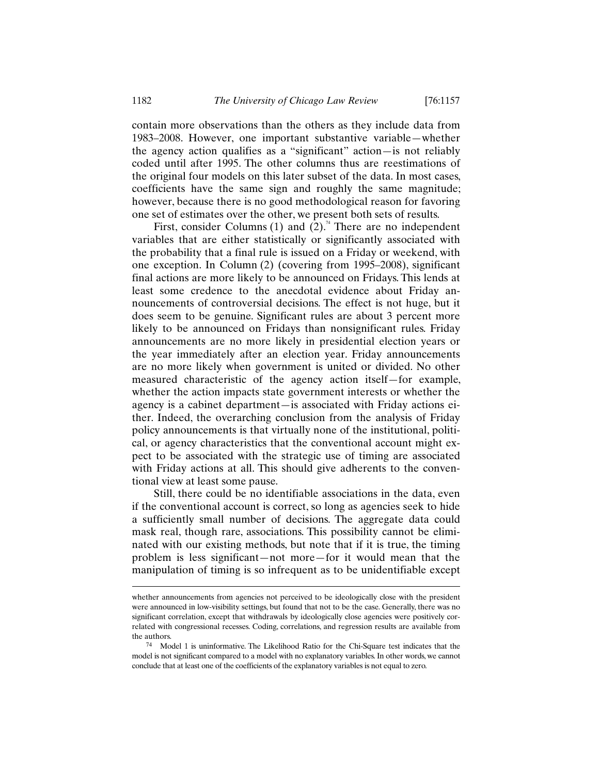contain more observations than the others as they include data from 1983–2008. However, one important substantive variable—whether the agency action qualifies as a "significant" action—is not reliably coded until after 1995. The other columns thus are reestimations of the original four models on this later subset of the data. In most cases, coefficients have the same sign and roughly the same magnitude; however, because there is no good methodological reason for favoring one set of estimates over the other, we present both sets of results.

First, consider Columns (1) and  $(2)^{n}$  There are no independent variables that are either statistically or significantly associated with the probability that a final rule is issued on a Friday or weekend, with one exception. In Column (2) (covering from 1995–2008), significant final actions are more likely to be announced on Fridays. This lends at least some credence to the anecdotal evidence about Friday announcements of controversial decisions. The effect is not huge, but it does seem to be genuine. Significant rules are about 3 percent more likely to be announced on Fridays than nonsignificant rules. Friday announcements are no more likely in presidential election years or the year immediately after an election year. Friday announcements are no more likely when government is united or divided. No other measured characteristic of the agency action itself—for example, whether the action impacts state government interests or whether the agency is a cabinet department—is associated with Friday actions either. Indeed, the overarching conclusion from the analysis of Friday policy announcements is that virtually none of the institutional, political, or agency characteristics that the conventional account might expect to be associated with the strategic use of timing are associated with Friday actions at all. This should give adherents to the conventional view at least some pause.

Still, there could be no identifiable associations in the data, even if the conventional account is correct, so long as agencies seek to hide a sufficiently small number of decisions. The aggregate data could mask real, though rare, associations. This possibility cannot be eliminated with our existing methods, but note that if it is true, the timing problem is less significant—not more—for it would mean that the manipulation of timing is so infrequent as to be unidentifiable except

whether announcements from agencies not perceived to be ideologically close with the president were announced in low-visibility settings, but found that not to be the case. Generally, there was no significant correlation, except that withdrawals by ideologically close agencies were positively correlated with congressional recesses. Coding, correlations, and regression results are available from the authors.

<sup>74</sup> Model 1 is uninformative. The Likelihood Ratio for the Chi-Square test indicates that the model is not significant compared to a model with no explanatory variables. In other words, we cannot conclude that at least one of the coefficients of the explanatory variables is not equal to zero.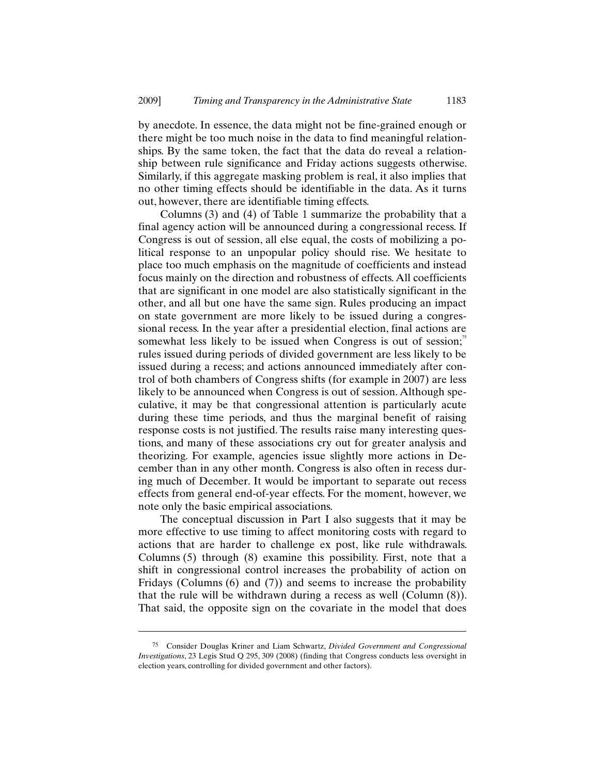by anecdote. In essence, the data might not be fine-grained enough or there might be too much noise in the data to find meaningful relationships. By the same token, the fact that the data do reveal a relationship between rule significance and Friday actions suggests otherwise. Similarly, if this aggregate masking problem is real, it also implies that no other timing effects should be identifiable in the data. As it turns out, however, there are identifiable timing effects.

Columns (3) and (4) of Table 1 summarize the probability that a final agency action will be announced during a congressional recess. If Congress is out of session, all else equal, the costs of mobilizing a political response to an unpopular policy should rise. We hesitate to place too much emphasis on the magnitude of coefficients and instead focus mainly on the direction and robustness of effects. All coefficients that are significant in one model are also statistically significant in the other, and all but one have the same sign. Rules producing an impact on state government are more likely to be issued during a congressional recess. In the year after a presidential election, final actions are somewhat less likely to be issued when Congress is out of session; $\overline{5}$ rules issued during periods of divided government are less likely to be issued during a recess; and actions announced immediately after control of both chambers of Congress shifts (for example in 2007) are less likely to be announced when Congress is out of session. Although speculative, it may be that congressional attention is particularly acute during these time periods, and thus the marginal benefit of raising response costs is not justified. The results raise many interesting questions, and many of these associations cry out for greater analysis and theorizing. For example, agencies issue slightly more actions in December than in any other month. Congress is also often in recess during much of December. It would be important to separate out recess effects from general end-of-year effects. For the moment, however, we note only the basic empirical associations.

The conceptual discussion in Part I also suggests that it may be more effective to use timing to affect monitoring costs with regard to actions that are harder to challenge ex post, like rule withdrawals. Columns (5) through (8) examine this possibility. First, note that a shift in congressional control increases the probability of action on Fridays (Columns (6) and (7)) and seems to increase the probability that the rule will be withdrawn during a recess as well (Column (8)). That said, the opposite sign on the covariate in the model that does

<sup>75</sup> Consider Douglas Kriner and Liam Schwartz, *Divided Government and Congressional Investigations*, 23 Legis Stud Q 295, 309 (2008) (finding that Congress conducts less oversight in election years, controlling for divided government and other factors).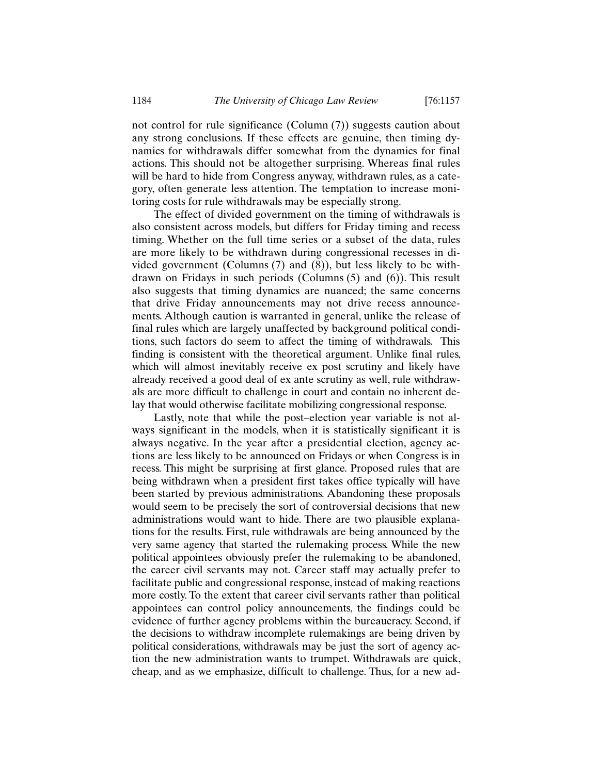not control for rule significance (Column (7)) suggests caution about any strong conclusions. If these effects are genuine, then timing dynamics for withdrawals differ somewhat from the dynamics for final actions. This should not be altogether surprising. Whereas final rules will be hard to hide from Congress anyway, withdrawn rules, as a category, often generate less attention. The temptation to increase monitoring costs for rule withdrawals may be especially strong.

The effect of divided government on the timing of withdrawals is also consistent across models, but differs for Friday timing and recess timing. Whether on the full time series or a subset of the data, rules are more likely to be withdrawn during congressional recesses in divided government (Columns (7) and (8)), but less likely to be withdrawn on Fridays in such periods (Columns (5) and (6)). This result also suggests that timing dynamics are nuanced; the same concerns that drive Friday announcements may not drive recess announcements. Although caution is warranted in general, unlike the release of final rules which are largely unaffected by background political conditions, such factors do seem to affect the timing of withdrawals. This finding is consistent with the theoretical argument. Unlike final rules, which will almost inevitably receive ex post scrutiny and likely have already received a good deal of ex ante scrutiny as well, rule withdrawals are more difficult to challenge in court and contain no inherent delay that would otherwise facilitate mobilizing congressional response.

Lastly, note that while the post–election year variable is not always significant in the models, when it is statistically significant it is always negative. In the year after a presidential election, agency actions are less likely to be announced on Fridays or when Congress is in recess. This might be surprising at first glance. Proposed rules that are being withdrawn when a president first takes office typically will have been started by previous administrations. Abandoning these proposals would seem to be precisely the sort of controversial decisions that new administrations would want to hide. There are two plausible explanations for the results. First, rule withdrawals are being announced by the very same agency that started the rulemaking process. While the new political appointees obviously prefer the rulemaking to be abandoned, the career civil servants may not. Career staff may actually prefer to facilitate public and congressional response, instead of making reactions more costly. To the extent that career civil servants rather than political appointees can control policy announcements, the findings could be evidence of further agency problems within the bureaucracy. Second, if the decisions to withdraw incomplete rulemakings are being driven by political considerations, withdrawals may be just the sort of agency action the new administration wants to trumpet. Withdrawals are quick, cheap, and as we emphasize, difficult to challenge. Thus, for a new ad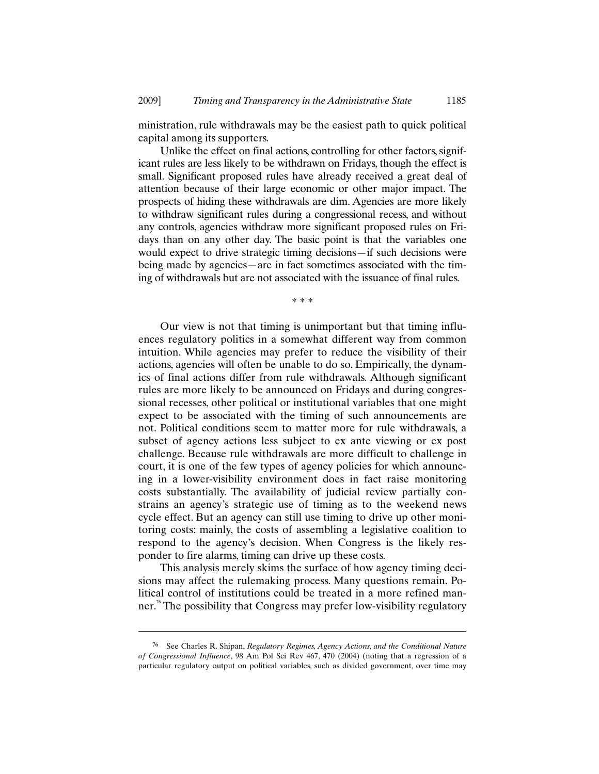ministration, rule withdrawals may be the easiest path to quick political capital among its supporters.

Unlike the effect on final actions, controlling for other factors, significant rules are less likely to be withdrawn on Fridays, though the effect is small. Significant proposed rules have already received a great deal of attention because of their large economic or other major impact. The prospects of hiding these withdrawals are dim. Agencies are more likely to withdraw significant rules during a congressional recess, and without any controls, agencies withdraw more significant proposed rules on Fridays than on any other day. The basic point is that the variables one would expect to drive strategic timing decisions—if such decisions were being made by agencies—are in fact sometimes associated with the timing of withdrawals but are not associated with the issuance of final rules.

\* \* \*

Our view is not that timing is unimportant but that timing influences regulatory politics in a somewhat different way from common intuition. While agencies may prefer to reduce the visibility of their actions, agencies will often be unable to do so. Empirically, the dynamics of final actions differ from rule withdrawals. Although significant rules are more likely to be announced on Fridays and during congressional recesses, other political or institutional variables that one might expect to be associated with the timing of such announcements are not. Political conditions seem to matter more for rule withdrawals, a subset of agency actions less subject to ex ante viewing or ex post challenge. Because rule withdrawals are more difficult to challenge in court, it is one of the few types of agency policies for which announcing in a lower-visibility environment does in fact raise monitoring costs substantially. The availability of judicial review partially constrains an agency's strategic use of timing as to the weekend news cycle effect. But an agency can still use timing to drive up other monitoring costs: mainly, the costs of assembling a legislative coalition to respond to the agency's decision. When Congress is the likely responder to fire alarms, timing can drive up these costs.

This analysis merely skims the surface of how agency timing decisions may affect the rulemaking process. Many questions remain. Political control of institutions could be treated in a more refined manner. <sup>76</sup> The possibility that Congress may prefer low-visibility regulatory

<sup>76</sup> See Charles R. Shipan, *Regulatory Regimes, Agency Actions, and the Conditional Nature of Congressional Influence*, 98 Am Pol Sci Rev 467, 470 (2004) (noting that a regression of a particular regulatory output on political variables, such as divided government, over time may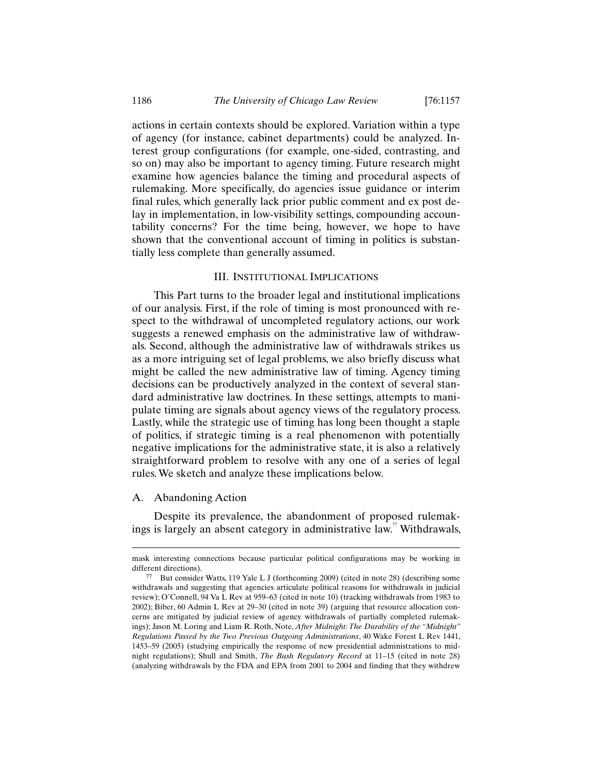actions in certain contexts should be explored. Variation within a type of agency (for instance, cabinet departments) could be analyzed. Interest group configurations (for example, one-sided, contrasting, and so on) may also be important to agency timing. Future research might examine how agencies balance the timing and procedural aspects of rulemaking. More specifically, do agencies issue guidance or interim final rules, which generally lack prior public comment and ex post delay in implementation, in low-visibility settings, compounding accountability concerns? For the time being, however, we hope to have shown that the conventional account of timing in politics is substantially less complete than generally assumed.

#### III. INSTITUTIONAL IMPLICATIONS

This Part turns to the broader legal and institutional implications of our analysis. First, if the role of timing is most pronounced with respect to the withdrawal of uncompleted regulatory actions, our work suggests a renewed emphasis on the administrative law of withdrawals. Second, although the administrative law of withdrawals strikes us as a more intriguing set of legal problems, we also briefly discuss what might be called the new administrative law of timing. Agency timing decisions can be productively analyzed in the context of several standard administrative law doctrines. In these settings, attempts to manipulate timing are signals about agency views of the regulatory process. Lastly, while the strategic use of timing has long been thought a staple of politics, if strategic timing is a real phenomenon with potentially negative implications for the administrative state, it is also a relatively straightforward problem to resolve with any one of a series of legal rules. We sketch and analyze these implications below.

#### A. Abandoning Action

 $\overline{a}$ 

Despite its prevalence, the abandonment of proposed rulemakings is largely an absent category in administrative law." Withdrawals,

mask interesting connections because particular political configurations may be working in different directions).

<sup>77</sup> But consider Watts, 119 Yale L J (forthcoming 2009) (cited in note 28) (describing some withdrawals and suggesting that agencies articulate political reasons for withdrawals in judicial review); O'Connell, 94 Va L Rev at 959–63 (cited in note 10) (tracking withdrawals from 1983 to 2002); Biber, 60 Admin L Rev at 29–30 (cited in note 39) (arguing that resource allocation concerns are mitigated by judicial review of agency withdrawals of partially completed rulemakings); Jason M. Loring and Liam R. Roth, Note, *After Midnight: The Durability of the "Midnight" Regulations Passed by the Two Previous Outgoing Administrations*, 40 Wake Forest L Rev 1441, 1453–59 (2005) (studying empirically the response of new presidential administrations to midnight regulations); Shull and Smith, *The Bush Regulatory Record* at 11–15 (cited in note 28) (analyzing withdrawals by the FDA and EPA from 2001 to 2004 and finding that they withdrew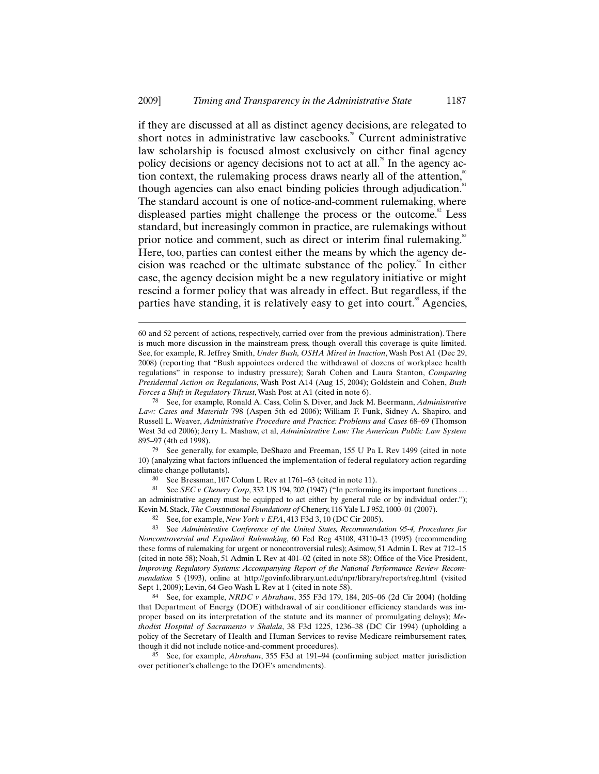if they are discussed at all as distinct agency decisions, are relegated to short notes in administrative law casebooks.<sup> $\text{A}$ </sup> Current administrative law scholarship is focused almost exclusively on either final agency policy decisions or agency decisions not to act at all.<sup>79</sup> In the agency action context, the rulemaking process draws nearly all of the attention, $\dot{\tilde{}}$ though agencies can also enact binding policies through adjudication.<sup>81</sup> The standard account is one of notice-and-comment rulemaking, where displeased parties might challenge the process or the outcome. $82$  Less standard, but increasingly common in practice, are rulemakings without prior notice and comment, such as direct or interim final rulemaking.<sup>83</sup> Here, too, parties can contest either the means by which the agency decision was reached or the ultimate substance of the policy.<sup>84</sup> In either case, the agency decision might be a new regulatory initiative or might rescind a former policy that was already in effect. But regardless, if the parties have standing, it is relatively easy to get into court.<sup>85</sup> Agencies,

79 See generally, for example, DeShazo and Freeman, 155 U Pa L Rev 1499 (cited in note 10) (analyzing what factors influenced the implementation of federal regulatory action regarding climate change pollutants).

80 See Bressman, 107 Colum L Rev at 1761–63 (cited in note 11).

-

81 See *SEC v Chenery Corp*, 332 US 194, 202 (1947) ("In performing its important functions . . . an administrative agency must be equipped to act either by general rule or by individual order."); Kevin M. Stack, *The Constitutional Foundations of* Chenery, 116 Yale L J 952, 1000–01 (2007).

See, for example, *New York v EPA*, 413 F3d 3, 10 (DC Cir 2005).

83 See *Administrative Conference of the United States, Recommendation 95-4, Procedures for Noncontroversial and Expedited Rulemaking*, 60 Fed Reg 43108, 43110–13 (1995) (recommending these forms of rulemaking for urgent or noncontroversial rules); Asimow, 51 Admin L Rev at 712–15 (cited in note 58); Noah, 51 Admin L Rev at 401–02 (cited in note 58); Office of the Vice President, *Improving Regulatory Systems: Accompanying Report of the National Performance Review Recommendation* 5 (1993), online at http://govinfo.library.unt.edu/npr/library/reports/reg.html (visited Sept 1, 2009); Levin, 64 Geo Wash L Rev at 1 (cited in note 58).

84 See, for example, *NRDC v Abraham*, 355 F3d 179, 184, 205–06 (2d Cir 2004) (holding that Department of Energy (DOE) withdrawal of air conditioner efficiency standards was improper based on its interpretation of the statute and its manner of promulgating delays); *Methodist Hospital of Sacramento v Shalala*, 38 F3d 1225, 1236–38 (DC Cir 1994) (upholding a policy of the Secretary of Health and Human Services to revise Medicare reimbursement rates, though it did not include notice-and-comment procedures).

85 See, for example, *Abraham*, 355 F3d at 191–94 (confirming subject matter jurisdiction over petitioner's challenge to the DOE's amendments).

<sup>60</sup> and 52 percent of actions, respectively, carried over from the previous administration). There is much more discussion in the mainstream press, though overall this coverage is quite limited. See, for example, R. Jeffrey Smith, *Under Bush, OSHA Mired in Inaction*, Wash Post A1 (Dec 29, 2008) (reporting that "Bush appointees ordered the withdrawal of dozens of workplace health regulations" in response to industry pressure); Sarah Cohen and Laura Stanton, *Comparing Presidential Action on Regulations*, Wash Post A14 (Aug 15, 2004); Goldstein and Cohen, *Bush Forces a Shift in Regulatory Thrust*, Wash Post at A1 (cited in note 6).

<sup>78</sup> See, for example, Ronald A. Cass, Colin S. Diver, and Jack M. Beermann, *Administrative Law: Cases and Materials* 798 (Aspen 5th ed 2006); William F. Funk, Sidney A. Shapiro, and Russell L. Weaver, *Administrative Procedure and Practice: Problems and Cases* 68–69 (Thomson West 3d ed 2006); Jerry L. Mashaw, et al, *Administrative Law: The American Public Law System* 895–97 (4th ed 1998).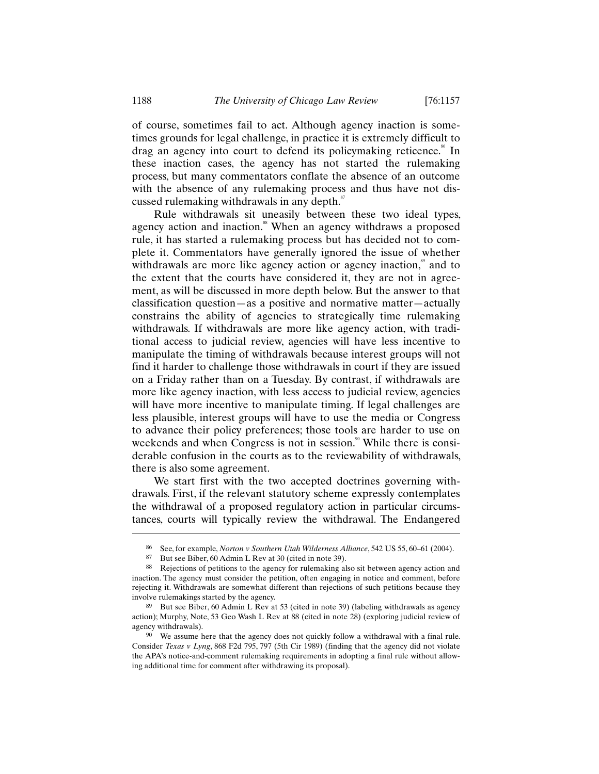of course, sometimes fail to act. Although agency inaction is sometimes grounds for legal challenge, in practice it is extremely difficult to drag an agency into court to defend its policymaking reticence.<sup>86</sup> In these inaction cases, the agency has not started the rulemaking process, but many commentators conflate the absence of an outcome with the absence of any rulemaking process and thus have not discussed rulemaking withdrawals in any depth. $\frac{s}{s}$ 

Rule withdrawals sit uneasily between these two ideal types, agency action and inaction.<sup>88</sup> When an agency withdraws a proposed rule, it has started a rulemaking process but has decided not to complete it. Commentators have generally ignored the issue of whether withdrawals are more like agency action or agency inaction,<sup>89</sup> and to the extent that the courts have considered it, they are not in agreement, as will be discussed in more depth below. But the answer to that classification question—as a positive and normative matter—actually constrains the ability of agencies to strategically time rulemaking withdrawals. If withdrawals are more like agency action, with traditional access to judicial review, agencies will have less incentive to manipulate the timing of withdrawals because interest groups will not find it harder to challenge those withdrawals in court if they are issued on a Friday rather than on a Tuesday. By contrast, if withdrawals are more like agency inaction, with less access to judicial review, agencies will have more incentive to manipulate timing. If legal challenges are less plausible, interest groups will have to use the media or Congress to advance their policy preferences; those tools are harder to use on weekends and when Congress is not in session.<sup>90</sup> While there is considerable confusion in the courts as to the reviewability of withdrawals, there is also some agreement.

We start first with the two accepted doctrines governing withdrawals. First, if the relevant statutory scheme expressly contemplates the withdrawal of a proposed regulatory action in particular circumstances, courts will typically review the withdrawal. The Endangered

<sup>86</sup> See, for example, *Norton v Southern Utah Wilderness Alliance*, 542 US 55, 60–61 (2004).

<sup>87</sup> But see Biber, 60 Admin L Rev at 30 (cited in note 39).

<sup>88</sup> Rejections of petitions to the agency for rulemaking also sit between agency action and inaction. The agency must consider the petition, often engaging in notice and comment, before rejecting it. Withdrawals are somewhat different than rejections of such petitions because they involve rulemakings started by the agency.

<sup>89</sup> But see Biber, 60 Admin L Rev at 53 (cited in note 39) (labeling withdrawals as agency action); Murphy, Note, 53 Geo Wash L Rev at 88 (cited in note 28) (exploring judicial review of agency withdrawals).

<sup>90</sup> We assume here that the agency does not quickly follow a withdrawal with a final rule. Consider *Texas v Lyng*, 868 F2d 795, 797 (5th Cir 1989) (finding that the agency did not violate the APA's notice-and-comment rulemaking requirements in adopting a final rule without allowing additional time for comment after withdrawing its proposal).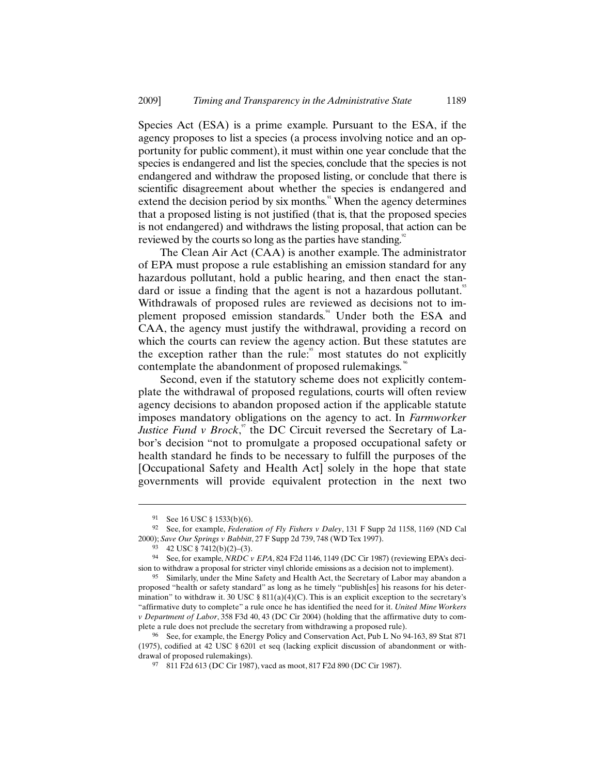Species Act (ESA) is a prime example. Pursuant to the ESA, if the agency proposes to list a species (a process involving notice and an opportunity for public comment), it must within one year conclude that the species is endangered and list the species, conclude that the species is not endangered and withdraw the proposed listing, or conclude that there is scientific disagreement about whether the species is endangered and extend the decision period by six months.<sup>91</sup> When the agency determines that a proposed listing is not justified (that is, that the proposed species is not endangered) and withdraws the listing proposal, that action can be reviewed by the courts so long as the parties have standing.<sup>92</sup>

The Clean Air Act (CAA) is another example. The administrator of EPA must propose a rule establishing an emission standard for any hazardous pollutant, hold a public hearing, and then enact the standard or issue a finding that the agent is not a hazardous pollutant.<sup>33</sup> Withdrawals of proposed rules are reviewed as decisions not to implement proposed emission standards.<sup>44</sup> Under both the ESA and CAA, the agency must justify the withdrawal, providing a record on which the courts can review the agency action. But these statutes are the exception rather than the rule: $\frac{95}{10}$  most statutes do not explicitly contemplate the abandonment of proposed rulemakings.<sup>66</sup>

Second, even if the statutory scheme does not explicitly contemplate the withdrawal of proposed regulations, courts will often review agency decisions to abandon proposed action if the applicable statute imposes mandatory obligations on the agency to act. In *Farmworker Justice Fund v Brock*,<sup>97</sup> the DC Circuit reversed the Secretary of Labor's decision "not to promulgate a proposed occupational safety or health standard he finds to be necessary to fulfill the purposes of the [Occupational Safety and Health Act] solely in the hope that state governments will provide equivalent protection in the next two

<sup>91</sup> See 16 USC § 1533(b)(6).

<sup>92</sup> See, for example, *Federation of Fly Fishers v Daley*, 131 F Supp 2d 1158, 1169 (ND Cal 2000); *Save Our Springs v Babbitt*, 27 F Supp 2d 739, 748 (WD Tex 1997).

<sup>93</sup> 42 USC § 7412(b)(2)–(3).

<sup>94</sup> See, for example, *NRDC v EPA*, 824 F2d 1146, 1149 (DC Cir 1987) (reviewing EPA's decision to withdraw a proposal for stricter vinyl chloride emissions as a decision not to implement).

<sup>95</sup> Similarly, under the Mine Safety and Health Act, the Secretary of Labor may abandon a proposed "health or safety standard" as long as he timely "publish[es] his reasons for his determination" to withdraw it. 30 USC §  $811(a)(4)(C)$ . This is an explicit exception to the secretary's "affirmative duty to complete" a rule once he has identified the need for it. *United Mine Workers v Department of Labor*, 358 F3d 40, 43 (DC Cir 2004) (holding that the affirmative duty to complete a rule does not preclude the secretary from withdrawing a proposed rule).

<sup>96</sup> See, for example, the Energy Policy and Conservation Act, Pub L No 94-163, 89 Stat 871 (1975), codified at 42 USC § 6201 et seq (lacking explicit discussion of abandonment or withdrawal of proposed rulemakings).

<sup>97</sup> 811 F2d 613 (DC Cir 1987), vacd as moot, 817 F2d 890 (DC Cir 1987).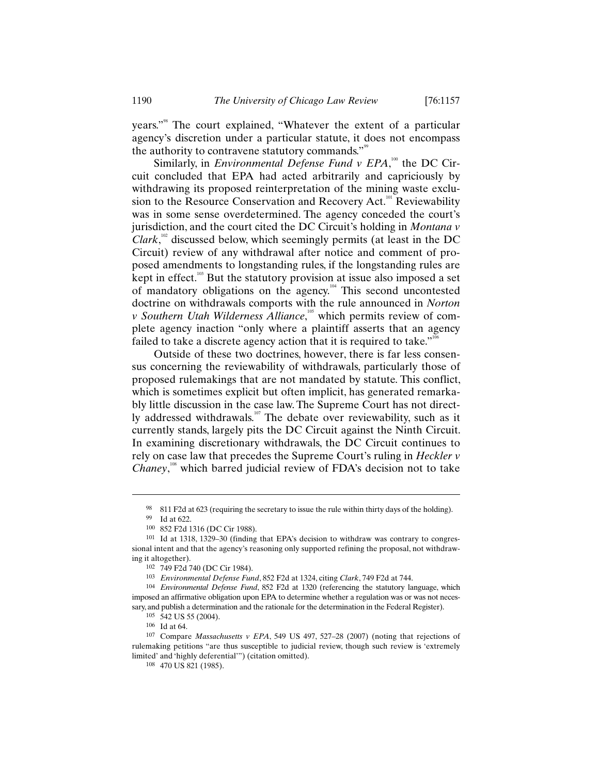years."<sup>98</sup> The court explained, "Whatever the extent of a particular agency's discretion under a particular statute, it does not encompass the authority to contravene statutory commands."<sup>99</sup>

Similarly, in *Environmental Defense Fund v EPA*,<sup>100</sup> the DC Circuit concluded that EPA had acted arbitrarily and capriciously by withdrawing its proposed reinterpretation of the mining waste exclusion to the Resource Conservation and Recovery Act.<sup>101</sup> Reviewability was in some sense overdetermined. The agency conceded the court's jurisdiction, and the court cited the DC Circuit's holding in *Montana v Clark*,<sup> $102$ </sup> discussed below, which seemingly permits (at least in the DC Circuit) review of any withdrawal after notice and comment of proposed amendments to longstanding rules, if the longstanding rules are kept in effect.<sup>103</sup> But the statutory provision at issue also imposed a set of mandatory obligations on the agency.<sup>104</sup> This second uncontested doctrine on withdrawals comports with the rule announced in *Norton v Southern Utah Wilderness Alliance*,<sup>105</sup> which permits review of complete agency inaction "only where a plaintiff asserts that an agency failed to take a discrete agency action that it is required to take."<sup>106</sup>

Outside of these two doctrines, however, there is far less consensus concerning the reviewability of withdrawals, particularly those of proposed rulemakings that are not mandated by statute. This conflict, which is sometimes explicit but often implicit, has generated remarkably little discussion in the case law. The Supreme Court has not directly addressed withdrawals.<sup>107</sup> The debate over reviewability, such as it currently stands, largely pits the DC Circuit against the Ninth Circuit. In examining discretionary withdrawals, the DC Circuit continues to rely on case law that precedes the Supreme Court's ruling in *Heckler v*  Chaney,<sup>108</sup> which barred judicial review of FDA's decision not to take

 $\overline{a}$ 

104 *Environmental Defense Fund*, 852 F2d at 1320 (referencing the statutory language, which imposed an affirmative obligation upon EPA to determine whether a regulation was or was not necessary, and publish a determination and the rationale for the determination in the Federal Register).

<sup>98</sup> 811 F2d at 623 (requiring the secretary to issue the rule within thirty days of the holding).

<sup>99</sup> Id at 622.

<sup>100</sup> 852 F2d 1316 (DC Cir 1988).

<sup>101</sup> Id at 1318, 1329–30 (finding that EPA's decision to withdraw was contrary to congressional intent and that the agency's reasoning only supported refining the proposal, not withdrawing it altogether).

<sup>102</sup> 749 F2d 740 (DC Cir 1984).

<sup>103</sup> *Environmental Defense Fund*, 852 F2d at 1324, citing *Clark*, 749 F2d at 744.

<sup>105</sup> 542 US 55 (2004).

<sup>106</sup> Id at 64.

<sup>107</sup> Compare *Massachusetts v EPA*, 549 US 497, 527–28 (2007) (noting that rejections of rulemaking petitions "are thus susceptible to judicial review, though such review is 'extremely limited' and 'highly deferential'") (citation omitted).

<sup>108</sup> 470 US 821 (1985).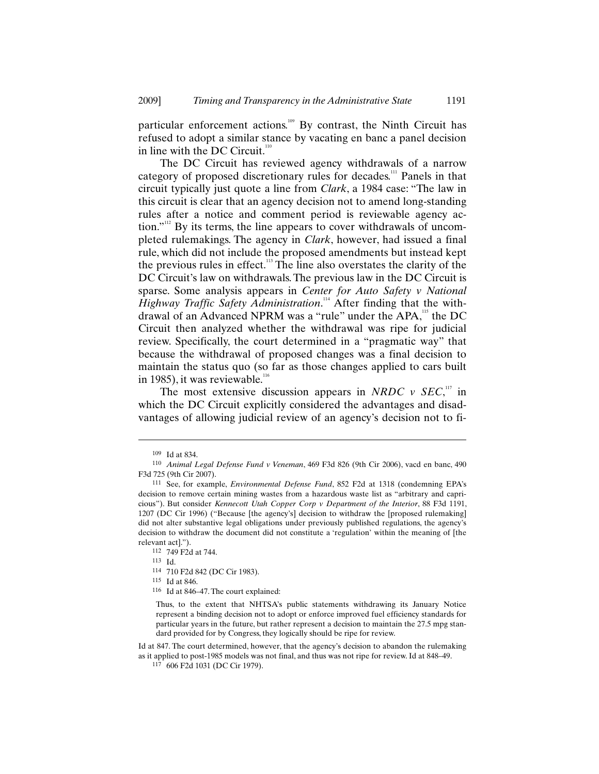particular enforcement actions.<sup>109</sup> By contrast, the Ninth Circuit has refused to adopt a similar stance by vacating en banc a panel decision in line with the DC Circuit. $110$ 

The DC Circuit has reviewed agency withdrawals of a narrow category of proposed discretionary rules for decades.<sup>111</sup> Panels in that circuit typically just quote a line from *Clark*, a 1984 case: "The law in this circuit is clear that an agency decision not to amend long-standing rules after a notice and comment period is reviewable agency action."<sup>112</sup> By its terms, the line appears to cover withdrawals of uncompleted rulemakings. The agency in *Clark*, however, had issued a final rule, which did not include the proposed amendments but instead kept the previous rules in effect.<sup>113</sup> The line also overstates the clarity of the DC Circuit's law on withdrawals. The previous law in the DC Circuit is sparse. Some analysis appears in *Center for Auto Safety v National*  Highway Traffic Safety Administration.<sup>114</sup> After finding that the withdrawal of an Advanced NPRM was a "rule" under the APA,<sup>115</sup> the DC Circuit then analyzed whether the withdrawal was ripe for judicial review. Specifically, the court determined in a "pragmatic way" that because the withdrawal of proposed changes was a final decision to maintain the status quo (so far as those changes applied to cars built in 1985), it was reviewable. $116$ 

The most extensive discussion appears in *NRDC*  $\nu$  *SEC*,<sup>117</sup> in which the DC Circuit explicitly considered the advantages and disadvantages of allowing judicial review of an agency's decision not to fi-

-

Id at 847. The court determined, however, that the agency's decision to abandon the rulemaking as it applied to post-1985 models was not final, and thus was not ripe for review. Id at 848–49.

<sup>109</sup> Id at 834.

<sup>110</sup> *Animal Legal Defense Fund v Veneman*, 469 F3d 826 (9th Cir 2006), vacd en banc, 490 F3d 725 (9th Cir 2007).

<sup>111</sup> See, for example, *Environmental Defense Fund*, 852 F2d at 1318 (condemning EPA's decision to remove certain mining wastes from a hazardous waste list as "arbitrary and capricious"). But consider *Kennecott Utah Copper Corp v Department of the Interior*, 88 F3d 1191, 1207 (DC Cir 1996) ("Because [the agency's] decision to withdraw the [proposed rulemaking] did not alter substantive legal obligations under previously published regulations, the agency's decision to withdraw the document did not constitute a 'regulation' within the meaning of [the relevant act].").

<sup>112</sup> 749 F2d at 744.

<sup>113</sup> Id.

<sup>114</sup> 710 F2d 842 (DC Cir 1983).

<sup>115</sup> Id at 846.

<sup>116</sup> Id at 846–47. The court explained:

Thus, to the extent that NHTSA's public statements withdrawing its January Notice represent a binding decision not to adopt or enforce improved fuel efficiency standards for particular years in the future, but rather represent a decision to maintain the 27.5 mpg standard provided for by Congress, they logically should be ripe for review.

<sup>117</sup> 606 F2d 1031 (DC Cir 1979).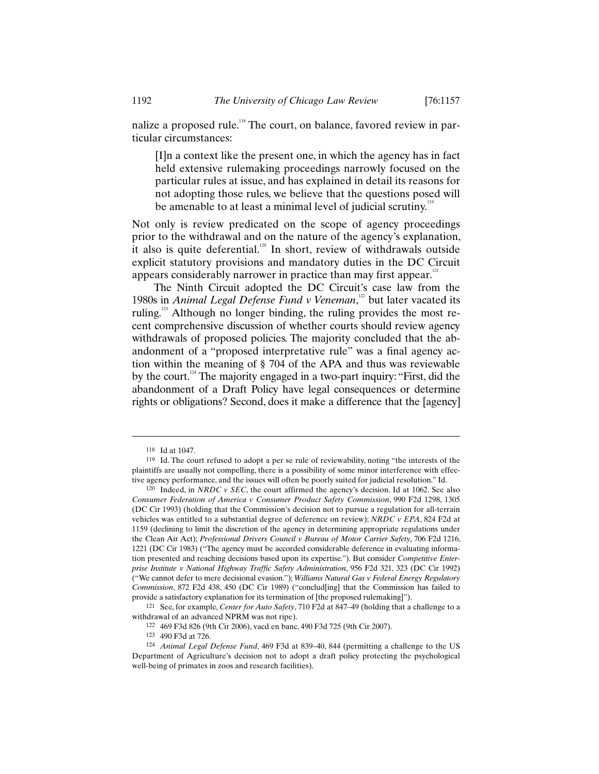nalize a proposed rule.<sup>118</sup> The court, on balance, favored review in particular circumstances:

[I]n a context like the present one, in which the agency has in fact held extensive rulemaking proceedings narrowly focused on the particular rules at issue, and has explained in detail its reasons for not adopting those rules, we believe that the questions posed will be amenable to at least a minimal level of judicial scrutiny.<sup>119</sup>

Not only is review predicated on the scope of agency proceedings prior to the withdrawal and on the nature of the agency's explanation, it also is quite deferential.<sup>120</sup> In short, review of withdrawals outside explicit statutory provisions and mandatory duties in the DC Circuit appears considerably narrower in practice than may first appear. $121$ 

The Ninth Circuit adopted the DC Circuit's case law from the 1980s in *Animal Legal Defense Fund v Veneman*,<sup>122</sup> but later vacated its ruling.<sup>123</sup> Although no longer binding, the ruling provides the most recent comprehensive discussion of whether courts should review agency withdrawals of proposed policies. The majority concluded that the abandonment of a "proposed interpretative rule" was a final agency action within the meaning of § 704 of the APA and thus was reviewable by the court.<sup>124</sup> The majority engaged in a two-part inquiry: "First, did the abandonment of a Draft Policy have legal consequences or determine rights or obligations? Second, does it make a difference that the [agency]

<sup>118</sup> Id at 1047.

<sup>119</sup> Id. The court refused to adopt a per se rule of reviewability, noting "the interests of the plaintiffs are usually not compelling, there is a possibility of some minor interference with effective agency performance, and the issues will often be poorly suited for judicial resolution." Id.

<sup>120</sup> Indeed, in *NRDC v SEC*, the court affirmed the agency's decision. Id at 1062. See also *Consumer Federation of America v Consumer Product Safety Commission*, 990 F2d 1298, 1305 (DC Cir 1993) (holding that the Commission's decision not to pursue a regulation for all-terrain vehicles was entitled to a substantial degree of deference on review); *NRDC v EPA*, 824 F2d at 1159 (declining to limit the discretion of the agency in determining appropriate regulations under the Clean Air Act); *Professional Drivers Council v Bureau of Motor Carrier Safety*, 706 F2d 1216, 1221 (DC Cir 1983) ("The agency must be accorded considerable deference in evaluating information presented and reaching decisions based upon its expertise."). But consider *Competitive Enterprise Institute v National Highway Traffic Safety Administration*, 956 F2d 321, 323 (DC Cir 1992) ("We cannot defer to mere decisional evasion."); *Williams Natural Gas v Federal Energy Regulatory Commission*, 872 F2d 438, 450 (DC Cir 1989) ("conclud[ing] that the Commission has failed to provide a satisfactory explanation for its termination of [the proposed rulemaking]").

<sup>121</sup> See, for example, *Center for Auto Safety*, 710 F2d at 847–49 (holding that a challenge to a withdrawal of an advanced NPRM was not ripe).

<sup>122</sup> 469 F3d 826 (9th Cir 2006), vacd en banc, 490 F3d 725 (9th Cir 2007).

<sup>123</sup> 490 F3d at 726.

<sup>124</sup> *Animal Legal Defense Fund*, 469 F3d at 839–40, 844 (permitting a challenge to the US Department of Agriculture's decision not to adopt a draft policy protecting the psychological well-being of primates in zoos and research facilities).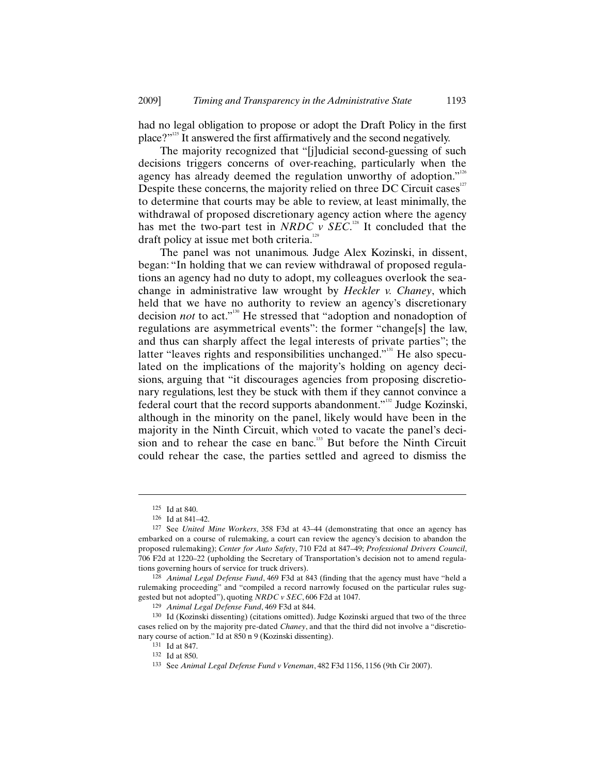had no legal obligation to propose or adopt the Draft Policy in the first place?"<sup>125</sup> It answered the first affirmatively and the second negatively.

The majority recognized that "[j]udicial second-guessing of such decisions triggers concerns of over-reaching, particularly when the agency has already deemed the regulation unworthy of adoption."<sup>126</sup> Despite these concerns, the majority relied on three DC Circuit cases $127$ to determine that courts may be able to review, at least minimally, the withdrawal of proposed discretionary agency action where the agency has met the two-part test in *NRDC*  $\nu$  *SEC*.<sup>128</sup> It concluded that the draft policy at issue met both criteria.<sup>12</sup>

The panel was not unanimous. Judge Alex Kozinski, in dissent, began: "In holding that we can review withdrawal of proposed regulations an agency had no duty to adopt, my colleagues overlook the seachange in administrative law wrought by *Heckler v. Chaney*, which held that we have no authority to review an agency's discretionary decision *not* to act."<sup>130</sup> He stressed that "adoption and nonadoption of regulations are asymmetrical events": the former "change[s] the law, and thus can sharply affect the legal interests of private parties"; the latter "leaves rights and responsibilities unchanged."<sup>31</sup> He also speculated on the implications of the majority's holding on agency decisions, arguing that "it discourages agencies from proposing discretionary regulations, lest they be stuck with them if they cannot convince a federal court that the record supports abandonment."<sup>132</sup> Judge Kozinski, although in the minority on the panel, likely would have been in the majority in the Ninth Circuit, which voted to vacate the panel's decision and to rehear the case en banc.<sup>133</sup> But before the Ninth Circuit could rehear the case, the parties settled and agreed to dismiss the

<sup>125</sup> Id at 840.

<sup>126</sup> Id at 841–42.

<sup>127</sup> See *United Mine Workers*, 358 F3d at 43–44 (demonstrating that once an agency has embarked on a course of rulemaking, a court can review the agency's decision to abandon the proposed rulemaking); *Center for Auto Safety*, 710 F2d at 847–49; *Professional Drivers Council*, 706 F2d at 1220–22 (upholding the Secretary of Transportation's decision not to amend regulations governing hours of service for truck drivers).

<sup>128</sup> *Animal Legal Defense Fund*, 469 F3d at 843 (finding that the agency must have "held a rulemaking proceeding" and "compiled a record narrowly focused on the particular rules suggested but not adopted"), quoting *NRDC v SEC*, 606 F2d at 1047.

<sup>129</sup> *Animal Legal Defense Fund*, 469 F3d at 844.

<sup>130</sup> Id (Kozinski dissenting) (citations omitted). Judge Kozinski argued that two of the three cases relied on by the majority pre-dated *Chaney*, and that the third did not involve a "discretionary course of action." Id at 850 n 9 (Kozinski dissenting).

<sup>131</sup> Id at 847.

<sup>132</sup> Id at 850.

<sup>133</sup> See *Animal Legal Defense Fund v Veneman*, 482 F3d 1156, 1156 (9th Cir 2007).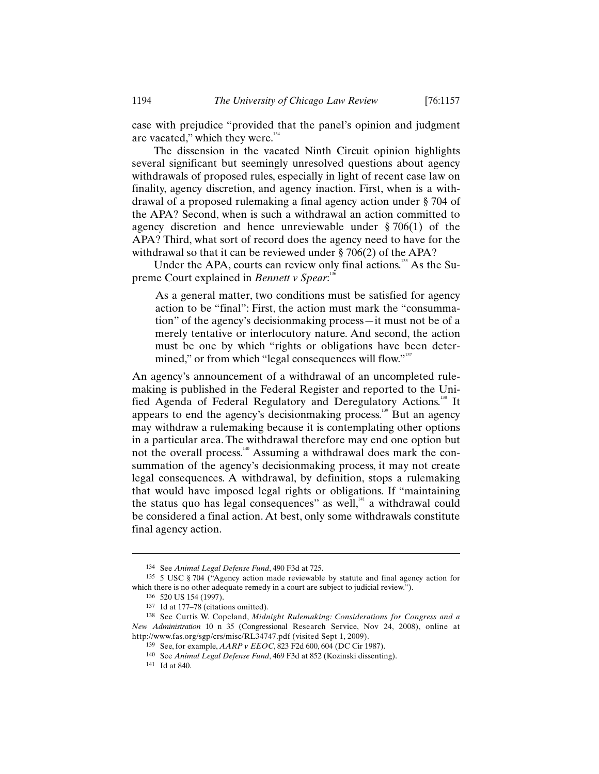case with prejudice "provided that the panel's opinion and judgment are vacated," which they were.<sup>134</sup>

The dissension in the vacated Ninth Circuit opinion highlights several significant but seemingly unresolved questions about agency withdrawals of proposed rules, especially in light of recent case law on finality, agency discretion, and agency inaction. First, when is a withdrawal of a proposed rulemaking a final agency action under § 704 of the APA? Second, when is such a withdrawal an action committed to agency discretion and hence unreviewable under § 706(1) of the APA? Third, what sort of record does the agency need to have for the withdrawal so that it can be reviewed under § 706(2) of the APA?

Under the APA, courts can review only final actions.<sup>135</sup> As the Supreme Court explained in *Bennett v Spear*:<sup>136</sup>

As a general matter, two conditions must be satisfied for agency action to be "final": First, the action must mark the "consummation" of the agency's decisionmaking process—it must not be of a merely tentative or interlocutory nature. And second, the action must be one by which "rights or obligations have been determined," or from which "legal consequences will flow."<sup>137</sup>

An agency's announcement of a withdrawal of an uncompleted rulemaking is published in the Federal Register and reported to the Unified Agenda of Federal Regulatory and Deregulatory Actions.<sup>138</sup> It appears to end the agency's decisionmaking process.<sup>139</sup> But an agency may withdraw a rulemaking because it is contemplating other options in a particular area. The withdrawal therefore may end one option but not the overall process.<sup>140</sup> Assuming a withdrawal does mark the consummation of the agency's decisionmaking process, it may not create legal consequences. A withdrawal, by definition, stops a rulemaking that would have imposed legal rights or obligations. If "maintaining the status quo has legal consequences" as well,<sup>141</sup> a withdrawal could be considered a final action. At best, only some withdrawals constitute final agency action.

<sup>134</sup> See *Animal Legal Defense Fund*, 490 F3d at 725.

<sup>135</sup> 5 USC § 704 ("Agency action made reviewable by statute and final agency action for which there is no other adequate remedy in a court are subject to judicial review.").

<sup>136</sup> 520 US 154 (1997).

<sup>137</sup> Id at 177–78 (citations omitted).

<sup>138</sup> See Curtis W. Copeland, *Midnight Rulemaking: Considerations for Congress and a New Administration* 10 n 35 (Congressional Research Service, Nov 24, 2008), online at http://www.fas.org/sgp/crs/misc/RL34747.pdf (visited Sept 1, 2009).

<sup>139</sup> See, for example, *AARP v EEOC*, 823 F2d 600, 604 (DC Cir 1987).

<sup>140</sup> See *Animal Legal Defense Fund*, 469 F3d at 852 (Kozinski dissenting).

<sup>141</sup> Id at 840.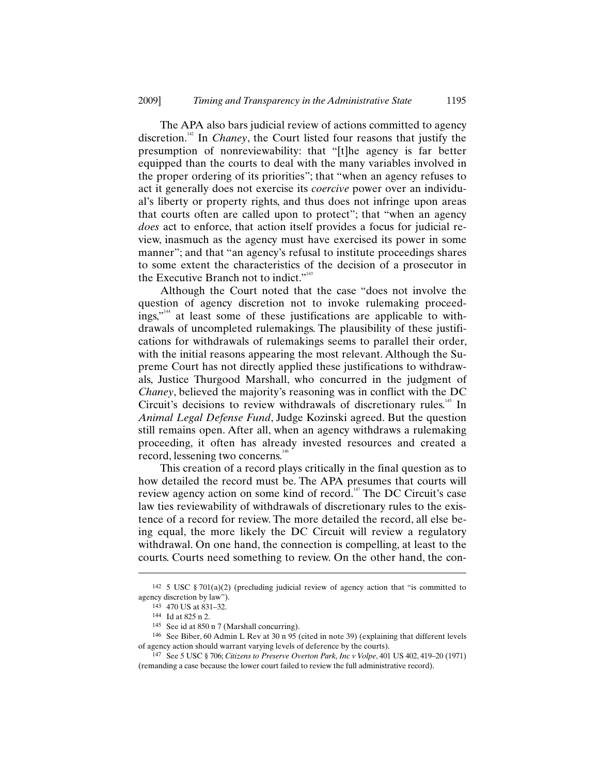The APA also bars judicial review of actions committed to agency discretion.<sup>142</sup> In *Chaney*, the Court listed four reasons that justify the presumption of nonreviewability: that "[t]he agency is far better equipped than the courts to deal with the many variables involved in the proper ordering of its priorities"; that "when an agency refuses to act it generally does not exercise its *coercive* power over an individual's liberty or property rights, and thus does not infringe upon areas that courts often are called upon to protect"; that "when an agency *does* act to enforce, that action itself provides a focus for judicial review, inasmuch as the agency must have exercised its power in some manner"; and that "an agency's refusal to institute proceedings shares to some extent the characteristics of the decision of a prosecutor in the Executive Branch not to indict."<sup>143</sup>

Although the Court noted that the case "does not involve the question of agency discretion not to invoke rulemaking proceedings,"<sup>144</sup> at least some of these justifications are applicable to withdrawals of uncompleted rulemakings. The plausibility of these justifications for withdrawals of rulemakings seems to parallel their order, with the initial reasons appearing the most relevant. Although the Supreme Court has not directly applied these justifications to withdrawals, Justice Thurgood Marshall, who concurred in the judgment of *Chaney*, believed the majority's reasoning was in conflict with the DC Circuit's decisions to review withdrawals of discretionary rules.<sup>145</sup> In *Animal Legal Defense Fund*, Judge Kozinski agreed. But the question still remains open. After all, when an agency withdraws a rulemaking proceeding, it often has already invested resources and created a record, lessening two concerns.<sup>146</sup>

This creation of a record plays critically in the final question as to how detailed the record must be. The APA presumes that courts will review agency action on some kind of record.<sup>147</sup> The DC Circuit's case law ties reviewability of withdrawals of discretionary rules to the existence of a record for review. The more detailed the record, all else being equal, the more likely the DC Circuit will review a regulatory withdrawal. On one hand, the connection is compelling, at least to the courts. Courts need something to review. On the other hand, the con-

<sup>&</sup>lt;sup>142</sup> 5 USC § 701(a)(2) (precluding judicial review of agency action that "is committed to agency discretion by law").

<sup>143</sup> 470 US at 831–32.

<sup>144</sup> Id at 825 n 2.

<sup>145</sup> See id at 850 n 7 (Marshall concurring).

<sup>146</sup> See Biber, 60 Admin L Rev at 30 n 95 (cited in note 39) (explaining that different levels of agency action should warrant varying levels of deference by the courts).

<sup>147</sup> See 5 USC § 706; *Citizens to Preserve Overton Park, Inc v Volpe*, 401 US 402, 419–20 (1971) (remanding a case because the lower court failed to review the full administrative record).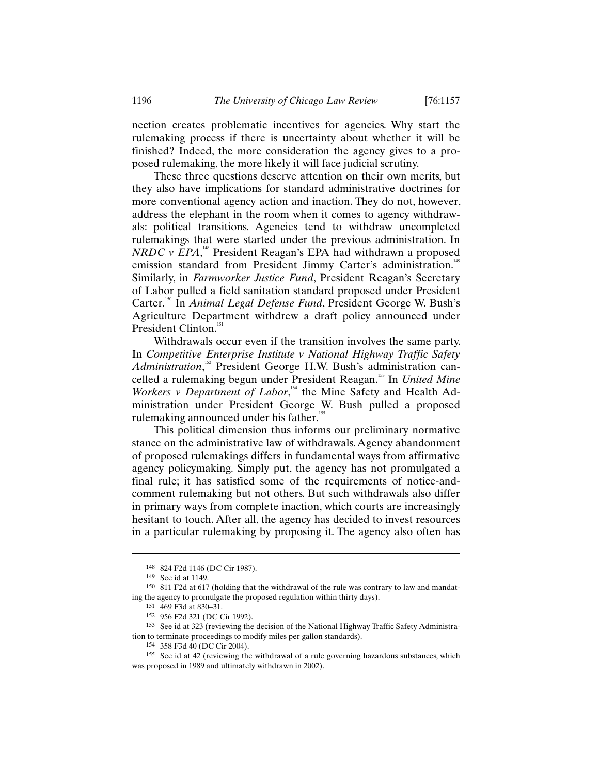nection creates problematic incentives for agencies. Why start the rulemaking process if there is uncertainty about whether it will be finished? Indeed, the more consideration the agency gives to a proposed rulemaking, the more likely it will face judicial scrutiny.

These three questions deserve attention on their own merits, but they also have implications for standard administrative doctrines for more conventional agency action and inaction. They do not, however, address the elephant in the room when it comes to agency withdrawals: political transitions. Agencies tend to withdraw uncompleted rulemakings that were started under the previous administration. In *NRDC v EPA*,<sup>148</sup> President Reagan's EPA had withdrawn a proposed emission standard from President Jimmy Carter's administration.<sup>149</sup> Similarly, in *Farmworker Justice Fund*, President Reagan's Secretary of Labor pulled a field sanitation standard proposed under President Carter.<sup>150</sup> In *Animal Legal Defense Fund*, President George W. Bush's Agriculture Department withdrew a draft policy announced under President Clinton.<sup>151</sup>

Withdrawals occur even if the transition involves the same party. In *Competitive Enterprise Institute v National Highway Traffic Safety*  Administration,<sup>152</sup> President George H.W. Bush's administration cancelled a rulemaking begun under President Reagan.<sup>153</sup> In *United Mine Workers v Department of Labor*,<sup>154</sup> the Mine Safety and Health Administration under President George W. Bush pulled a proposed rulemaking announced under his father.<sup>155</sup>

This political dimension thus informs our preliminary normative stance on the administrative law of withdrawals. Agency abandonment of proposed rulemakings differs in fundamental ways from affirmative agency policymaking. Simply put, the agency has not promulgated a final rule; it has satisfied some of the requirements of notice-andcomment rulemaking but not others. But such withdrawals also differ in primary ways from complete inaction, which courts are increasingly hesitant to touch. After all, the agency has decided to invest resources in a particular rulemaking by proposing it. The agency also often has

<sup>148</sup> 824 F2d 1146 (DC Cir 1987).

<sup>149</sup> See id at 1149.

<sup>150</sup> 811 F2d at 617 (holding that the withdrawal of the rule was contrary to law and mandating the agency to promulgate the proposed regulation within thirty days).

<sup>151</sup> 469 F3d at 830–31.

<sup>152</sup> 956 F2d 321 (DC Cir 1992).

<sup>153</sup> See id at 323 (reviewing the decision of the National Highway Traffic Safety Administration to terminate proceedings to modify miles per gallon standards).

<sup>154</sup> 358 F3d 40 (DC Cir 2004).

<sup>155</sup> See id at 42 (reviewing the withdrawal of a rule governing hazardous substances, which was proposed in 1989 and ultimately withdrawn in 2002).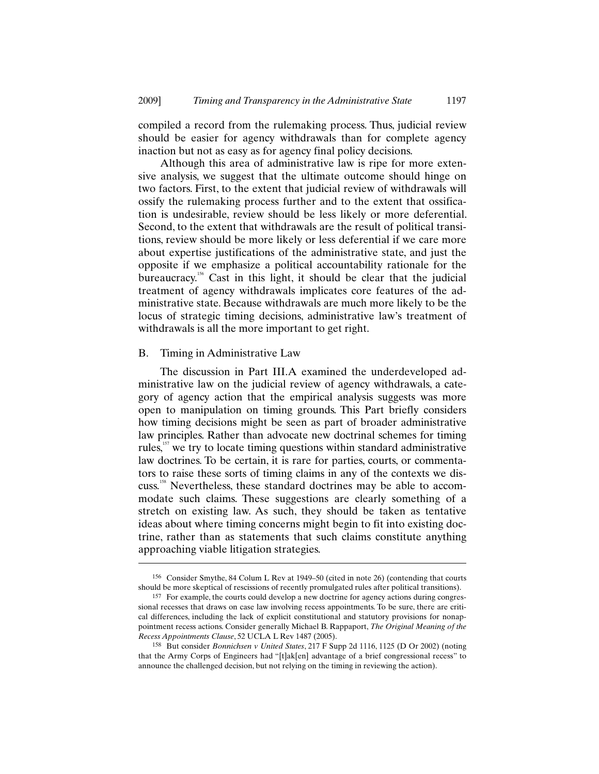compiled a record from the rulemaking process. Thus, judicial review should be easier for agency withdrawals than for complete agency inaction but not as easy as for agency final policy decisions.

Although this area of administrative law is ripe for more extensive analysis, we suggest that the ultimate outcome should hinge on two factors. First, to the extent that judicial review of withdrawals will ossify the rulemaking process further and to the extent that ossification is undesirable, review should be less likely or more deferential. Second, to the extent that withdrawals are the result of political transitions, review should be more likely or less deferential if we care more about expertise justifications of the administrative state, and just the opposite if we emphasize a political accountability rationale for the bureaucracy.<sup>156</sup> Cast in this light, it should be clear that the judicial treatment of agency withdrawals implicates core features of the administrative state. Because withdrawals are much more likely to be the locus of strategic timing decisions, administrative law's treatment of withdrawals is all the more important to get right.

#### B. Timing in Administrative Law

-

The discussion in Part III.A examined the underdeveloped administrative law on the judicial review of agency withdrawals, a category of agency action that the empirical analysis suggests was more open to manipulation on timing grounds. This Part briefly considers how timing decisions might be seen as part of broader administrative law principles. Rather than advocate new doctrinal schemes for timing rules,<sup>157</sup> we try to locate timing questions within standard administrative law doctrines. To be certain, it is rare for parties, courts, or commentators to raise these sorts of timing claims in any of the contexts we discuss.<sup>158</sup> Nevertheless, these standard doctrines may be able to accommodate such claims. These suggestions are clearly something of a stretch on existing law. As such, they should be taken as tentative ideas about where timing concerns might begin to fit into existing doctrine, rather than as statements that such claims constitute anything approaching viable litigation strategies.

<sup>156</sup> Consider Smythe, 84 Colum L Rev at 1949–50 (cited in note 26) (contending that courts should be more skeptical of rescissions of recently promulgated rules after political transitions).

<sup>157</sup> For example, the courts could develop a new doctrine for agency actions during congressional recesses that draws on case law involving recess appointments. To be sure, there are critical differences, including the lack of explicit constitutional and statutory provisions for nonappointment recess actions. Consider generally Michael B. Rappaport, *The Original Meaning of the Recess Appointments Clause*, 52 UCLA L Rev 1487 (2005).

<sup>158</sup> But consider *Bonnichsen v United States*, 217 F Supp 2d 1116, 1125 (D Or 2002) (noting that the Army Corps of Engineers had "[t]ak[en] advantage of a brief congressional recess" to announce the challenged decision, but not relying on the timing in reviewing the action).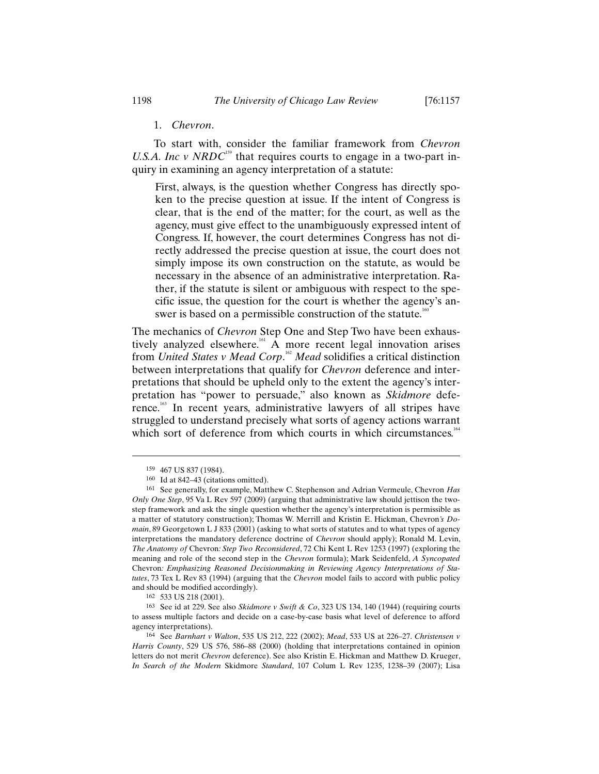#### 1. *Chevron*.

To start with, consider the familiar framework from *Chevron U.S.A. Inc v NRDC*<sup>159</sup> that requires courts to engage in a two-part inquiry in examining an agency interpretation of a statute:

First, always, is the question whether Congress has directly spoken to the precise question at issue. If the intent of Congress is clear, that is the end of the matter; for the court, as well as the agency, must give effect to the unambiguously expressed intent of Congress. If, however, the court determines Congress has not directly addressed the precise question at issue, the court does not simply impose its own construction on the statute, as would be necessary in the absence of an administrative interpretation. Rather, if the statute is silent or ambiguous with respect to the specific issue, the question for the court is whether the agency's answer is based on a permissible construction of the statute.<sup>160</sup>

The mechanics of *Chevron* Step One and Step Two have been exhaustively analyzed elsewhere.<sup>161</sup> A more recent legal innovation arises from *United States v Mead Corp*. <sup>162</sup> *Mead* solidifies a critical distinction between interpretations that qualify for *Chevron* deference and interpretations that should be upheld only to the extent the agency's interpretation has "power to persuade," also known as *Skidmore* deference. <sup>163</sup> In recent years, administrative lawyers of all stripes have struggled to understand precisely what sorts of agency actions warrant which sort of deference from which courts in which circumstances.<sup>164</sup>

-

162 533 US 218 (2001).

163 See id at 229. See also *Skidmore v Swift & Co*, 323 US 134, 140 (1944) (requiring courts to assess multiple factors and decide on a case-by-case basis what level of deference to afford agency interpretations).

<sup>159</sup> 467 US 837 (1984).

<sup>160</sup> Id at 842–43 (citations omitted).

<sup>161</sup> See generally, for example, Matthew C. Stephenson and Adrian Vermeule, Chevron *Has Only One Step*, 95 Va L Rev 597 (2009) (arguing that administrative law should jettison the twostep framework and ask the single question whether the agency's interpretation is permissible as a matter of statutory construction); Thomas W. Merrill and Kristin E. Hickman, Chevron*'s Domain*, 89 Georgetown L J 833 (2001) (asking to what sorts of statutes and to what types of agency interpretations the mandatory deference doctrine of *Chevron* should apply); Ronald M. Levin, *The Anatomy of* Chevron*: Step Two Reconsidered*, 72 Chi Kent L Rev 1253 (1997) (exploring the meaning and role of the second step in the *Chevron* formula); Mark Seidenfeld, *A Syncopated*  Chevron*: Emphasizing Reasoned Decisionmaking in Reviewing Agency Interpretations of Statutes*, 73 Tex L Rev 83 (1994) (arguing that the *Chevron* model fails to accord with public policy and should be modified accordingly).

<sup>164</sup> See *Barnhart v Walton*, 535 US 212, 222 (2002); *Mead*, 533 US at 226–27. *Christensen v Harris County*, 529 US 576, 586–88 (2000) (holding that interpretations contained in opinion letters do not merit *Chevron* deference). See also Kristin E. Hickman and Matthew D. Krueger, *In Search of the Modern* Skidmore *Standard*, 107 Colum L Rev 1235, 1238–39 (2007); Lisa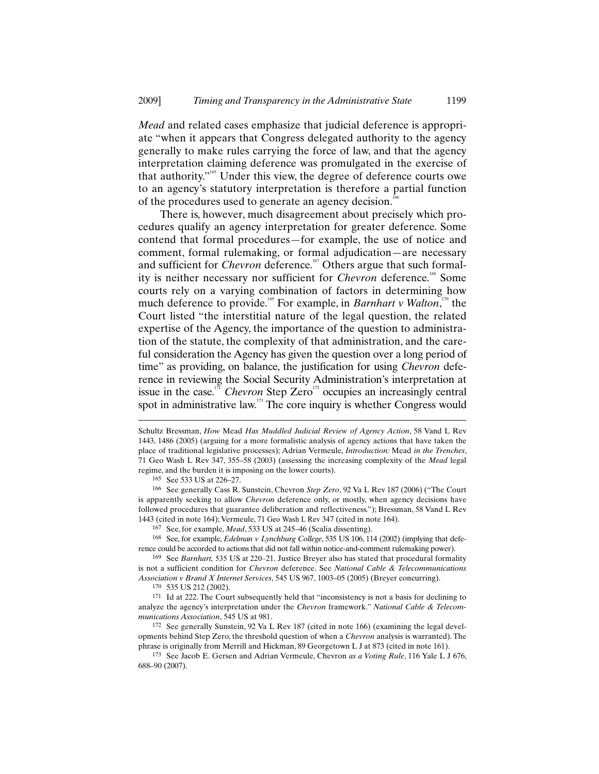*Mead* and related cases emphasize that judicial deference is appropriate "when it appears that Congress delegated authority to the agency generally to make rules carrying the force of law, and that the agency interpretation claiming deference was promulgated in the exercise of that authority."<sup>65</sup> Under this view, the degree of deference courts owe to an agency's statutory interpretation is therefore a partial function of the procedures used to generate an agency decision.<sup>1</sup>

There is, however, much disagreement about precisely which procedures qualify an agency interpretation for greater deference. Some contend that formal procedures—for example, the use of notice and comment, formal rulemaking, or formal adjudication—are necessary and sufficient for *Chevron* deference.<sup>167</sup> Others argue that such formality is neither necessary nor sufficient for *Chevron* deference.<sup>168</sup> Some courts rely on a varying combination of factors in determining how much deference to provide.<sup>169</sup> For example, in *Barnhart v Walton*,<sup>170</sup> the Court listed "the interstitial nature of the legal question, the related expertise of the Agency, the importance of the question to administration of the statute, the complexity of that administration, and the careful consideration the Agency has given the question over a long period of time" as providing, on balance, the justification for using *Chevron* deference in reviewing the Social Security Administration's interpretation at issue in the case.<sup>171</sup> *Chevron* Step Zero<sup>172</sup> occupies an increasingly central spot in administrative law.<sup>173</sup> The core inquiry is whether Congress would

165 See 533 US at 226–27.

-

166 See generally Cass R. Sunstein, Chevron *Step Zero*, 92 Va L Rev 187 (2006) ("The Court is apparently seeking to allow *Chevron* deference only, or mostly, when agency decisions have followed procedures that guarantee deliberation and reflectiveness."); Bressman, 58 Vand L Rev 1443 (cited in note 164); Vermeule, 71 Geo Wash L Rev 347 (cited in note 164).

167 See, for example, *Mead*, 533 US at 245–46 (Scalia dissenting).

168 See, for example, *Edelman v Lynchburg College*, 535 US 106, 114 (2002) (implying that deference could be accorded to actions that did not fall within notice-and-comment rulemaking power).

<sup>169</sup> See *Barnhart,* 535 US at 220–21. Justice Breyer also has stated that procedural formality is not a sufficient condition for *Chevron* deference. See *National Cable & Telecommunications Association v Brand X Internet Services*, 545 US 967, 1003–05 (2005) (Breyer concurring).

170 535 US 212 (2002).

171 Id at 222. The Court subsequently held that "inconsistency is not a basis for declining to analyze the agency's interpretation under the *Chevron* framework." *National Cable & Telecommunications Association*, 545 US at 981.

172 See generally Sunstein, 92 Va L Rev 187 (cited in note 166) (examining the legal developments behind Step Zero, the threshold question of when a *Chevron* analysis is warranted). The phrase is originally from Merrill and Hickman, 89 Georgetown L J at 873 (cited in note 161).

173 See Jacob E. Gersen and Adrian Vermeule, Chevron *as a Voting Rule*, 116 Yale L J 676, 688–90 (2007).

Schultz Bressman, *How* Mead *Has Muddled Judicial Review of Agency Action*, 58 Vand L Rev 1443, 1486 (2005) (arguing for a more formalistic analysis of agency actions that have taken the place of traditional legislative processes); Adrian Vermeule, *Introduction:* Mead *in the Trenches*, 71 Geo Wash L Rev 347, 355–58 (2003) (assessing the increasing complexity of the *Mead* legal regime, and the burden it is imposing on the lower courts).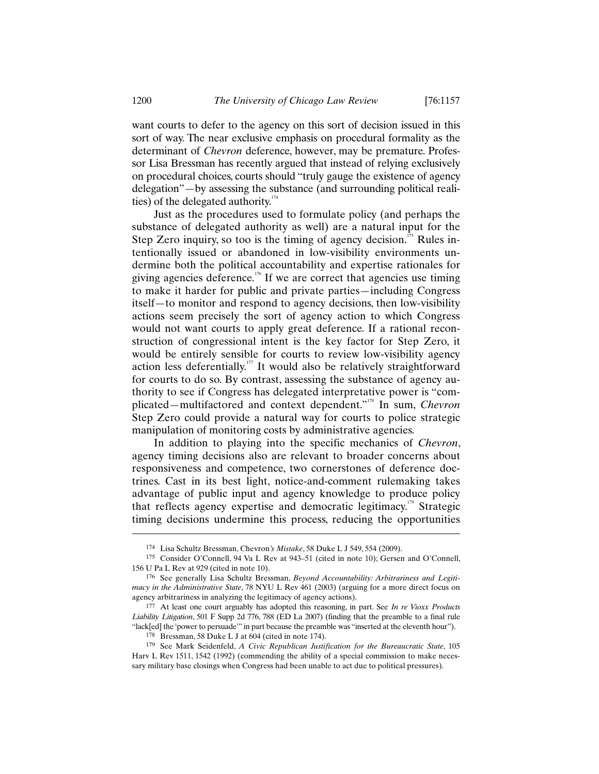want courts to defer to the agency on this sort of decision issued in this sort of way. The near exclusive emphasis on procedural formality as the determinant of *Chevron* deference, however, may be premature. Professor Lisa Bressman has recently argued that instead of relying exclusively on procedural choices, courts should "truly gauge the existence of agency delegation"—by assessing the substance (and surrounding political realities) of the delegated authority. $174$ 

Just as the procedures used to formulate policy (and perhaps the substance of delegated authority as well) are a natural input for the Step Zero inquiry, so too is the timing of agency decision.<sup>175</sup> Rules intentionally issued or abandoned in low-visibility environments undermine both the political accountability and expertise rationales for giving agencies deference.<sup>176</sup> If we are correct that agencies use timing to make it harder for public and private parties—including Congress itself—to monitor and respond to agency decisions, then low-visibility actions seem precisely the sort of agency action to which Congress would not want courts to apply great deference. If a rational reconstruction of congressional intent is the key factor for Step Zero, it would be entirely sensible for courts to review low-visibility agency action less deferentially.<sup>177</sup> It would also be relatively straightforward for courts to do so. By contrast, assessing the substance of agency authority to see if Congress has delegated interpretative power is "complicated—multifactored and context dependent."<sup>178</sup> In sum, *Chevron* Step Zero could provide a natural way for courts to police strategic manipulation of monitoring costs by administrative agencies.

In addition to playing into the specific mechanics of *Chevron*, agency timing decisions also are relevant to broader concerns about responsiveness and competence, two cornerstones of deference doctrines. Cast in its best light, notice-and-comment rulemaking takes advantage of public input and agency knowledge to produce policy that reflects agency expertise and democratic legitimacy.<sup>179</sup> Strategic timing decisions undermine this process, reducing the opportunities

<sup>174</sup> Lisa Schultz Bressman, Chevron*'s Mistake*, 58 Duke L J 549, 554 (2009).

<sup>175</sup> Consider O'Connell, 94 Va L Rev at 943–51 (cited in note 10); Gersen and O'Connell, 156 U Pa L Rev at 929 (cited in note 10).

<sup>176</sup> See generally Lisa Schultz Bressman, *Beyond Accountability: Arbitrariness and Legitimacy in the Administrative State*, 78 NYU L Rev 461 (2003) (arguing for a more direct focus on agency arbitrariness in analyzing the legitimacy of agency actions).

<sup>177</sup> At least one court arguably has adopted this reasoning, in part. See *In re Vioxx Products Liability Litigation*, 501 F Supp 2d 776, 788 (ED La 2007) (finding that the preamble to a final rule "lack[ed] the 'power to persuade'" in part because the preamble was "inserted at the eleventh hour").

<sup>178</sup> Bressman, 58 Duke L J at 604 (cited in note 174).

<sup>179</sup> See Mark Seidenfeld, *A Civic Republican Justification for the Bureaucratic State*, 105 Harv L Rev 1511, 1542 (1992) (commending the ability of a special commission to make necessary military base closings when Congress had been unable to act due to political pressures).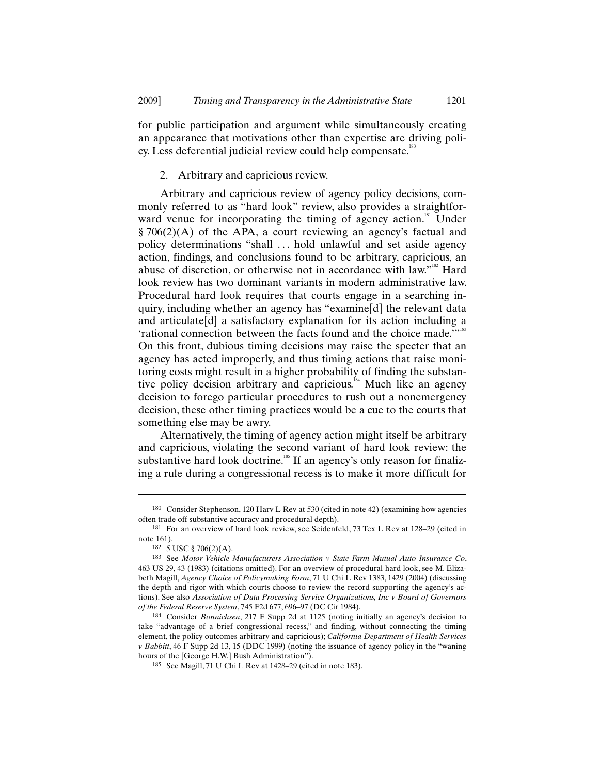for public participation and argument while simultaneously creating an appearance that motivations other than expertise are driving policy. Less deferential judicial review could help compensate.<sup>180</sup>

# 2. Arbitrary and capricious review.

Arbitrary and capricious review of agency policy decisions, commonly referred to as "hard look" review, also provides a straightforward venue for incorporating the timing of agency action.<sup>181</sup> Under § 706(2)(A) of the APA, a court reviewing an agency's factual and policy determinations "shall . . . hold unlawful and set aside agency action, findings, and conclusions found to be arbitrary, capricious, an abuse of discretion, or otherwise not in accordance with law."<sup>182</sup> Hard look review has two dominant variants in modern administrative law. Procedural hard look requires that courts engage in a searching inquiry, including whether an agency has "examine[d] the relevant data and articulate[d] a satisfactory explanation for its action including a 'rational connection between the facts found and the choice made.'"<sup>183</sup> On this front, dubious timing decisions may raise the specter that an agency has acted improperly, and thus timing actions that raise monitoring costs might result in a higher probability of finding the substantive policy decision arbitrary and capricious.<sup>184</sup> Much like an agency decision to forego particular procedures to rush out a nonemergency decision, these other timing practices would be a cue to the courts that something else may be awry.

Alternatively, the timing of agency action might itself be arbitrary and capricious, violating the second variant of hard look review: the substantive hard look doctrine.<sup>185</sup> If an agency's only reason for finalizing a rule during a congressional recess is to make it more difficult for

<sup>180</sup> Consider Stephenson, 120 Harv L Rev at 530 (cited in note 42) (examining how agencies often trade off substantive accuracy and procedural depth).

<sup>181</sup> For an overview of hard look review, see Seidenfeld, 73 Tex L Rev at 128–29 (cited in note 161).

<sup>182</sup> 5 USC § 706(2)(A).

<sup>183</sup> See *Motor Vehicle Manufacturers Association v State Farm Mutual Auto Insurance Co*, 463 US 29, 43 (1983) (citations omitted). For an overview of procedural hard look, see M. Elizabeth Magill, *Agency Choice of Policymaking Form*, 71 U Chi L Rev 1383, 1429 (2004) (discussing the depth and rigor with which courts choose to review the record supporting the agency's actions). See also *Association of Data Processing Service Organizations, Inc v Board of Governors of the Federal Reserve System*, 745 F2d 677, 696–97 (DC Cir 1984).

<sup>184</sup> Consider *Bonnichsen*, 217 F Supp 2d at 1125 (noting initially an agency's decision to take "advantage of a brief congressional recess," and finding, without connecting the timing element, the policy outcomes arbitrary and capricious); *California Department of Health Services v Babbitt*, 46 F Supp 2d 13, 15 (DDC 1999) (noting the issuance of agency policy in the "waning hours of the [George H.W.] Bush Administration").

<sup>185</sup> See Magill, 71 U Chi L Rev at 1428–29 (cited in note 183).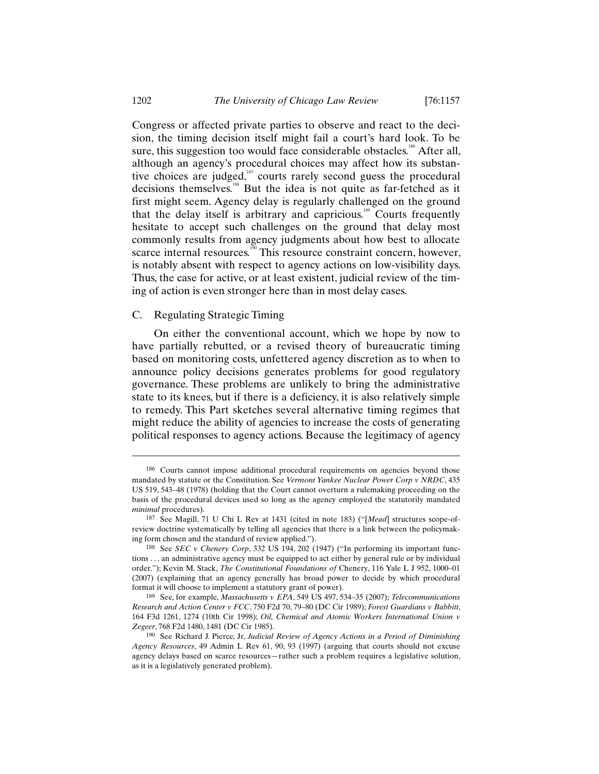Congress or affected private parties to observe and react to the decision, the timing decision itself might fail a court's hard look. To be sure, this suggestion too would face considerable obstacles.<sup>186</sup> After all, although an agency's procedural choices may affect how its substantive choices are judged, $\frac{187}{10}$  courts rarely second guess the procedural decisions themselves.<sup>188</sup> But the idea is not quite as far-fetched as it first might seem. Agency delay is regularly challenged on the ground that the delay itself is arbitrary and capricious.<sup>189</sup> Courts frequently hesitate to accept such challenges on the ground that delay most commonly results from agency judgments about how best to allocate scarce internal resources.<sup>150</sup> This resource constraint concern, however, is notably absent with respect to agency actions on low-visibility days. Thus, the case for active, or at least existent, judicial review of the timing of action is even stronger here than in most delay cases.

#### C. Regulating Strategic Timing

On either the conventional account, which we hope by now to have partially rebutted, or a revised theory of bureaucratic timing based on monitoring costs, unfettered agency discretion as to when to announce policy decisions generates problems for good regulatory governance. These problems are unlikely to bring the administrative state to its knees, but if there is a deficiency, it is also relatively simple to remedy. This Part sketches several alternative timing regimes that might reduce the ability of agencies to increase the costs of generating political responses to agency actions. Because the legitimacy of agency

<sup>186</sup> Courts cannot impose additional procedural requirements on agencies beyond those mandated by statute or the Constitution. See *Vermont Yankee Nuclear Power Corp v NRDC*, 435 US 519, 543–48 (1978) (holding that the Court cannot overturn a rulemaking proceeding on the basis of the procedural devices used so long as the agency employed the statutorily mandated *minimal* procedures).

<sup>187</sup> See Magill, 71 U Chi L Rev at 1431 (cited in note 183) ("[*Mead*] structures scope-ofreview doctrine systematically by telling all agencies that there is a link between the policymaking form chosen and the standard of review applied.").

<sup>188</sup> See *SEC v Chenery Corp*, 332 US 194, 202 (1947) ("In performing its important functions . . . an administrative agency must be equipped to act either by general rule or by individual order."); Kevin M. Stack, *The Constitutional Foundations of* Chenery, 116 Yale L J 952, 1000–01 (2007) (explaining that an agency generally has broad power to decide by which procedural format it will choose to implement a statutory grant of power).

<sup>189</sup> See, for example, *Massachusetts v EPA*, 549 US 497, 534–35 (2007); *Telecommunications Research and Action Center v FCC*, 750 F2d 70, 79–80 (DC Cir 1989); *Forest Guardians v Babbitt*, 164 F3d 1261, 1274 (10th Cir 1998); *Oil, Chemical and Atomic Workers International Union v Zegeer*, 768 F2d 1480, 1481 (DC Cir 1985).

<sup>190</sup> See Richard J. Pierce, Jr, *Judicial Review of Agency Actions in a Period of Diminishing Agency Resources*, 49 Admin L Rev 61, 90, 93 (1997) (arguing that courts should not excuse agency delays based on scarce resources—rather such a problem requires a legislative solution, as it is a legislatively generated problem).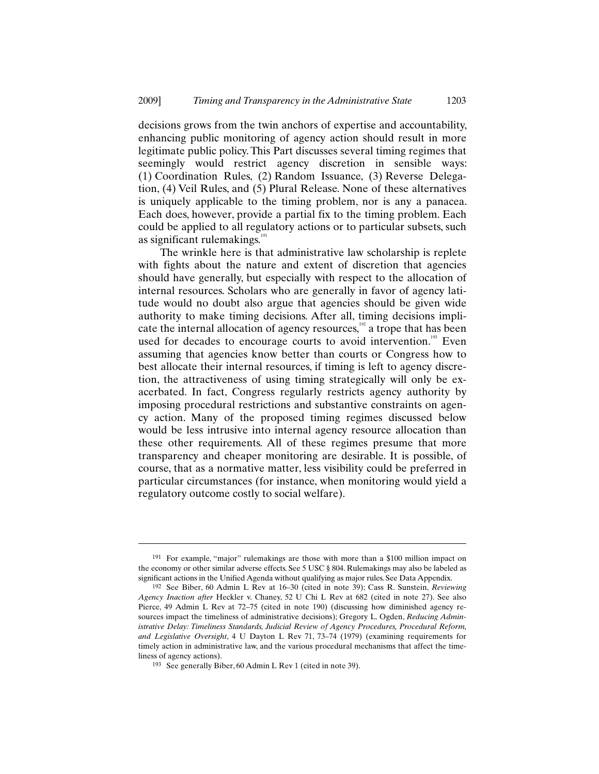decisions grows from the twin anchors of expertise and accountability, enhancing public monitoring of agency action should result in more legitimate public policy. This Part discusses several timing regimes that seemingly would restrict agency discretion in sensible ways: (1) Coordination Rules, (2) Random Issuance, (3) Reverse Delegation, (4) Veil Rules, and (5) Plural Release. None of these alternatives is uniquely applicable to the timing problem, nor is any a panacea. Each does, however, provide a partial fix to the timing problem. Each could be applied to all regulatory actions or to particular subsets, such as significant rulemakings.<sup>191</sup>

The wrinkle here is that administrative law scholarship is replete with fights about the nature and extent of discretion that agencies should have generally, but especially with respect to the allocation of internal resources. Scholars who are generally in favor of agency latitude would no doubt also argue that agencies should be given wide authority to make timing decisions. After all, timing decisions implicate the internal allocation of agency resources,<sup>192</sup> a trope that has been used for decades to encourage courts to avoid intervention.<sup>193</sup> Even assuming that agencies know better than courts or Congress how to best allocate their internal resources, if timing is left to agency discretion, the attractiveness of using timing strategically will only be exacerbated. In fact, Congress regularly restricts agency authority by imposing procedural restrictions and substantive constraints on agency action. Many of the proposed timing regimes discussed below would be less intrusive into internal agency resource allocation than these other requirements. All of these regimes presume that more transparency and cheaper monitoring are desirable. It is possible, of course, that as a normative matter, less visibility could be preferred in particular circumstances (for instance, when monitoring would yield a regulatory outcome costly to social welfare).

<sup>191</sup> For example, "major" rulemakings are those with more than a \$100 million impact on the economy or other similar adverse effects. See 5 USC § 804. Rulemakings may also be labeled as significant actions in the Unified Agenda without qualifying as major rules. See Data Appendix.

<sup>192</sup> See Biber, 60 Admin L Rev at 16–30 (cited in note 39); Cass R. Sunstein, *Reviewing Agency Inaction after* Heckler v. Chaney, 52 U Chi L Rev at 682 (cited in note 27). See also Pierce, 49 Admin L Rev at 72–75 (cited in note 190) (discussing how diminished agency resources impact the timeliness of administrative decisions); Gregory L. Ogden, *Reducing Administrative Delay: Timeliness Standards, Judicial Review of Agency Procedures, Procedural Reform, and Legislative Oversight*, 4 U Dayton L Rev 71, 73–74 (1979) (examining requirements for timely action in administrative law, and the various procedural mechanisms that affect the timeliness of agency actions).

<sup>193</sup> See generally Biber, 60 Admin L Rev 1 (cited in note 39).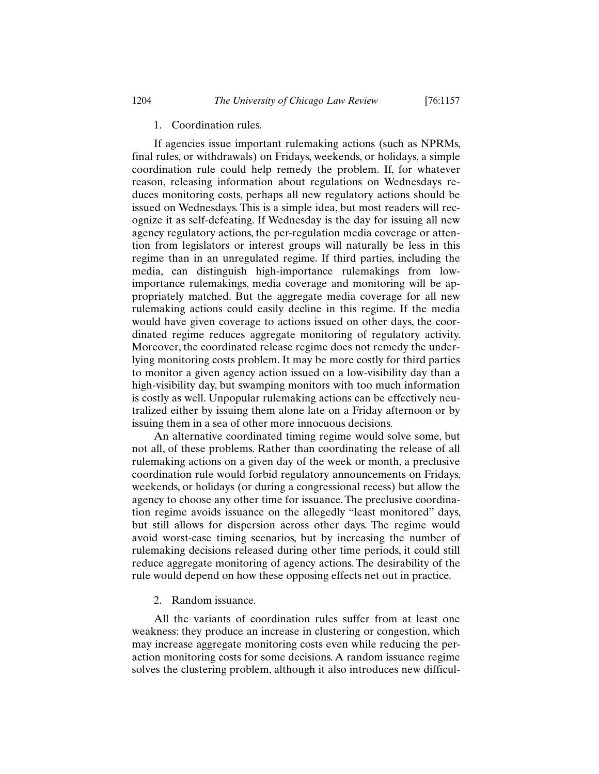# 1. Coordination rules.

If agencies issue important rulemaking actions (such as NPRMs, final rules, or withdrawals) on Fridays, weekends, or holidays, a simple coordination rule could help remedy the problem. If, for whatever reason, releasing information about regulations on Wednesdays reduces monitoring costs, perhaps all new regulatory actions should be issued on Wednesdays. This is a simple idea, but most readers will recognize it as self-defeating. If Wednesday is the day for issuing all new agency regulatory actions, the per-regulation media coverage or attention from legislators or interest groups will naturally be less in this regime than in an unregulated regime. If third parties, including the media, can distinguish high-importance rulemakings from lowimportance rulemakings, media coverage and monitoring will be appropriately matched. But the aggregate media coverage for all new rulemaking actions could easily decline in this regime. If the media would have given coverage to actions issued on other days, the coordinated regime reduces aggregate monitoring of regulatory activity. Moreover, the coordinated release regime does not remedy the underlying monitoring costs problem. It may be more costly for third parties to monitor a given agency action issued on a low-visibility day than a high-visibility day, but swamping monitors with too much information is costly as well. Unpopular rulemaking actions can be effectively neutralized either by issuing them alone late on a Friday afternoon or by issuing them in a sea of other more innocuous decisions.

An alternative coordinated timing regime would solve some, but not all, of these problems. Rather than coordinating the release of all rulemaking actions on a given day of the week or month, a preclusive coordination rule would forbid regulatory announcements on Fridays, weekends, or holidays (or during a congressional recess) but allow the agency to choose any other time for issuance. The preclusive coordination regime avoids issuance on the allegedly "least monitored" days, but still allows for dispersion across other days. The regime would avoid worst-case timing scenarios, but by increasing the number of rulemaking decisions released during other time periods, it could still reduce aggregate monitoring of agency actions. The desirability of the rule would depend on how these opposing effects net out in practice.

2. Random issuance.

All the variants of coordination rules suffer from at least one weakness: they produce an increase in clustering or congestion, which may increase aggregate monitoring costs even while reducing the peraction monitoring costs for some decisions. A random issuance regime solves the clustering problem, although it also introduces new difficul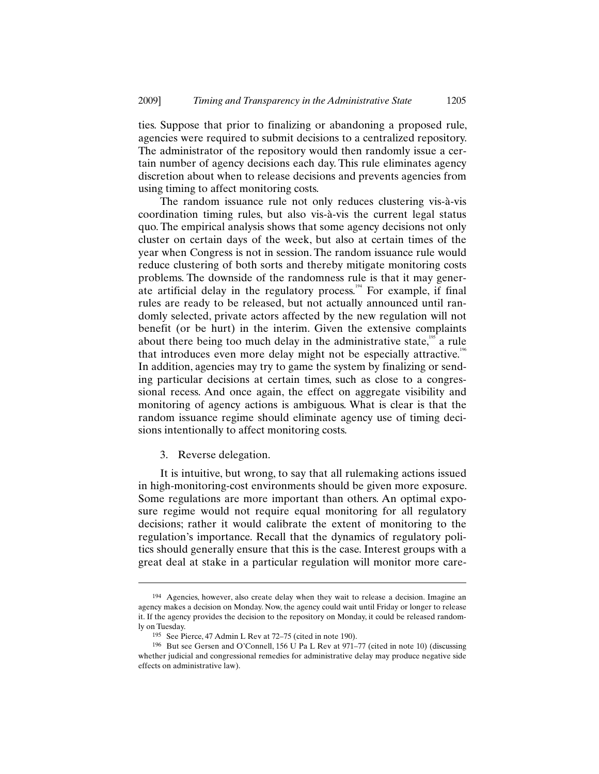ties. Suppose that prior to finalizing or abandoning a proposed rule, agencies were required to submit decisions to a centralized repository. The administrator of the repository would then randomly issue a certain number of agency decisions each day. This rule eliminates agency discretion about when to release decisions and prevents agencies from using timing to affect monitoring costs.

The random issuance rule not only reduces clustering vis-à-vis coordination timing rules, but also vis-à-vis the current legal status quo. The empirical analysis shows that some agency decisions not only cluster on certain days of the week, but also at certain times of the year when Congress is not in session. The random issuance rule would reduce clustering of both sorts and thereby mitigate monitoring costs problems. The downside of the randomness rule is that it may generate artificial delay in the regulatory process.<sup> $194$ </sup> For example, if final rules are ready to be released, but not actually announced until randomly selected, private actors affected by the new regulation will not benefit (or be hurt) in the interim. Given the extensive complaints about there being too much delay in the administrative state,  $\frac{195}{12}$  a rule that introduces even more delay might not be especially attractive.<sup>196</sup> In addition, agencies may try to game the system by finalizing or sending particular decisions at certain times, such as close to a congressional recess. And once again, the effect on aggregate visibility and monitoring of agency actions is ambiguous. What is clear is that the random issuance regime should eliminate agency use of timing decisions intentionally to affect monitoring costs.

3. Reverse delegation.

 $\overline{a}$ 

It is intuitive, but wrong, to say that all rulemaking actions issued in high-monitoring-cost environments should be given more exposure. Some regulations are more important than others. An optimal exposure regime would not require equal monitoring for all regulatory decisions; rather it would calibrate the extent of monitoring to the regulation's importance. Recall that the dynamics of regulatory politics should generally ensure that this is the case. Interest groups with a great deal at stake in a particular regulation will monitor more care-

<sup>194</sup> Agencies, however, also create delay when they wait to release a decision. Imagine an agency makes a decision on Monday. Now, the agency could wait until Friday or longer to release it. If the agency provides the decision to the repository on Monday, it could be released randomly on Tuesday.

<sup>195</sup> See Pierce, 47 Admin L Rev at 72–75 (cited in note 190).

<sup>196</sup> But see Gersen and O'Connell, 156 U Pa L Rev at 971–77 (cited in note 10) (discussing whether judicial and congressional remedies for administrative delay may produce negative side effects on administrative law).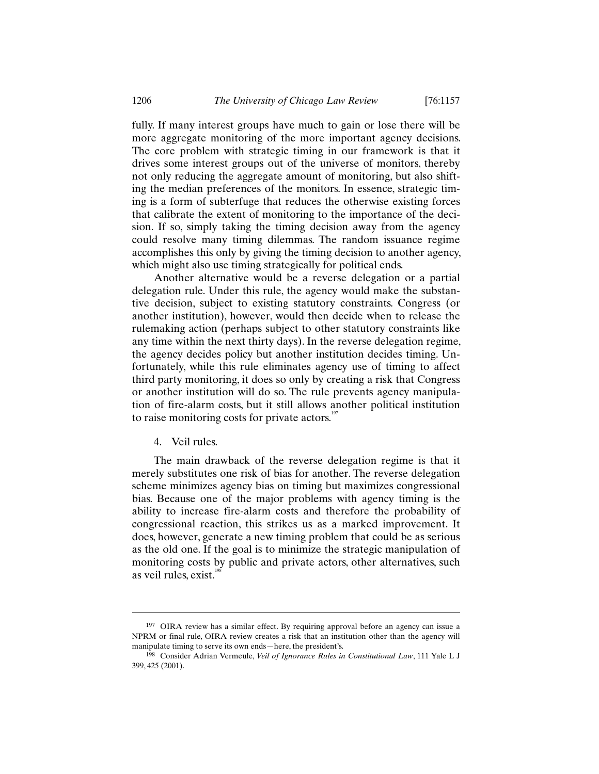fully. If many interest groups have much to gain or lose there will be more aggregate monitoring of the more important agency decisions. The core problem with strategic timing in our framework is that it drives some interest groups out of the universe of monitors, thereby not only reducing the aggregate amount of monitoring, but also shifting the median preferences of the monitors. In essence, strategic timing is a form of subterfuge that reduces the otherwise existing forces that calibrate the extent of monitoring to the importance of the decision. If so, simply taking the timing decision away from the agency could resolve many timing dilemmas. The random issuance regime accomplishes this only by giving the timing decision to another agency, which might also use timing strategically for political ends.

Another alternative would be a reverse delegation or a partial delegation rule. Under this rule, the agency would make the substantive decision, subject to existing statutory constraints. Congress (or another institution), however, would then decide when to release the rulemaking action (perhaps subject to other statutory constraints like any time within the next thirty days). In the reverse delegation regime, the agency decides policy but another institution decides timing. Unfortunately, while this rule eliminates agency use of timing to affect third party monitoring, it does so only by creating a risk that Congress or another institution will do so. The rule prevents agency manipulation of fire-alarm costs, but it still allows another political institution to raise monitoring costs for private actors. $197$ 

4. Veil rules.

 $\overline{a}$ 

The main drawback of the reverse delegation regime is that it merely substitutes one risk of bias for another. The reverse delegation scheme minimizes agency bias on timing but maximizes congressional bias. Because one of the major problems with agency timing is the ability to increase fire-alarm costs and therefore the probability of congressional reaction, this strikes us as a marked improvement. It does, however, generate a new timing problem that could be as serious as the old one. If the goal is to minimize the strategic manipulation of monitoring costs by public and private actors, other alternatives, such as veil rules, exist.<sup>198</sup>

<sup>&</sup>lt;sup>197</sup> OIRA review has a similar effect. By requiring approval before an agency can issue a NPRM or final rule, OIRA review creates a risk that an institution other than the agency will manipulate timing to serve its own ends—here, the president's.

<sup>198</sup> Consider Adrian Vermeule, *Veil of Ignorance Rules in Constitutional Law*, 111 Yale L J 399, 425 (2001).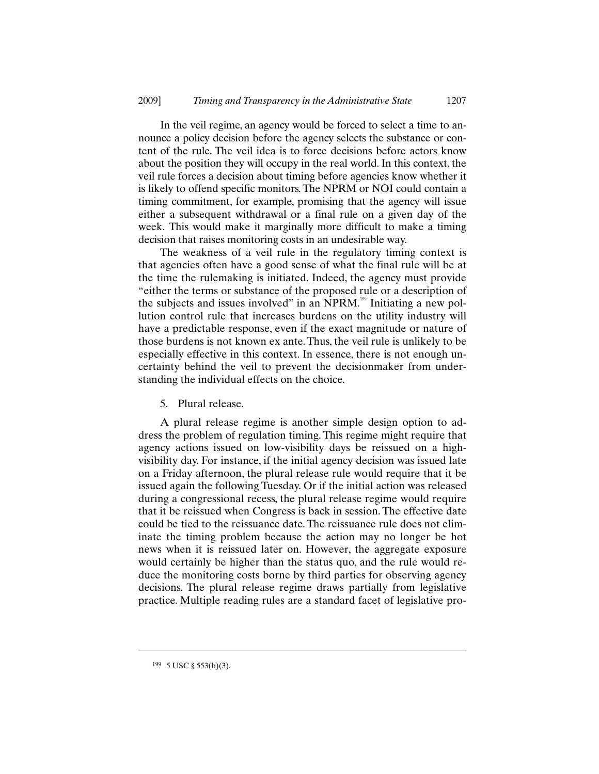In the veil regime, an agency would be forced to select a time to announce a policy decision before the agency selects the substance or content of the rule. The veil idea is to force decisions before actors know about the position they will occupy in the real world. In this context, the veil rule forces a decision about timing before agencies know whether it is likely to offend specific monitors. The NPRM or NOI could contain a timing commitment, for example, promising that the agency will issue either a subsequent withdrawal or a final rule on a given day of the week. This would make it marginally more difficult to make a timing decision that raises monitoring costs in an undesirable way.

The weakness of a veil rule in the regulatory timing context is that agencies often have a good sense of what the final rule will be at the time the rulemaking is initiated. Indeed, the agency must provide "either the terms or substance of the proposed rule or a description of the subjects and issues involved" in an NPRM.<sup>199</sup> Initiating a new pollution control rule that increases burdens on the utility industry will have a predictable response, even if the exact magnitude or nature of those burdens is not known ex ante. Thus, the veil rule is unlikely to be especially effective in this context. In essence, there is not enough uncertainty behind the veil to prevent the decisionmaker from understanding the individual effects on the choice.

5. Plural release.

A plural release regime is another simple design option to address the problem of regulation timing. This regime might require that agency actions issued on low-visibility days be reissued on a highvisibility day. For instance, if the initial agency decision was issued late on a Friday afternoon, the plural release rule would require that it be issued again the following Tuesday. Or if the initial action was released during a congressional recess, the plural release regime would require that it be reissued when Congress is back in session. The effective date could be tied to the reissuance date. The reissuance rule does not eliminate the timing problem because the action may no longer be hot news when it is reissued later on. However, the aggregate exposure would certainly be higher than the status quo, and the rule would reduce the monitoring costs borne by third parties for observing agency decisions. The plural release regime draws partially from legislative practice. Multiple reading rules are a standard facet of legislative pro-

<sup>199</sup> 5 USC § 553(b)(3).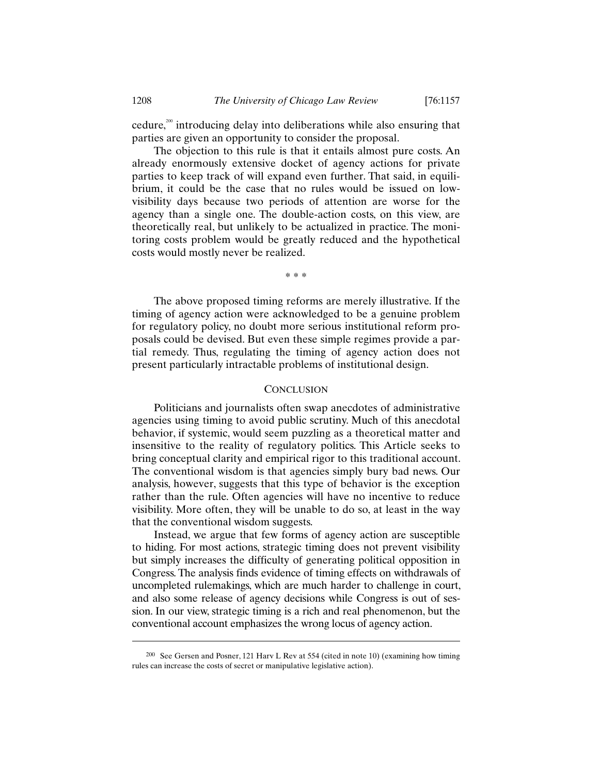cedure, $200$  introducing delay into deliberations while also ensuring that parties are given an opportunity to consider the proposal.

The objection to this rule is that it entails almost pure costs. An already enormously extensive docket of agency actions for private parties to keep track of will expand even further. That said, in equilibrium, it could be the case that no rules would be issued on lowvisibility days because two periods of attention are worse for the agency than a single one. The double-action costs, on this view, are theoretically real, but unlikely to be actualized in practice. The monitoring costs problem would be greatly reduced and the hypothetical costs would mostly never be realized.

\* \* \*

The above proposed timing reforms are merely illustrative. If the timing of agency action were acknowledged to be a genuine problem for regulatory policy, no doubt more serious institutional reform proposals could be devised. But even these simple regimes provide a partial remedy. Thus, regulating the timing of agency action does not present particularly intractable problems of institutional design.

# **CONCLUSION**

Politicians and journalists often swap anecdotes of administrative agencies using timing to avoid public scrutiny. Much of this anecdotal behavior, if systemic, would seem puzzling as a theoretical matter and insensitive to the reality of regulatory politics. This Article seeks to bring conceptual clarity and empirical rigor to this traditional account. The conventional wisdom is that agencies simply bury bad news. Our analysis, however, suggests that this type of behavior is the exception rather than the rule. Often agencies will have no incentive to reduce visibility. More often, they will be unable to do so, at least in the way that the conventional wisdom suggests.

Instead, we argue that few forms of agency action are susceptible to hiding. For most actions, strategic timing does not prevent visibility but simply increases the difficulty of generating political opposition in Congress. The analysis finds evidence of timing effects on withdrawals of uncompleted rulemakings, which are much harder to challenge in court, and also some release of agency decisions while Congress is out of session. In our view, strategic timing is a rich and real phenomenon, but the conventional account emphasizes the wrong locus of agency action.

<sup>200</sup> See Gersen and Posner, 121 Harv L Rev at 554 (cited in note 10) (examining how timing rules can increase the costs of secret or manipulative legislative action).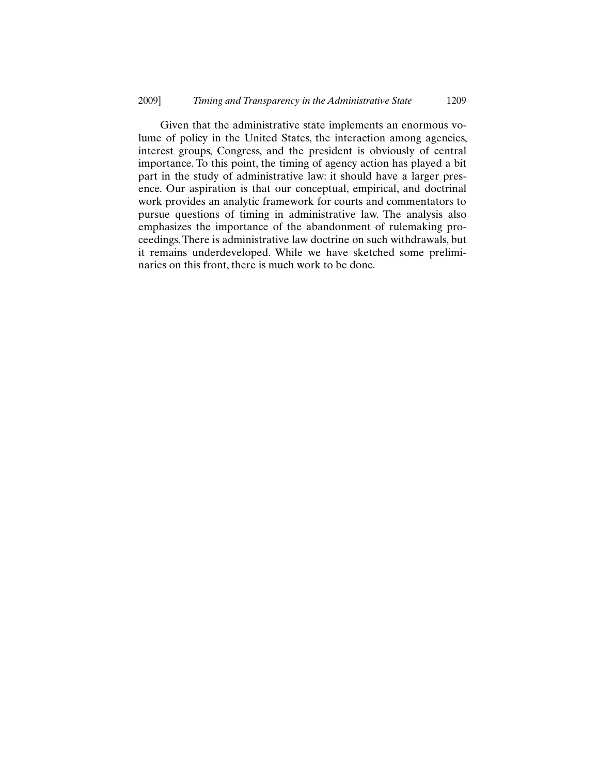Given that the administrative state implements an enormous volume of policy in the United States, the interaction among agencies, interest groups, Congress, and the president is obviously of central importance. To this point, the timing of agency action has played a bit part in the study of administrative law: it should have a larger presence. Our aspiration is that our conceptual, empirical, and doctrinal work provides an analytic framework for courts and commentators to pursue questions of timing in administrative law. The analysis also emphasizes the importance of the abandonment of rulemaking proceedings. There is administrative law doctrine on such withdrawals, but it remains underdeveloped. While we have sketched some preliminaries on this front, there is much work to be done.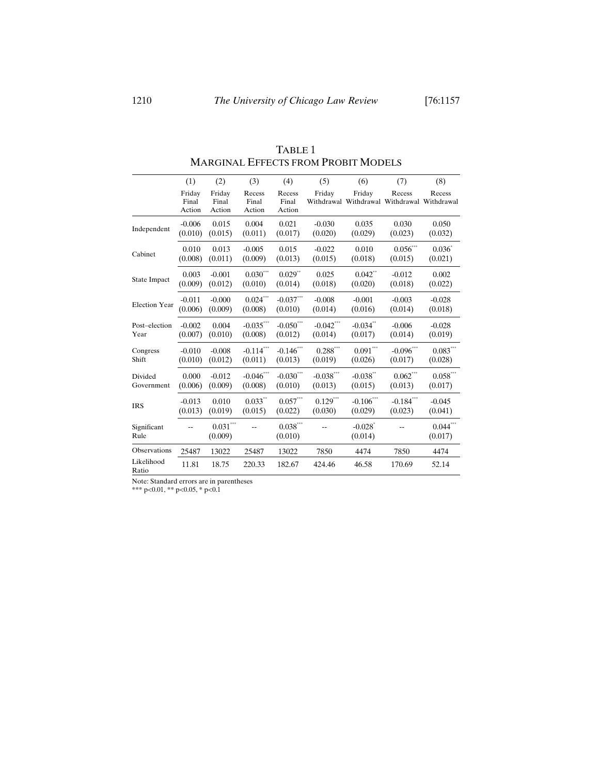|                      | (1)                       | (2)                               | (3)                       | (4)                       | (5)                    | (6)                                                   | (7)                        | (8)                   |
|----------------------|---------------------------|-----------------------------------|---------------------------|---------------------------|------------------------|-------------------------------------------------------|----------------------------|-----------------------|
|                      | Friday<br>Final<br>Action | Friday<br>Final<br>Action         | Recess<br>Final<br>Action | Recess<br>Final<br>Action | Friday                 | Friday<br>Withdrawal Withdrawal Withdrawal Withdrawal | Recess                     | Recess                |
| Independent          | $-0.006$                  | 0.015                             | 0.004                     | 0.021                     | $-0.030$               | 0.035                                                 | 0.030                      | 0.050                 |
|                      | (0.010)                   | (0.015)                           | (0.011)                   | (0.017)                   | (0.020)                | (0.029)                                               | (0.023)                    | (0.032)               |
| Cabinet              | 0.010                     | 0.013                             | $-0.005$                  | 0.015                     | $-0.022$               | 0.010                                                 | $0.056\sp{^{***}}$         | $0.036^*$             |
|                      | (0.008)                   | (0.011)                           | (0.009)                   | (0.013)                   | (0.015)                | (0.018)                                               | (0.015)                    | (0.021)               |
| State Impact         | 0.003                     | $-0.001$                          | $0.030***$                | $0.029**$                 | 0.025                  | $0.042$ **                                            | $-0.012$                   | 0.002                 |
|                      | (0.009)                   | (0.012)                           | (0.010)                   | (0.014)                   | (0.018)                | (0.020)                                               | (0.018)                    | (0.022)               |
| <b>Election Year</b> | $-0.011$                  | $-0.000$                          | $0.024\sp{*}^{**}$        | $-0.037***$               | $-0.008$               | $-0.001$                                              | $-0.003$                   | $-0.028$              |
|                      | (0.006)                   | (0.009)                           | (0.008)                   | (0.010)                   | (0.014)                | (0.016)                                               | (0.014)                    | (0.018)               |
| Post-election        | $-0.002$                  | 0.004                             | $-0.035***$               | $-0.050***$               | $-0.042$ ***           | $-0.034$ **                                           | $-0.006$                   | $-0.028$              |
| Year                 | (0.007)                   | (0.010)                           | (0.008)                   | (0.012)                   | (0.014)                | (0.017)                                               | (0.014)                    | (0.019)               |
| Congress             | $-0.010$                  | $-0.008$                          | $-0.114***$               | $-0.146***$               | $0.288^{\ast\ast\ast}$ | $0.091^{\ast\ast\ast}$                                | $-0.096***$                | $0.083***$            |
| Shift                | (0.010)                   | (0.012)                           | (0.011)                   | (0.013)                   | (0.019)                | (0.026)                                               | (0.017)                    | (0.028)               |
| Divided              | 0.000                     | $-0.012$                          | $-0.046***$               | $-0.030***$               | $-0.038$ ***           | $-0.038$ **                                           | $0.062\sp{*}{^\ast\sp{*}}$ | $0.058***$            |
| Government           | (0.006)                   | (0.009)                           | (0.008)                   | (0.010)                   | (0.013)                | (0.015)                                               | (0.013)                    | (0.017)               |
| <b>IRS</b>           | $-0.013$                  | 0.010                             | $0.033**$                 | $0.057***$                | $0.129***$             | $\textbf{-0.106}^{\ast\ast\ast}$                      | $-0.184***$                | $-0.045$              |
|                      | (0.013)                   | (0.019)                           | (0.015)                   | (0.022)                   | (0.030)                | (0.029)                                               | (0.023)                    | (0.041)               |
| Significant<br>Rule  |                           | $0.031^{\ast\ast\ast}$<br>(0.009) |                           | $0.038***$<br>(0.010)     |                        | $-0.028$ <sup>*</sup><br>(0.014)                      |                            | $0.044$ **<br>(0.017) |
| Observations         | 25487                     | 13022                             | 25487                     | 13022                     | 7850                   | 4474                                                  | 7850                       | 4474                  |
| Likelihood<br>Ratio  | 11.81                     | 18.75                             | 220.33                    | 182.67                    | 424.46                 | 46.58                                                 | 170.69                     | 52.14                 |

TABLE 1 MARGINAL EFFECTS FROM PROBIT MODELS

Note: Standard errors are in parentheses

\*\*\* p<0.01, \*\* p<0.05, \* p<0.1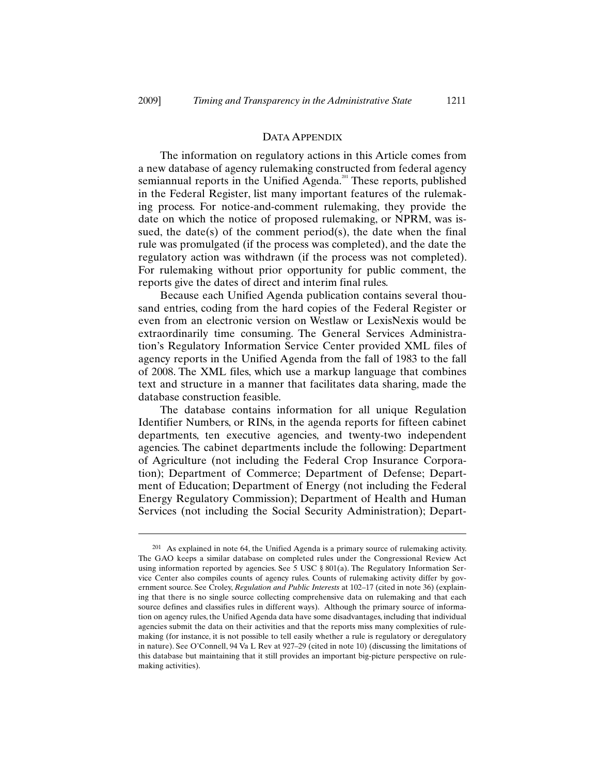-

#### DATA APPENDIX

The information on regulatory actions in this Article comes from a new database of agency rulemaking constructed from federal agency semiannual reports in the Unified Agenda.<sup>201</sup> These reports, published in the Federal Register, list many important features of the rulemaking process. For notice-and-comment rulemaking, they provide the date on which the notice of proposed rulemaking, or NPRM, was issued, the date(s) of the comment period(s), the date when the final rule was promulgated (if the process was completed), and the date the regulatory action was withdrawn (if the process was not completed). For rulemaking without prior opportunity for public comment, the reports give the dates of direct and interim final rules.

Because each Unified Agenda publication contains several thousand entries, coding from the hard copies of the Federal Register or even from an electronic version on Westlaw or LexisNexis would be extraordinarily time consuming. The General Services Administration's Regulatory Information Service Center provided XML files of agency reports in the Unified Agenda from the fall of 1983 to the fall of 2008. The XML files, which use a markup language that combines text and structure in a manner that facilitates data sharing, made the database construction feasible.

The database contains information for all unique Regulation Identifier Numbers, or RINs, in the agenda reports for fifteen cabinet departments, ten executive agencies, and twenty-two independent agencies. The cabinet departments include the following: Department of Agriculture (not including the Federal Crop Insurance Corporation); Department of Commerce; Department of Defense; Department of Education; Department of Energy (not including the Federal Energy Regulatory Commission); Department of Health and Human Services (not including the Social Security Administration); Depart-

<sup>201</sup> As explained in note 64, the Unified Agenda is a primary source of rulemaking activity. The GAO keeps a similar database on completed rules under the Congressional Review Act using information reported by agencies. See 5 USC § 801(a). The Regulatory Information Service Center also compiles counts of agency rules. Counts of rulemaking activity differ by government source. See Croley, *Regulation and Public Interests* at 102–17 (cited in note 36) (explaining that there is no single source collecting comprehensive data on rulemaking and that each source defines and classifies rules in different ways). Although the primary source of information on agency rules, the Unified Agenda data have some disadvantages, including that individual agencies submit the data on their activities and that the reports miss many complexities of rulemaking (for instance, it is not possible to tell easily whether a rule is regulatory or deregulatory in nature). See O'Connell, 94 Va L Rev at 927–29 (cited in note 10) (discussing the limitations of this database but maintaining that it still provides an important big-picture perspective on rulemaking activities).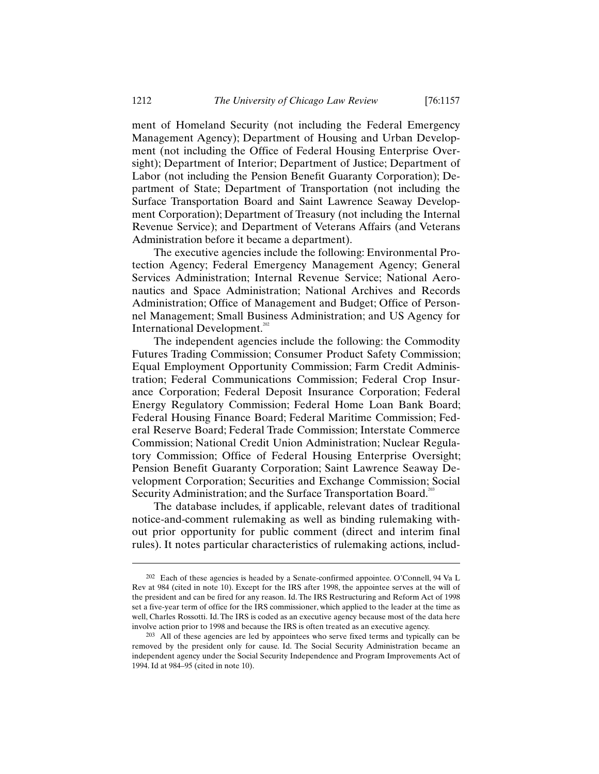ment of Homeland Security (not including the Federal Emergency Management Agency); Department of Housing and Urban Development (not including the Office of Federal Housing Enterprise Oversight); Department of Interior; Department of Justice; Department of Labor (not including the Pension Benefit Guaranty Corporation); Department of State; Department of Transportation (not including the Surface Transportation Board and Saint Lawrence Seaway Development Corporation); Department of Treasury (not including the Internal Revenue Service); and Department of Veterans Affairs (and Veterans Administration before it became a department).

The executive agencies include the following: Environmental Protection Agency; Federal Emergency Management Agency; General Services Administration; Internal Revenue Service; National Aeronautics and Space Administration; National Archives and Records Administration; Office of Management and Budget; Office of Personnel Management; Small Business Administration; and US Agency for International Development. $202$ 

The independent agencies include the following: the Commodity Futures Trading Commission; Consumer Product Safety Commission; Equal Employment Opportunity Commission; Farm Credit Administration; Federal Communications Commission; Federal Crop Insurance Corporation; Federal Deposit Insurance Corporation; Federal Energy Regulatory Commission; Federal Home Loan Bank Board; Federal Housing Finance Board; Federal Maritime Commission; Federal Reserve Board; Federal Trade Commission; Interstate Commerce Commission; National Credit Union Administration; Nuclear Regulatory Commission; Office of Federal Housing Enterprise Oversight; Pension Benefit Guaranty Corporation; Saint Lawrence Seaway Development Corporation; Securities and Exchange Commission; Social Security Administration; and the Surface Transportation Board.<sup>203</sup>

The database includes, if applicable, relevant dates of traditional notice-and-comment rulemaking as well as binding rulemaking without prior opportunity for public comment (direct and interim final rules). It notes particular characteristics of rulemaking actions, includ-

<sup>202</sup> Each of these agencies is headed by a Senate-confirmed appointee. O'Connell, 94 Va L Rev at 984 (cited in note 10). Except for the IRS after 1998, the appointee serves at the will of the president and can be fired for any reason. Id. The IRS Restructuring and Reform Act of 1998 set a five-year term of office for the IRS commissioner, which applied to the leader at the time as well, Charles Rossotti. Id. The IRS is coded as an executive agency because most of the data here involve action prior to 1998 and because the IRS is often treated as an executive agency.

<sup>203</sup> All of these agencies are led by appointees who serve fixed terms and typically can be removed by the president only for cause. Id. The Social Security Administration became an independent agency under the Social Security Independence and Program Improvements Act of 1994. Id at 984–95 (cited in note 10).